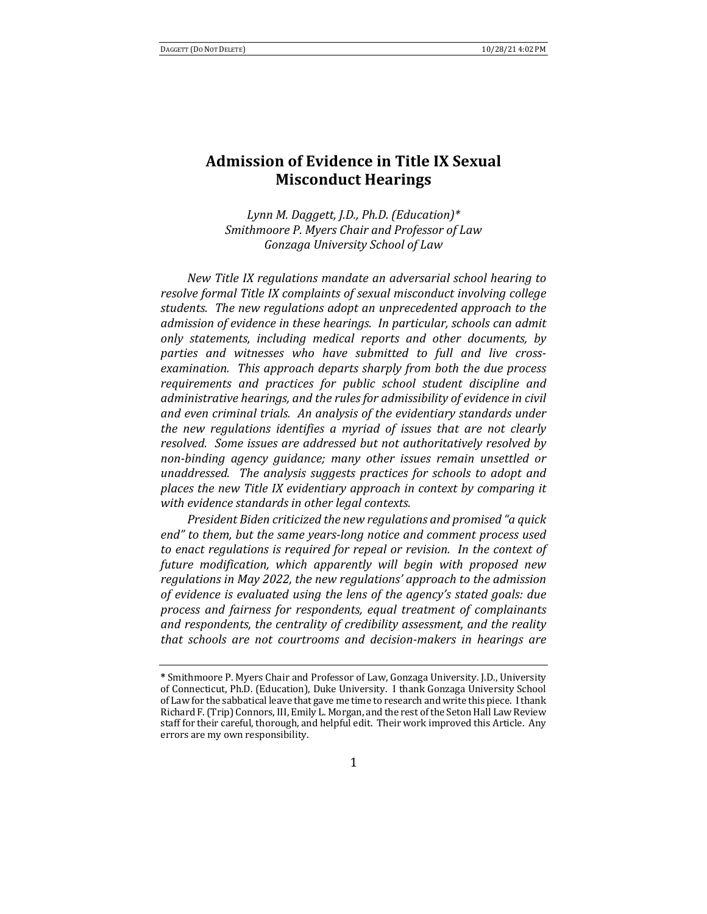# **Admission of Evidence in Title IX Sexual Misconduct Hearings**

Lynn M. Daggett, J.D., Ph.D. (Education)\* *Smithmoore P. Myers Chair and Professor of Law Gonzaga University School of Law*

*New Title IX regulations mandate an adversarial school hearing to resolve formal Title IX complaints of sexual misconduct involving college* students. The new regulations adopt an unprecedented approach to the *admission of evidence in these hearings. In particular, schools can admit only* statements, *including medical reports and other documents, by* parties and witnesses who have submitted to full and live crossexamination. This approach departs sharply from both the due process requirements and practices for public school student discipline and *administrative hearings, and the rules for admissibility of evidence in civil* and even criminal trials. An analysis of the evidentiary standards under *the new regulations identifies a myriad of issues that are not clearly* resolved. Some issues are addressed but not authoritatively resolved by non-binding agency quidance; many other *issues* remain unsettled or *unaddressed.* The analysis suggests practices for schools to adopt and places the new Title IX evidentiary approach in context by comparing it with evidence standards in other legal contexts.

*President Biden criticized the new regulations and promised "a quick* end" to them, but the same years-long notice and comment process used *to* enact regulations is required for repeal or revision. In the context of future modification, which apparently will begin with proposed new *regulations* in May 2022, the new regulations' approach to the admission *of evidence is evaluated using the lens of the agency's stated goals: due* process and fairness for respondents, equal treatment of complainants and respondents, the centrality of credibility assessment, and the reality *that schools are not courtrooms and decision-makers in hearings are* 

**<sup>\*</sup>** Smithmoore P. Myers Chair and Professor of Law, Gonzaga University. J.D., University of Connecticut, Ph.D. (Education), Duke University. I thank Gonzaga University School of Law for the sabbatical leave that gave me time to research and write this piece. I thank Richard F. (Trip) Connors, III, Emily L. Morgan, and the rest of the Seton Hall Law Review staff for their careful, thorough, and helpful edit. Their work improved this Article. Any errors are my own responsibility.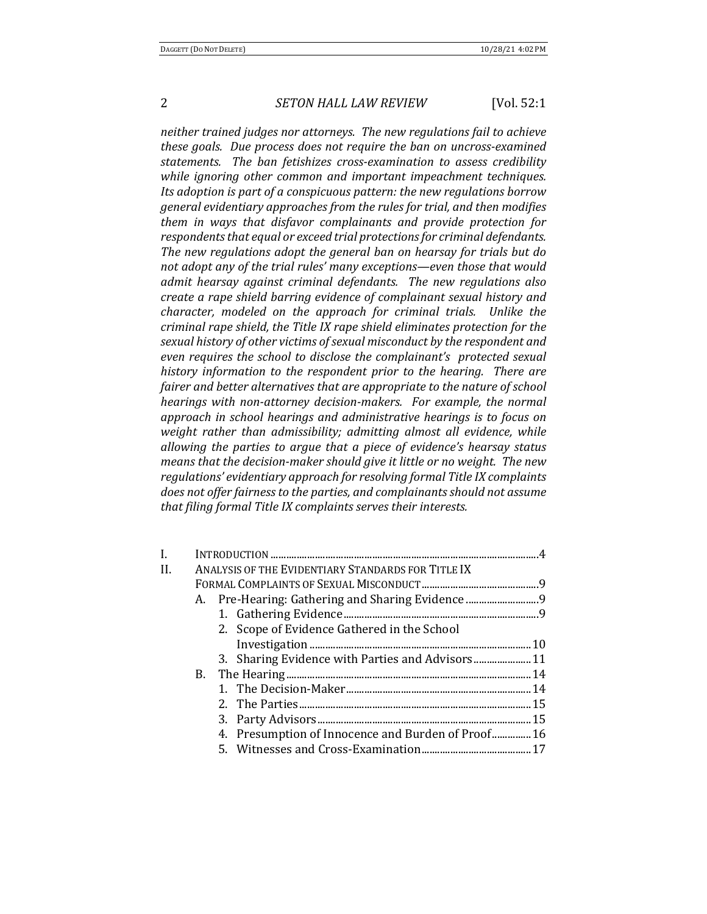neither trained judges nor attorneys. The new regulations fail to achieve *these goals.* Due process does not require the ban on uncross-examined statements. The ban fetishizes cross-examination to assess credibility while *ignoring* other common and *important impeachment techniques. Its* adoption is part of a conspicuous pattern: the new regulations borrow *general evidentiary approaches from the rules for trial, and then modifies them in ways that disfavor complainants and provide protection for respondents that equal or exceed trial protections for criminal defendants.* The new regulations adopt the general ban on hearsay for trials but do not adopt any of the trial rules' many exceptions—even those that would *admit hearsay against criminal defendants. The new regulations also create a rape shield barring evidence of complainant sexual history and character, modeled on the approach for criminal trials. Unlike the criminal rape shield, the Title IX rape shield eliminates protection for the* sexual history of other victims of sexual misconduct by the respondent and *even requires the school to disclose the complainant's protected sexual history information to the respondent prior to the hearing. There are* fairer and better alternatives that are appropriate to the nature of school *hearings* with non-attorney decision-makers. For example, the normal approach in school hearings and administrative hearings is to focus on weight rather than admissibility; admitting almost all evidence, while *allowing the parties to argue that a piece of evidence's hearsay status means that the decision-maker should give it little or no weight. The new regulations' evidentiary approach for resolving formal Title IX complaints* does not offer fairness to the parties, and complainants should not assume that filing formal Title IX complaints serves their interests.

| I.  |                                                    |                                                    |  |  |
|-----|----------------------------------------------------|----------------------------------------------------|--|--|
| II. | ANALYSIS OF THE EVIDENTIARY STANDARDS FOR TITLE IX |                                                    |  |  |
|     |                                                    |                                                    |  |  |
|     |                                                    | A. Pre-Hearing: Gathering and Sharing Evidence     |  |  |
|     |                                                    |                                                    |  |  |
|     |                                                    | 2. Scope of Evidence Gathered in the School        |  |  |
|     |                                                    |                                                    |  |  |
|     |                                                    | 3. Sharing Evidence with Parties and Advisors 11   |  |  |
|     |                                                    |                                                    |  |  |
|     |                                                    |                                                    |  |  |
|     |                                                    |                                                    |  |  |
|     |                                                    |                                                    |  |  |
|     |                                                    | 4. Presumption of Innocence and Burden of Proof 16 |  |  |
|     |                                                    |                                                    |  |  |
|     |                                                    |                                                    |  |  |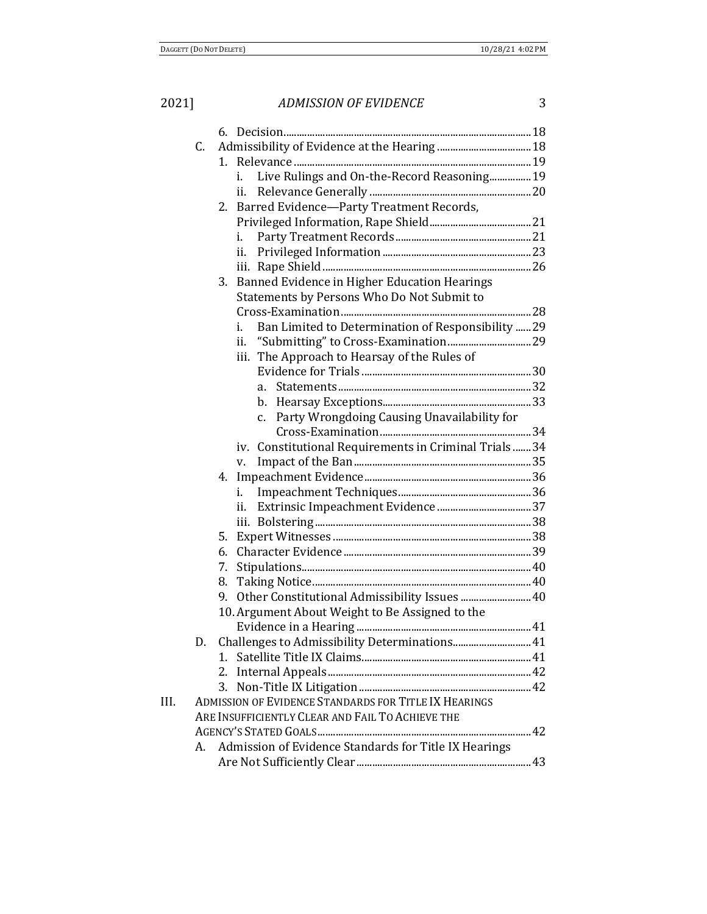|  | I    |   |
|--|------|---|
|  |      |   |
|  |      |   |
|  |      |   |
|  | o se | I |

|      | C. |                                                          |  |
|------|----|----------------------------------------------------------|--|
|      |    | 1.                                                       |  |
|      |    | Live Rulings and On-the-Record Reasoning 19<br>i.        |  |
|      |    | ii.                                                      |  |
|      |    | 2. Barred Evidence-Party Treatment Records,              |  |
|      |    |                                                          |  |
|      |    | i.                                                       |  |
|      |    | ii.                                                      |  |
|      |    |                                                          |  |
|      |    | Banned Evidence in Higher Education Hearings<br>3.       |  |
|      |    | Statements by Persons Who Do Not Submit to               |  |
|      |    |                                                          |  |
|      |    | Ban Limited to Determination of Responsibility  29<br>i. |  |
|      |    | ii.                                                      |  |
|      |    | The Approach to Hearsay of the Rules of<br>iii.          |  |
|      |    |                                                          |  |
|      |    | a.                                                       |  |
|      |    |                                                          |  |
|      |    | Party Wrongdoing Causing Unavailability for<br>$C_{1}$   |  |
|      |    |                                                          |  |
|      |    | iv. Constitutional Requirements in Criminal Trials34     |  |
|      |    | V.                                                       |  |
|      |    | i.                                                       |  |
|      |    | ii.                                                      |  |
|      |    |                                                          |  |
|      |    |                                                          |  |
|      |    | 6.                                                       |  |
|      |    | 7.                                                       |  |
|      |    | 8.                                                       |  |
|      |    | 0ther Constitutional Admissibility Issues  40<br>9.      |  |
|      |    | 10. Argument About Weight to Be Assigned to the          |  |
|      |    |                                                          |  |
|      |    | Challenges to Admissibility Determinations 41            |  |
|      |    | $1_{-}$                                                  |  |
|      |    | 2.                                                       |  |
|      |    | 3.                                                       |  |
| III. |    | ADMISSION OF EVIDENCE STANDARDS FOR TITLE IX HEARINGS    |  |
|      |    | ARE INSUFFICIENTLY CLEAR AND FAIL TO ACHIEVE THE         |  |
|      |    |                                                          |  |
|      | А. | Admission of Evidence Standards for Title IX Hearings    |  |
|      |    |                                                          |  |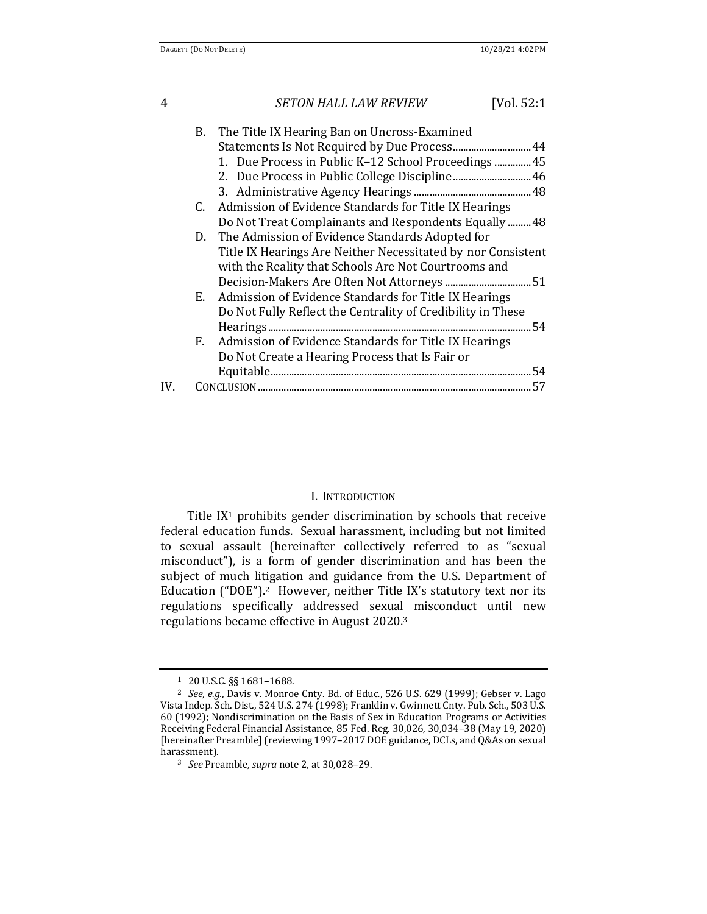## 4 *SETON HALL LAW REVIEW* [Vol. 52:1] B. The Title IX Hearing Ban on Uncross-Examined Statements Is Not Required by Due Process...............................44 1. Due Process in Public K-12 School Proceedings ..............45 2. Due Process in Public College Discipline..............................46 3. Administrative Agency Hearings .............................................48 C. Admission of Evidence Standards for Title IX Hearings Do Not Treat Complainants and Respondents Equally ......... 48 D. The Admission of Evidence Standards Adopted for Title IX Hearings Are Neither Necessitated by nor Consistent with the Reality that Schools Are Not Courtrooms and Decision-Makers Are Often Not Attorneys .................................51 E. Admission of Evidence Standards for Title IX Hearings Do Not Fully Reflect the Centrality of Credibility in These Hearings.....................................................................................................54 F. Admission of Evidence Standards for Title IX Hearings Do Not Create a Hearing Process that Is Fair or Equitable....................................................................................................54 IV. CONCLUSION.........................................................................................................57

#### I. INTRODUCTION

Title  $IX<sup>1</sup>$  prohibits gender discrimination by schools that receive federal education funds. Sexual harassment, including but not limited to sexual assault (hereinafter collectively referred to as "sexual misconduct"), is a form of gender discrimination and has been the subject of much litigation and guidance from the U.S. Department of Education  $("DOE")$ .<sup>2</sup> However, neither Title IX's statutory text nor its regulations specifically addressed sexual misconduct until new regulations became effective in August 2020.<sup>3</sup>

<sup>1 20</sup> U.S.C. §§ 1681-1688.

<sup>&</sup>lt;sup>2</sup> *See, e.g.*, Davis v. Monroe Cnty. Bd. of Educ., 526 U.S. 629 (1999); Gebser v. Lago Vista Indep. Sch. Dist., 524 U.S. 274 (1998); Franklin v. Gwinnett Cnty. Pub. Sch., 503 U.S. 60 (1992); Nondiscrimination on the Basis of Sex in Education Programs or Activities Receiving Federal Financial Assistance, 85 Fed. Reg. 30,026, 30,034-38 (May 19, 2020) [hereinafter Preamble] (reviewing 1997–2017 DOE guidance, DCLs, and Q&As on sexual harassment).

<sup>3</sup> *See* Preamble, *supra* note 2, at 30,028-29.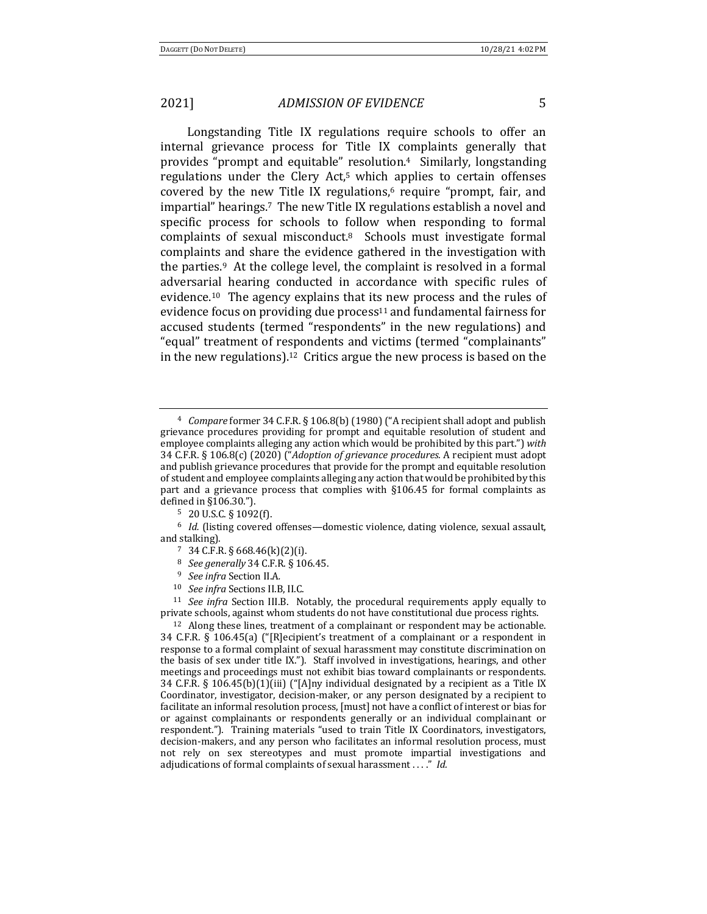Longstanding Title IX regulations require schools to offer an internal grievance process for Title IX complaints generally that provides "prompt and equitable" resolution.<sup>4</sup> Similarly, longstanding regulations under the Clery Act, $5$  which applies to certain offenses covered by the new Title IX regulations, $6$  require "prompt, fair, and impartial" hearings.<sup>7</sup> The new Title IX regulations establish a novel and specific process for schools to follow when responding to formal complaints of sexual misconduct.<sup>8</sup> Schools must investigate formal complaints and share the evidence gathered in the investigation with the parties.<sup>9</sup> At the college level, the complaint is resolved in a formal adversarial hearing conducted in accordance with specific rules of evidence.<sup>10</sup> The agency explains that its new process and the rules of evidence focus on providing due process<sup>11</sup> and fundamental fairness for accused students (termed "respondents" in the new regulations) and "equal" treatment of respondents and victims (termed "complainants" in the new regulations).<sup>12</sup> Critics argue the new process is based on the

- 7 34 C.F.R. § 668.46(k)(2)(i).
- <sup>8</sup> *See generally* 34 C.F.R. § 106.45.
- <sup>9</sup> *See infra* Section II.A.
- 10 *See infra* Sections II.B, II.C.

 $11$  *See infra* Section III.B. Notably, the procedural requirements apply equally to private schools, against whom students do not have constitutional due process rights.

 $12$  Along these lines, treatment of a complainant or respondent may be actionable. 34 C.F.R. § 106.45(a) ("[R]ecipient's treatment of a complainant or a respondent in response to a formal complaint of sexual harassment may constitute discrimination on the basis of sex under title IX."). Staff involved in investigations, hearings, and other meetings and proceedings must not exhibit bias toward complainants or respondents. 34 C.F.R. § 106.45(b)(1)(iii) ("[A]ny individual designated by a recipient as a Title IX Coordinator, investigator, decision-maker, or any person designated by a recipient to facilitate an informal resolution process, [must] not have a conflict of interest or bias for or against complainants or respondents generally or an individual complainant or respondent."). Training materials "used to train Title IX Coordinators, investigators, decision-makers, and any person who facilitates an informal resolution process, must not rely on sex stereotypes and must promote impartial investigations and adjudications of formal complaints of sexual harassment ...." *Id.* 

<sup>&</sup>lt;sup>4</sup> *Compare* former 34 C.F.R. § 106.8(b) (1980) ("A recipient shall adopt and publish grievance procedures providing for prompt and equitable resolution of student and employee complaints alleging any action which would be prohibited by this part.") with 34 C.F.R. § 106.8(c) (2020) ("Adoption of grievance procedures. A recipient must adopt and publish grievance procedures that provide for the prompt and equitable resolution of student and employee complaints alleging any action that would be prohibited by this part and a grievance process that complies with  $§106.45$  for formal complaints as defined in  $§106.30."$ ).

 $5$  20 U.S.C. § 1092(f).

<sup>&</sup>lt;sup>6</sup> *Id.* (listing covered offenses—domestic violence, dating violence, sexual assault, and stalking).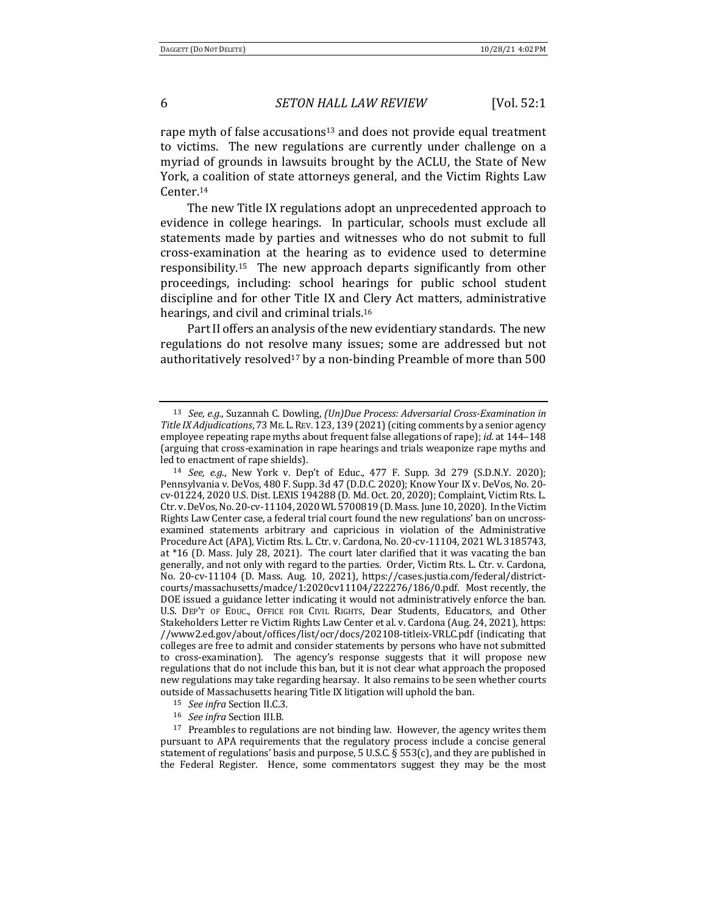rape myth of false accusations<sup>13</sup> and does not provide equal treatment to victims. The new regulations are currently under challenge on a myriad of grounds in lawsuits brought by the ACLU, the State of New York, a coalition of state attorneys general, and the Victim Rights Law Center.14

The new Title IX regulations adopt an unprecedented approach to evidence in college hearings. In particular, schools must exclude all statements made by parties and witnesses who do not submit to full cross-examination at the hearing as to evidence used to determine responsibility.<sup>15</sup> The new approach departs significantly from other proceedings, including: school hearings for public school student discipline and for other Title IX and Clery Act matters, administrative hearings, and civil and criminal trials.<sup>16</sup>

Part II offers an analysis of the new evidentiary standards. The new regulations do not resolve many issues; some are addressed but not authoritatively resolved<sup>17</sup> by a non-binding Preamble of more than  $500$ 

<sup>13</sup> *See, e.g.*, Suzannah C. Dowling, *(Un)Due Process: Adversarial Cross-Examination in* Title IX Adjudications, 73 ME. L. REV. 123, 139 (2021) (citing comments by a senior agency employee repeating rape myths about frequent false allegations of rape); *id.* at 144-148 (arguing that cross-examination in rape hearings and trials weaponize rape myths and led to enactment of rape shields).

<sup>&</sup>lt;sup>14</sup> *See, e.g.*, New York v. Dep't of Educ., 477 F. Supp. 3d 279 (S.D.N.Y. 2020); Pennsylvania v. DeVos, 480 F. Supp. 3d 47 (D.D.C. 2020); Know Your IX v. DeVos, No. 20cv-01224, 2020 U.S. Dist. LEXIS 194288 (D. Md. Oct. 20, 2020); Complaint, Victim Rts. L. Ctr. v. DeVos, No. 20-cv-11104, 2020 WL 5700819 (D. Mass. June 10, 2020). In the Victim Rights Law Center case, a federal trial court found the new regulations' ban on uncrossexamined statements arbitrary and capricious in violation of the Administrative Procedure Act (APA), Victim Rts. L. Ctr. v. Cardona, No. 20-cv-11104, 2021 WL 3185743, at  $*16$  (D. Mass. July 28, 2021). The court later clarified that it was vacating the ban generally, and not only with regard to the parties. Order, Victim Rts. L. Ctr. v. Cardona, No. 20-cv-11104 (D. Mass. Aug. 10, 2021), https://cases.justia.com/federal/districtcourts/massachusetts/madce/1:2020cv11104/222276/186/0.pdf. Most recently, the DOE issued a guidance letter indicating it would not administratively enforce the ban. U.S. DEP'T OF EDUC., OFFICE FOR CIVIL RIGHTS, Dear Students, Educators, and Other Stakeholders Letter re Victim Rights Law Center et al. v. Cardona (Aug. 24, 2021), https: //www2.ed.gov/about/offices/list/ocr/docs/202108-titleix-VRLC.pdf (indicating that colleges are free to admit and consider statements by persons who have not submitted to cross-examination). The agency's response suggests that it will propose new regulations that do not include this ban, but it is not clear what approach the proposed new regulations may take regarding hearsay. It also remains to be seen whether courts outside of Massachusetts hearing Title IX litigation will uphold the ban.

<sup>15</sup> *See infra* Section II.C.3*.*

<sup>16</sup> *See infra* Section III.B*.*

 $17$  Preambles to regulations are not binding law. However, the agency writes them pursuant to APA requirements that the regulatory process include a concise general statement of regulations' basis and purpose, 5 U.S.C.  $\S$  553(c), and they are published in the Federal Register. Hence, some commentators suggest they may be the most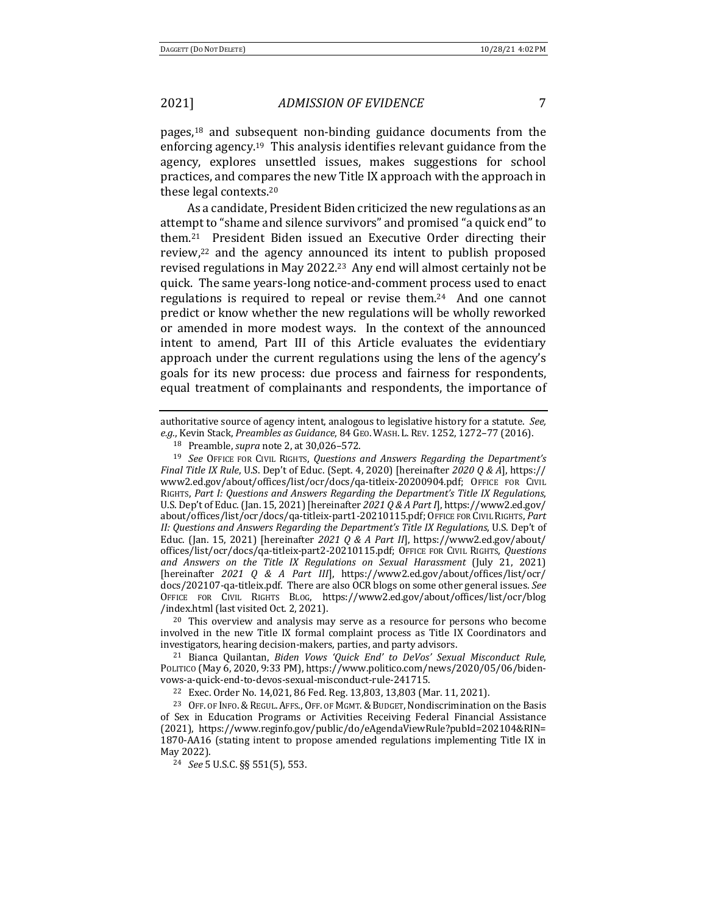pages, $18$  and subsequent non-binding guidance documents from the enforcing agency.<sup>19</sup> This analysis identifies relevant guidance from the agency, explores unsettled issues, makes suggestions for school practices, and compares the new Title IX approach with the approach in these legal contexts.<sup>20</sup>

As a candidate, President Biden criticized the new regulations as an attempt to "shame and silence survivors" and promised "a quick end" to them.<sup>21</sup> President Biden issued an Executive Order directing their review, $22$  and the agency announced its intent to publish proposed revised regulations in May 2022.<sup>23</sup> Any end will almost certainly not be quick. The same years-long notice-and-comment process used to enact regulations is required to repeal or revise them.<sup>24</sup> And one cannot predict or know whether the new regulations will be wholly reworked or amended in more modest ways. In the context of the announced intent to amend, Part III of this Article evaluates the evidentiary approach under the current regulations using the lens of the agency's goals for its new process: due process and fairness for respondents, equal treatment of complainants and respondents, the importance of

 $20$  This overview and analysis may serve as a resource for persons who become involved in the new Title IX formal complaint process as Title IX Coordinators and investigators, hearing decision-makers, parties, and party advisors.

<sup>22</sup> Exec. Order No. 14,021, 86 Fed. Reg. 13,803, 13,803 (Mar. 11, 2021).

authoritative source of agency intent, analogous to legislative history for a statute. See, *e.g.*, Kevin Stack, *Preambles as Guidance*, 84 GEO. WASH. L. REV. 1252, 1272–77 (2016).

<sup>18</sup> Preamble, *supra* note 2, at 30,026-572.

<sup>&</sup>lt;sup>19</sup> *See* OFFICE FOR CIVIL RIGHTS, Questions and Answers Regarding the Department's *Final Title IX Rule*, U.S. Dep't of Educ. (Sept. 4, 2020) [hereinafter 2020 Q & A], https:// www2.ed.gov/about/offices/list/ocr/docs/qa-titleix-20200904.pdf; OFFICE FOR CIVIL RIGHTS, Part I: Questions and Answers Regarding the Department's Title IX Regulations, U.S. Dep't of Educ. (Jan. 15, 2021) [hereinafter 2021 Q & A Part I], https://www2.ed.gov/ about/offices/list/ocr/docs/qa-titleix-part1-20210115.pdf; OFFICE FOR CIVIL RIGHTS, Part II: Questions and Answers Regarding the Department's Title IX Regulations, U.S. Dep't of Educ. (Jan. 15, 2021) [hereinafter *2021 Q & A Part II*], https://www2.ed.gov/about/ offices/list/ocr/docs/qa-titleix-part2-20210115.pdf; OFFICE FOR CIVIL RIGHTS, *Questions and Answers on the Title IX Regulations on Sexual Harassment* (July 21, 2021) [hereinafter *2021 Q & A Part III*], https://www2.ed.gov/about/offices/list/ocr/ docs/202107-qa-titleix.pdf. There are also OCR blogs on some other general issues. See OFFICE FOR CIVIL RIGHTS BLOG, https://www2.ed.gov/about/offices/list/ocr/blog /index.html (last visited Oct. 2, 2021).

<sup>21</sup> Bianca Quilantan, *Biden Vows 'Quick End' to DeVos' Sexual Misconduct Rule*, POLITICO (May 6, 2020, 9:33 PM), https://www.politico.com/news/2020/05/06/bidenvows-a-quick-end-to-devos-sexual-misconduct-rule-241715.

<sup>&</sup>lt;sup>23</sup> OFF. OF INFO. & REGUL. AFFS., OFF. OF MGMT. & BUDGET, Nondiscrimination on the Basis of Sex in Education Programs or Activities Receiving Federal Financial Assistance (2021), https://www.reginfo.gov/public/do/eAgendaViewRule?pubId=202104&RIN= 1870-AA16 (stating intent to propose amended regulations implementing Title IX in May 2022).

<sup>24</sup> *See* 5 U.S.C. §§ 551(5), 553.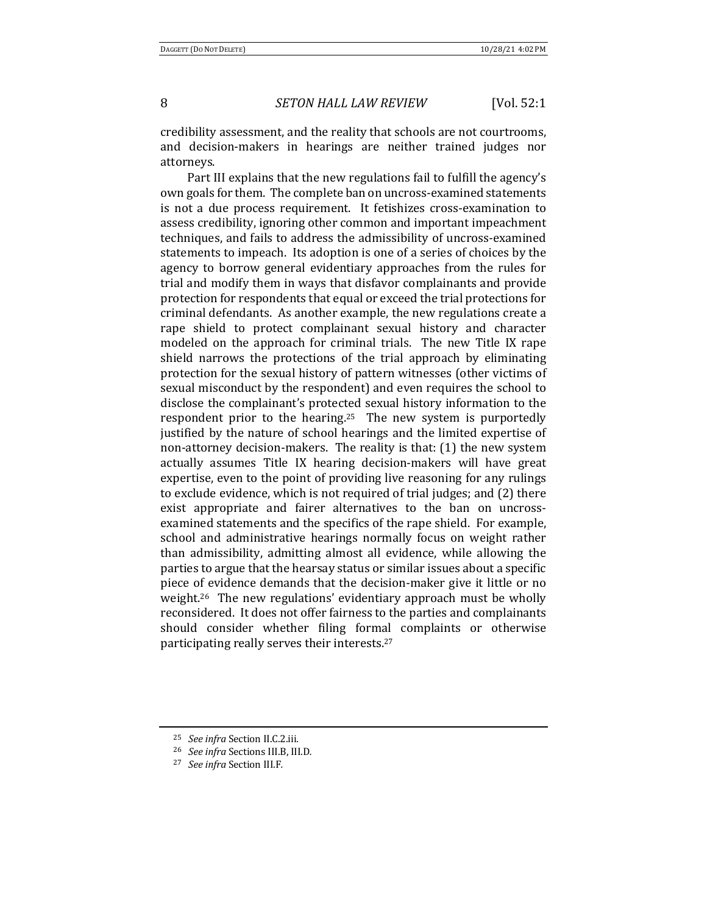credibility assessment, and the reality that schools are not courtrooms, and decision-makers in hearings are neither trained judges nor attorneys. 

Part III explains that the new regulations fail to fulfill the agency's own goals for them. The complete ban on uncross-examined statements is not a due process requirement. It fetishizes cross-examination to assess credibility, ignoring other common and important impeachment techniques, and fails to address the admissibility of uncross-examined statements to impeach. Its adoption is one of a series of choices by the agency to borrow general evidentiary approaches from the rules for trial and modify them in ways that disfavor complainants and provide protection for respondents that equal or exceed the trial protections for criminal defendants. As another example, the new regulations create a rape shield to protect complainant sexual history and character modeled on the approach for criminal trials. The new Title IX rape shield narrows the protections of the trial approach by eliminating protection for the sexual history of pattern witnesses (other victims of sexual misconduct by the respondent) and even requires the school to disclose the complainant's protected sexual history information to the respondent prior to the hearing.<sup>25</sup> The new system is purportedly justified by the nature of school hearings and the limited expertise of non-attorney decision-makers. The reality is that: (1) the new system actually assumes Title IX hearing decision-makers will have great expertise, even to the point of providing live reasoning for any rulings to exclude evidence, which is not required of trial judges; and (2) there exist appropriate and fairer alternatives to the ban on uncrossexamined statements and the specifics of the rape shield. For example, school and administrative hearings normally focus on weight rather than admissibility, admitting almost all evidence, while allowing the parties to argue that the hearsay status or similar issues about a specific piece of evidence demands that the decision-maker give it little or no weight.<sup>26</sup> The new regulations' evidentiary approach must be wholly reconsidered. It does not offer fairness to the parties and complainants should consider whether filing formal complaints or otherwise participating really serves their interests.<sup>27</sup>

<sup>25</sup> *See infra* Section II.C.2.iii*.*

<sup>26</sup> *See infra* Sections III.B, III.D*.*

<sup>27</sup> *See infra* Section III.F*.*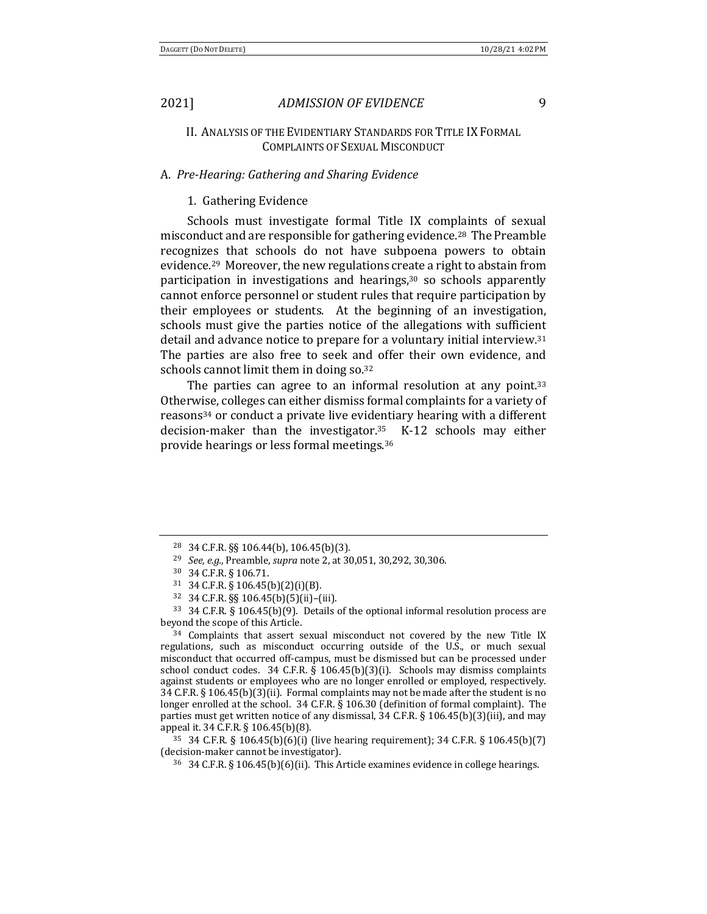### II. ANALYSIS OF THE EVIDENTIARY STANDARDS FOR TITLE IX FORMAL COMPLAINTS OF SEXUAL MISCONDUCT

#### A. *Pre-Hearing: Gathering and Sharing Evidence*

#### 1. Gathering Evidence

Schools must investigate formal Title IX complaints of sexual misconduct and are responsible for gathering evidence.<sup>28</sup> The Preamble recognizes that schools do not have subpoena powers to obtain evidence.<sup>29</sup> Moreover, the new regulations create a right to abstain from participation in investigations and hearings, $30$  so schools apparently cannot enforce personnel or student rules that require participation by their employees or students. At the beginning of an investigation, schools must give the parties notice of the allegations with sufficient detail and advance notice to prepare for a voluntary initial interview.<sup>31</sup> The parties are also free to seek and offer their own evidence, and schools cannot limit them in doing so.<sup>32</sup>

The parties can agree to an informal resolution at any point.<sup>33</sup> Otherwise, colleges can either dismiss formal complaints for a variety of reasons<sup>34</sup> or conduct a private live evidentiary hearing with a different decision-maker than the investigator. $35$  K-12 schools may either provide hearings or less formal meetings.<sup>36</sup>

<sup>34</sup> Complaints that assert sexual misconduct not covered by the new Title IX regulations, such as misconduct occurring outside of the U.S., or much sexual misconduct that occurred off-campus, must be dismissed but can be processed under school conduct codes.  $34$  C.F.R. §  $106.45(b)(3)(i)$ . Schools may dismiss complaints against students or employees who are no longer enrolled or employed, respectively. 34 C.F.R.  $\S$  106.45(b)(3)(ii). Formal complaints may not be made after the student is no longer enrolled at the school. 34 C.F.R. § 106.30 (definition of formal complaint). The parties must get written notice of any dismissal,  $34$  C.F.R. §  $106.45(b)(3)(iii)$ , and may appeal it. 34 C.F.R. § 106.45(b)(8).

 $35\,34\,$  C.F.R.  $\S$  106.45(b)(6)(i) (live hearing requirement);  $34\,$  C.F.R.  $\S$  106.45(b)(7) (decision-maker cannot be investigator).

<sup>28 34</sup> C.F.R. §§ 106.44(b), 106.45(b)(3).

<sup>&</sup>lt;sup>29</sup> *See, e.g.*, Preamble, *supra* note 2, at 30,051, 30,292, 30,306.

<sup>30</sup> 34 C.F.R. § 106.71.

 $31 \quad 34 \text{ C.F.R. } \S \quad 106.45 \text{ (b)} \quad (2)(i)(B).$ 

<sup>32</sup> 34 C.F.R. §§ 106.45(b)(5)(ii)–(iii).

 $33$  34 C.F.R. § 106.45(b)(9). Details of the optional informal resolution process are beyond the scope of this Article.

 $36\quad$  34 C.F.R. § 106.45(b)(6)(ii). This Article examines evidence in college hearings.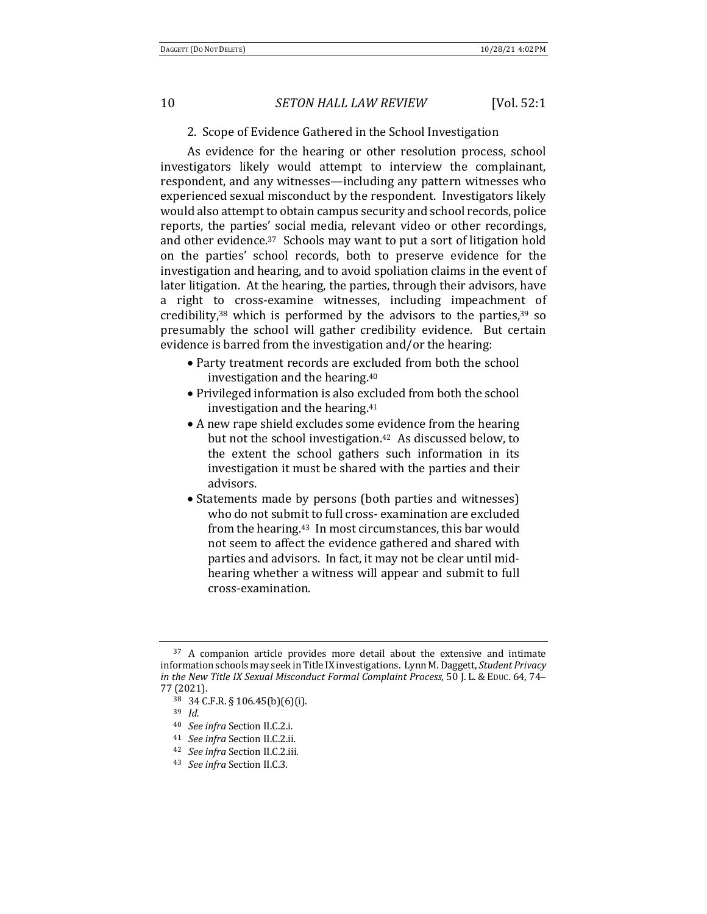#### 2. Scope of Evidence Gathered in the School Investigation

As evidence for the hearing or other resolution process, school investigators likely would attempt to interview the complainant, respondent, and any witnesses—including any pattern witnesses who experienced sexual misconduct by the respondent. Investigators likely would also attempt to obtain campus security and school records, police reports, the parties' social media, relevant video or other recordings, and other evidence.<sup>37</sup> Schools may want to put a sort of litigation hold on the parties' school records, both to preserve evidence for the investigation and hearing, and to avoid spoliation claims in the event of later litigation. At the hearing, the parties, through their advisors, have a right to cross-examine witnesses, including impeachment of credibility, $38$  which is performed by the advisors to the parties, $39$  so presumably the school will gather credibility evidence. But certain evidence is barred from the investigation and/or the hearing:

- Party treatment records are excluded from both the school investigation and the hearing. $40$
- Privileged information is also excluded from both the school investigation and the hearing. $41$
- A new rape shield excludes some evidence from the hearing but not the school investigation.<sup>42</sup> As discussed below, to the extent the school gathers such information in its investigation it must be shared with the parties and their advisors.
- Statements made by persons (both parties and witnesses) who do not submit to full cross- examination are excluded from the hearing.<sup>43</sup> In most circumstances, this bar would not seem to affect the evidence gathered and shared with parties and advisors. In fact, it may not be clear until midhearing whether a witness will appear and submit to full cross-examination.

 $37$  A companion article provides more detail about the extensive and intimate information schools may seek in Title IX investigations. Lynn M. Daggett, Student Privacy *in the New Title IX Sexual Misconduct Formal Complaint Process*, 50 J. L. & EDUC. 64, 74– 77 (2021).

<sup>38</sup> 34 C.F.R. § 106.45(b)(6)(i).

<sup>39</sup> *Id.*

<sup>40</sup> *See infra* Section II.C.2.i*.*

<sup>41</sup> *See infra* Section II.C.2.ii*.*

<sup>42</sup> *See infra* Section II.C.2.iii*.*

<sup>43</sup> *See infra* Section II.C.3*.*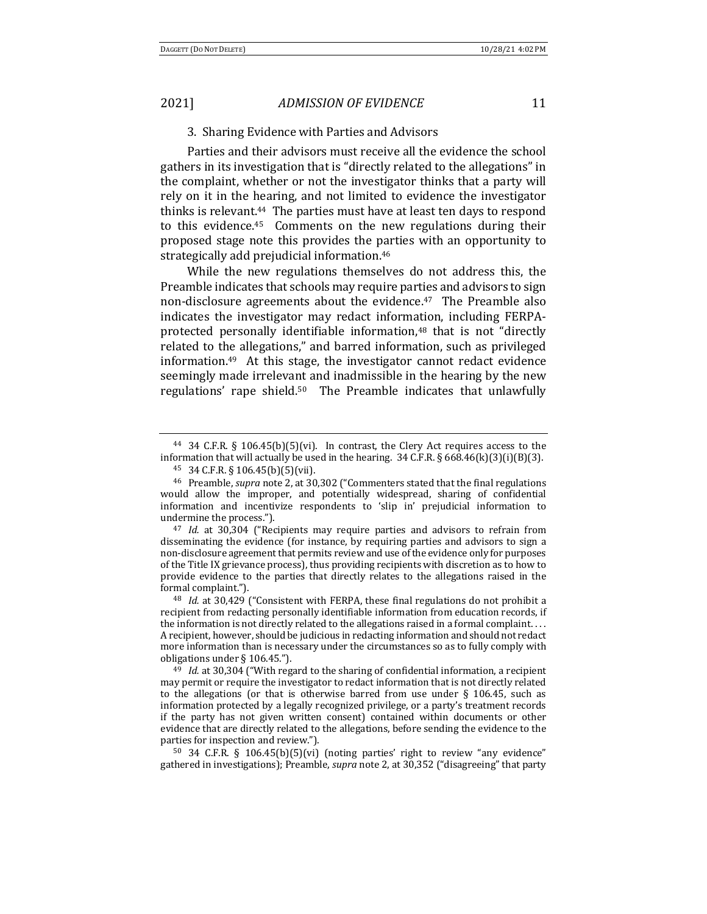#### 3. Sharing Evidence with Parties and Advisors

Parties and their advisors must receive all the evidence the school gathers in its investigation that is "directly related to the allegations" in the complaint, whether or not the investigator thinks that a party will rely on it in the hearing, and not limited to evidence the investigator thinks is relevant.<sup>44</sup> The parties must have at least ten days to respond to this evidence.<sup>45</sup> Comments on the new regulations during their proposed stage note this provides the parties with an opportunity to strategically add prejudicial information.<sup>46</sup>

While the new regulations themselves do not address this, the Preamble indicates that schools may require parties and advisors to sign non-disclosure agreements about the evidence.<sup>47</sup> The Preamble also indicates the investigator may redact information, including FERPAprotected personally identifiable information,<sup>48</sup> that is not "directly related to the allegations," and barred information, such as privileged information. $49$  At this stage, the investigator cannot redact evidence seemingly made irrelevant and inadmissible in the hearing by the new regulations' rape shield.<sup>50</sup> The Preamble indicates that unlawfully

<sup>47</sup> *Id.* at 30,304 ("Recipients may require parties and advisors to refrain from disseminating the evidence (for instance, by requiring parties and advisors to sign a non-disclosure agreement that permits review and use of the evidence only for purposes of the Title IX grievance process), thus providing recipients with discretion as to how to provide evidence to the parties that directly relates to the allegations raised in the formal complaint.").

<sup>48</sup> *Id.* at 30,429 ("Consistent with FERPA, these final regulations do not prohibit a recipient from redacting personally identifiable information from education records, if the information is not directly related to the allegations raised in a formal complaint.  $\dots$ A recipient, however, should be judicious in redacting information and should not redact more information than is necessary under the circumstances so as to fully comply with obligations under § 106.45.").

<sup>49</sup> *Id.* at 30,304 ("With regard to the sharing of confidential information, a recipient may permit or require the investigator to redact information that is not directly related to the allegations (or that is otherwise barred from use under  $\S$  106.45, such as information protected by a legally recognized privilege, or a party's treatment records if the party has not given written consent) contained within documents or other evidence that are directly related to the allegations, before sending the evidence to the parties for inspection and review.").

 $50$  34 C.F.R. § 106.45(b)(5)(vi) (noting parties' right to review "any evidence" gathered in investigations); Preamble, *supra* note 2, at 30,352 ("disagreeing" that party

<sup>&</sup>lt;sup>44</sup> 34 C.F.R. § 106.45(b)(5)(vi). In contrast, the Clery Act requires access to the information that will actually be used in the hearing.  $34$  C.F.R. § 668.46(k)(3)(i)(B)(3).

<sup>45</sup> 34 C.F.R. § 106.45(b)(5)(vii).

<sup>&</sup>lt;sup>46</sup> Preamble, *supra* note 2, at 30,302 ("Commenters stated that the final regulations would allow the improper, and potentially widespread, sharing of confidential information and incentivize respondents to 'slip in' prejudicial information to undermine the process.").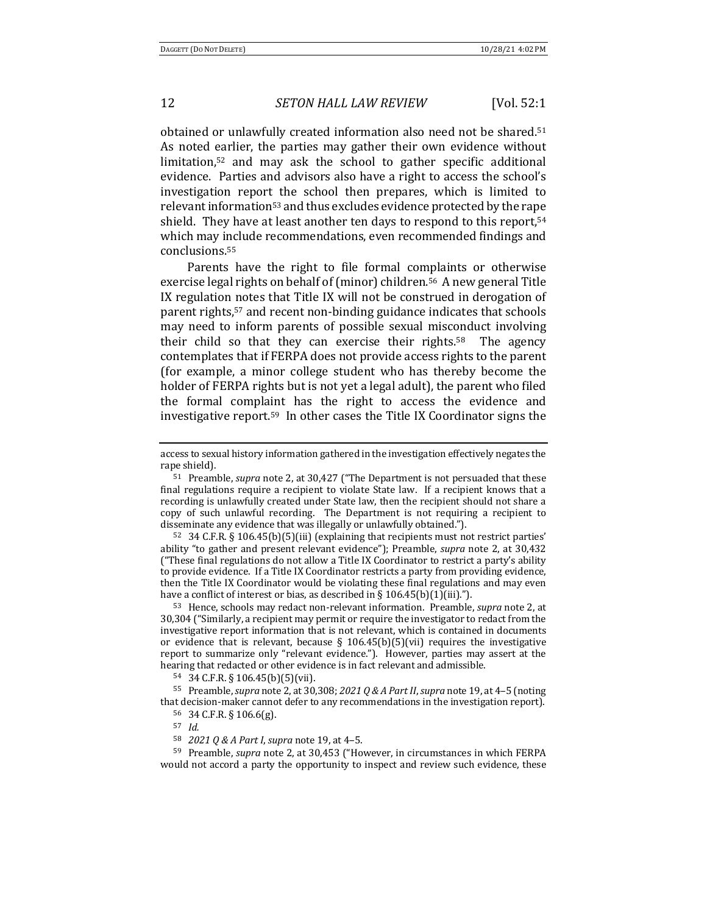obtained or unlawfully created information also need not be shared.<sup>51</sup> As noted earlier, the parties may gather their own evidence without limitation, $52$  and may ask the school to gather specific additional evidence. Parties and advisors also have a right to access the school's investigation report the school then prepares, which is limited to relevant information<sup>53</sup> and thus excludes evidence protected by the rape shield. They have at least another ten days to respond to this report, $54$ which may include recommendations, even recommended findings and conclusions.55

Parents have the right to file formal complaints or otherwise exercise legal rights on behalf of (minor) children.<sup>56</sup> A new general Title IX regulation notes that Title IX will not be construed in derogation of parent rights,<sup>57</sup> and recent non-binding guidance indicates that schools may need to inform parents of possible sexual misconduct involving their child so that they can exercise their rights.<sup>58</sup> The agency contemplates that if FERPA does not provide access rights to the parent (for example, a minor college student who has thereby become the holder of FERPA rights but is not yet a legal adult), the parent who filed the formal complaint has the right to access the evidence and investigative report.<sup>59</sup> In other cases the Title IX Coordinator signs the

 $52$  34 C.F.R. § 106.45(b)(5)(iii) (explaining that recipients must not restrict parties' ability "to gather and present relevant evidence"); Preamble, *supra* note 2, at 30.432 ("These final regulations do not allow a Title IX Coordinator to restrict a party's ability to provide evidence. If a Title IX Coordinator restricts a party from providing evidence, then the Title IX Coordinator would be violating these final regulations and may even have a conflict of interest or bias, as described in  $\S 106.45(b)(1)(iii)$ .").

53 Hence, schools may redact non-relevant information. Preamble, *supra* note 2, at 30,304 ("Similarly, a recipient may permit or require the investigator to redact from the investigative report information that is not relevant, which is contained in documents or evidence that is relevant, because  $\S$  106.45(b)(5)(vii) requires the investigative report to summarize only "relevant evidence."). However, parties may assert at the hearing that redacted or other evidence is in fact relevant and admissible.

 $54$  34 C.F.R. § 106.45(b)(5)(vii).

55 Preamble, *supra* note 2, at 30,308; 2021 Q & A Part II, *supra* note 19, at 4-5 (noting that decision-maker cannot defer to any recommendations in the investigation report). <sup>56</sup> 34 C.F.R. § 106.6(g).

58 *2021 Q & A Part I, supra note 19, at 4-5.* 

59 Preamble, *supra* note 2, at 30,453 ("However, in circumstances in which FERPA would not accord a party the opportunity to inspect and review such evidence, these

access to sexual history information gathered in the investigation effectively negates the rape shield).

<sup>&</sup>lt;sup>51</sup> Preamble, *supra* note 2, at 30,427 ("The Department is not persuaded that these final regulations require a recipient to violate State law. If a recipient knows that a recording is unlawfully created under State law, then the recipient should not share a copy of such unlawful recording. The Department is not requiring a recipient to disseminate any evidence that was illegally or unlawfully obtained.").

<sup>57</sup> *Id.*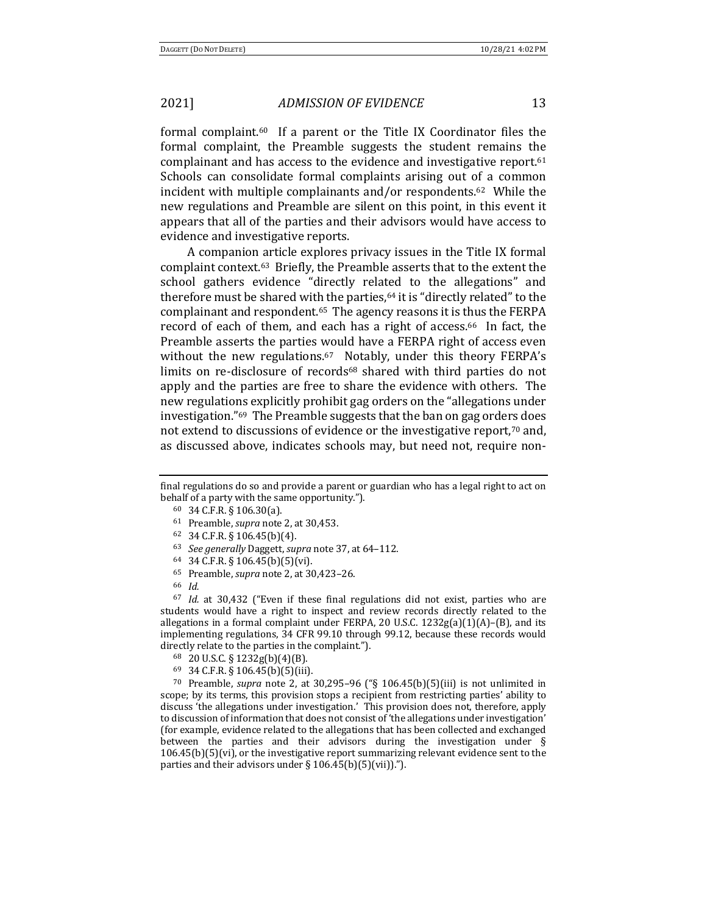formal complaint.<sup>60</sup> If a parent or the Title IX Coordinator files the formal complaint, the Preamble suggests the student remains the complainant and has access to the evidence and investigative report. $61$ Schools can consolidate formal complaints arising out of a common incident with multiple complainants and/or respondents.<sup>62</sup> While the new regulations and Preamble are silent on this point, in this event it appears that all of the parties and their advisors would have access to evidence and investigative reports.

A companion article explores privacy issues in the Title IX formal complaint context.<sup>63</sup> Briefly, the Preamble asserts that to the extent the school gathers evidence "directly related to the allegations" and therefore must be shared with the parties, $64$  it is "directly related" to the complainant and respondent.<sup>65</sup> The agency reasons it is thus the FERPA record of each of them, and each has a right of access.<sup>66</sup> In fact, the Preamble asserts the parties would have a FERPA right of access even without the new regulations.<sup>67</sup> Notably, under this theory FERPA's limits on re-disclosure of records<sup>68</sup> shared with third parties do not apply and the parties are free to share the evidence with others. The new regulations explicitly prohibit gag orders on the "allegations under" investigation."<sup>69</sup> The Preamble suggests that the ban on gag orders does not extend to discussions of evidence or the investigative report, $70$  and, as discussed above, indicates schools may, but need not, require non-

- <sup>60</sup> 34 C.F.R. § 106.30(a).
- <sup>61</sup> Preamble, *supra* note 2, at 30,453.
- <sup>62</sup> 34 C.F.R. § 106.45(b)(4).
- 63 *See generally* Daggett, *supra* note 37, at 64-112.
- <sup>64</sup> 34 C.F.R. § 106.45(b)(5)(vi).
- <sup>65</sup> Preamble, *supra* note 2, at 30,423–26.
- <sup>66</sup> *Id.*

<sup>67</sup> *Id.* at 30,432 ("Even if these final regulations did not exist, parties who are students would have a right to inspect and review records directly related to the allegations in a formal complaint under FERPA, 20 U.S.C.  $1232g(a)(1)(A)$ –(B), and its implementing regulations, 34 CFR 99.10 through 99.12, because these records would directly relate to the parties in the complaint.").

- <sup>68</sup> 20 U.S.C. § 1232g(b)(4)(B).
- <sup>69</sup> 34 C.F.R. § 106.45(b)(5)(iii).

<sup>70</sup> Preamble, *supra* note 2, at 30,295-96 ("§ 106.45(b)(5)(iii) is not unlimited in scope; by its terms, this provision stops a recipient from restricting parties' ability to discuss 'the allegations under investigation.' This provision does not, therefore, apply to discussion of information that does not consist of 'the allegations under investigation' (for example, evidence related to the allegations that has been collected and exchanged between the parties and their advisors during the investigation under  $\S$  $106.45(b)(5)(vi)$ , or the investigative report summarizing relevant evidence sent to the parties and their advisors under  $\S 106.45(b)(5)(vii)$ .").

final regulations do so and provide a parent or guardian who has a legal right to act on behalf of a party with the same opportunity.").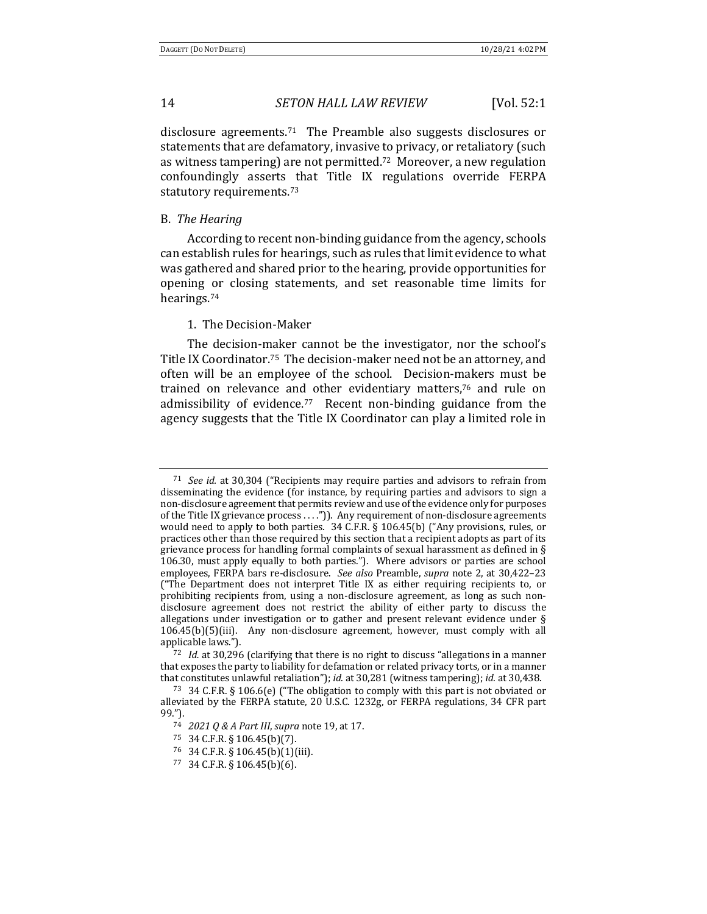disclosure agreements.<sup>71</sup> The Preamble also suggests disclosures or statements that are defamatory, invasive to privacy, or retaliatory (such as witness tampering) are not permitted.<sup>72</sup> Moreover, a new regulation confoundingly asserts that Title IX regulations override FERPA statutory requirements.<sup>73</sup>

#### B. *The Hearing*

According to recent non-binding guidance from the agency, schools can establish rules for hearings, such as rules that limit evidence to what was gathered and shared prior to the hearing, provide opportunities for opening or closing statements, and set reasonable time limits for hearings.74

#### 1. The Decision-Maker

The decision-maker cannot be the investigator, nor the school's Title IX Coordinator.<sup>75</sup> The decision-maker need not be an attorney, and often will be an employee of the school. Decision-makers must be trained on relevance and other evidentiary matters,<sup>76</sup> and rule on admissibility of evidence.<sup>77</sup> Recent non-binding guidance from the agency suggests that the Title IX Coordinator can play a limited role in

<sup>&</sup>lt;sup>71</sup> *See id.* at 30,304 ("Recipients may require parties and advisors to refrain from disseminating the evidence (for instance, by requiring parties and advisors to sign a non-disclosure agreement that permits review and use of the evidence only for purposes of the Title IX grievance process . . . .")). Any requirement of non-disclosure agreements would need to apply to both parties. 34 C.F.R. § 106.45(b) ("Any provisions, rules, or practices other than those required by this section that a recipient adopts as part of its grievance process for handling formal complaints of sexual harassment as defined in  $\S$ 106.30, must apply equally to both parties."). Where advisors or parties are school employees, FERPA bars re-disclosure. See also Preamble, *supra* note 2, at 30,422-23 ("The Department does not interpret Title IX as either requiring recipients to, or prohibiting recipients from, using a non-disclosure agreement, as long as such nondisclosure agreement does not restrict the ability of either party to discuss the allegations under investigation or to gather and present relevant evidence under  $\S$  $106.45(b)(5)(iii)$ . Any non-disclosure agreement, however, must comply with all applicable laws.").

 $72$  *Id.* at 30,296 (clarifying that there is no right to discuss "allegations in a manner that exposes the party to liability for defamation or related privacy torts, or in a manner that constitutes unlawful retaliation"); *id.* at 30,281 (witness tampering); *id.* at 30,438.

<sup>73 34</sup> C.F.R. § 106.6(e) ("The obligation to comply with this part is not obviated or alleviated by the FERPA statute, 20 U.S.C. 1232g, or FERPA regulations, 34 CFR part 99.").

<sup>74</sup> *2021 0 & A Part III*, *supra* note 19, at 17.

<sup>75</sup> 34 C.F.R. § 106.45(b)(7).

<sup>76</sup> 34 C.F.R. § 106.45(b)(1)(iii).

 $77$  34 C.F.R. § 106.45(b)(6).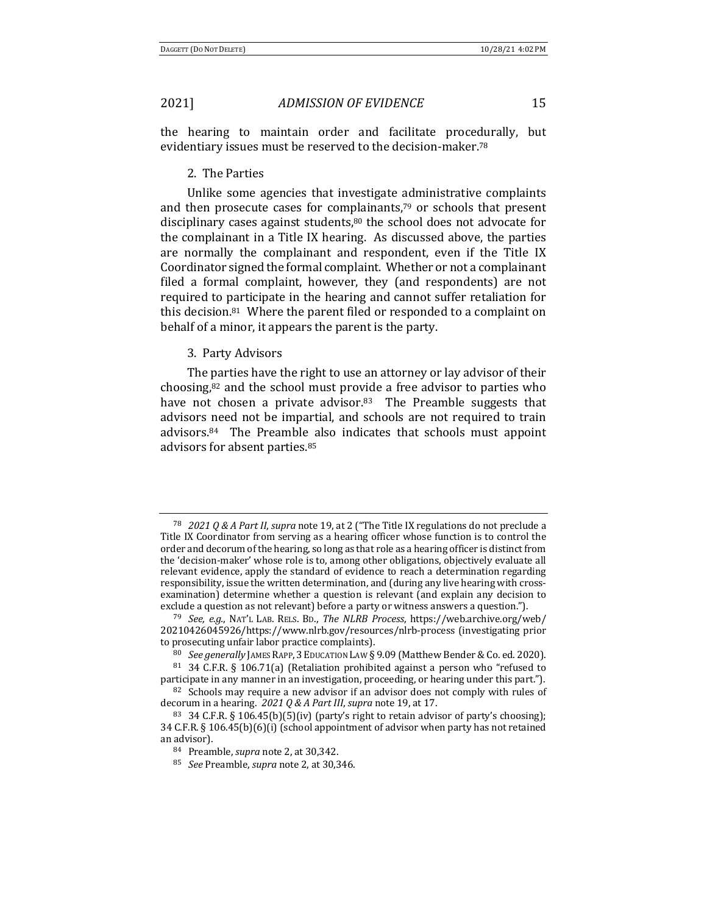the hearing to maintain order and facilitate procedurally, but evidentiary issues must be reserved to the decision-maker.<sup>78</sup>

#### 2. The Parties

Unlike some agencies that investigate administrative complaints and then prosecute cases for complainants, $79$  or schools that present disciplinary cases against students, $80$  the school does not advocate for the complainant in a Title IX hearing. As discussed above, the parties are normally the complainant and respondent, even if the Title IX Coordinator signed the formal complaint. Whether or not a complainant filed a formal complaint, however, they (and respondents) are not required to participate in the hearing and cannot suffer retaliation for this decision. $81$  Where the parent filed or responded to a complaint on behalf of a minor, it appears the parent is the party.

#### 3. Party Advisors

The parties have the right to use an attorney or lay advisor of their choosing, $82$  and the school must provide a free advisor to parties who have not chosen a private advisor. $83$  The Preamble suggests that advisors need not be impartial, and schools are not required to train  $advisors.<sup>84</sup>$  The Preamble also indicates that schools must appoint advisors for absent parties.<sup>85</sup>

<sup>&</sup>lt;sup>78</sup> *2021 Q & A Part II, supra* note 19, at 2 ("The Title IX regulations do not preclude a Title IX Coordinator from serving as a hearing officer whose function is to control the order and decorum of the hearing, so long as that role as a hearing officer is distinct from the 'decision-maker' whose role is to, among other obligations, objectively evaluate all relevant evidence, apply the standard of evidence to reach a determination regarding responsibility, issue the written determination, and (during any live hearing with crossexamination) determine whether a question is relevant (and explain any decision to exclude a question as not relevant) before a party or witness answers a question.".

<sup>79</sup> *See, e.g.*, NAT'L LAB. RELS. BD., *The NLRB Process*, https://web.archive.org/web/ 20210426045926/https://www.nlrb.gov/resources/nlrb-process (investigating prior to prosecuting unfair labor practice complaints).

<sup>80</sup> *See generally* JAMES RAPP, 3 EDUCATION LAW § 9.09 (Matthew Bender & Co. ed. 2020).

 $81$  34 C.F.R. § 106.71(a) (Retaliation prohibited against a person who "refused to participate in any manner in an investigation, proceeding, or hearing under this part.").

 $82$  Schools may require a new advisor if an advisor does not comply with rules of decorum in a hearing. 2021 Q & A Part III, supra note 19, at 17.

<sup>83 34</sup> C.F.R. § 106.45(b)(5)(iv) (party's right to retain advisor of party's choosing); 34 C.F.R.  $\S$  106.45(b)(6)(i) (school appointment of advisor when party has not retained an advisor).

<sup>&</sup>lt;sup>84</sup> Preamble, *supra* note 2, at 30,342.

<sup>85</sup> *See* Preamble, *supra* note 2, at 30,346.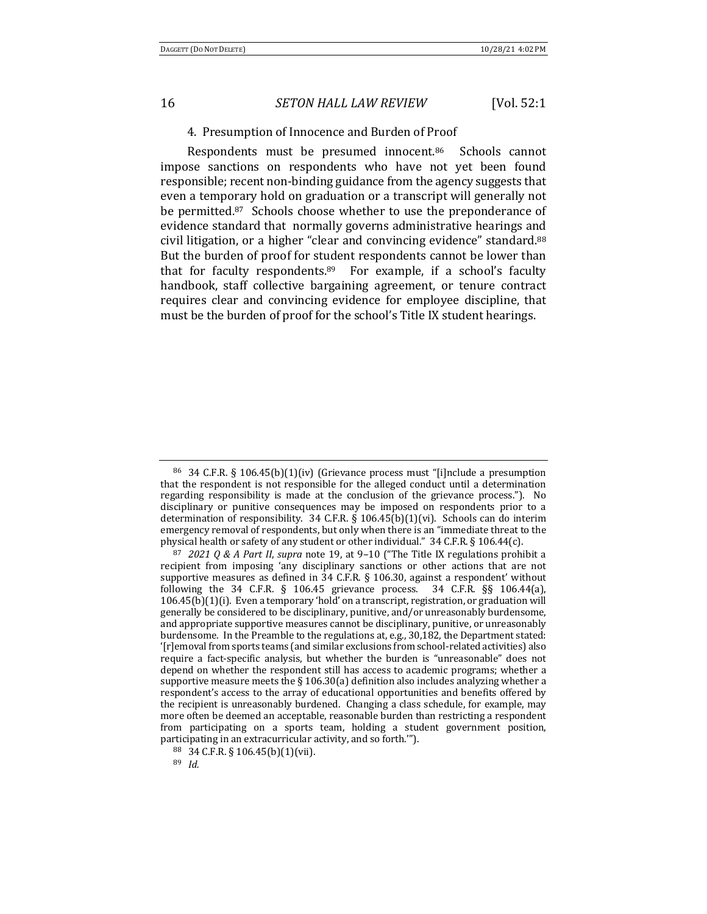#### 4. Presumption of Innocence and Burden of Proof

Respondents must be presumed innocent.<sup>86</sup> Schools cannot impose sanctions on respondents who have not yet been found responsible; recent non-binding guidance from the agency suggests that even a temporary hold on graduation or a transcript will generally not be permitted. $87$  Schools choose whether to use the preponderance of evidence standard that normally governs administrative hearings and civil litigation, or a higher "clear and convincing evidence" standard.<sup>88</sup> But the burden of proof for student respondents cannot be lower than that for faculty respondents. $89$  For example, if a school's faculty handbook, staff collective bargaining agreement, or tenure contract requires clear and convincing evidence for employee discipline, that must be the burden of proof for the school's Title IX student hearings.

<sup>&</sup>lt;sup>86</sup> 34 C.F.R. § 106.45(b)(1)(iv) (Grievance process must "[i]nclude a presumption that the respondent is not responsible for the alleged conduct until a determination regarding responsibility is made at the conclusion of the grievance process."). No disciplinary or punitive consequences may be imposed on respondents prior to a determination of responsibility.  $34$  C.F.R. §  $106.45(b)(1)(vi)$ . Schools can do interim emergency removal of respondents, but only when there is an "immediate threat to the physical health or safety of any student or other individual."  $34$  C.F.R. § 106.44(c).

<sup>87</sup> *2021 Q & A Part II, supra* note 19, at 9-10 ("The Title IX regulations prohibit a recipient from imposing 'any disciplinary sanctions or other actions that are not supportive measures as defined in  $34$  C.F.R. § 106.30, against a respondent' without following the  $34$  C.F.R. § 106.45 grievance process.  $34$  C.F.R. §§ 106.44(a),  $106.45(b)(1)(i)$ . Even a temporary 'hold' on a transcript, registration, or graduation will generally be considered to be disciplinary, punitive, and/or unreasonably burdensome, and appropriate supportive measures cannot be disciplinary, punitive, or unreasonably burdensome. In the Preamble to the regulations at, e.g., 30,182, the Department stated: '[r]emoval from sports teams (and similar exclusions from school-related activities) also require a fact-specific analysis, but whether the burden is "unreasonable" does not depend on whether the respondent still has access to academic programs; whether a supportive measure meets the  $\S 106.30(a)$  definition also includes analyzing whether a respondent's access to the array of educational opportunities and benefits offered by the recipient is unreasonably burdened. Changing a class schedule, for example, may more often be deemed an acceptable, reasonable burden than restricting a respondent from participating on a sports team, holding a student government position, participating in an extracurricular activity, and so forth.<sup>""</sup>).

<sup>88</sup> 34 C.F.R. § 106.45(b)(1)(vii).

<sup>89</sup> *Id.*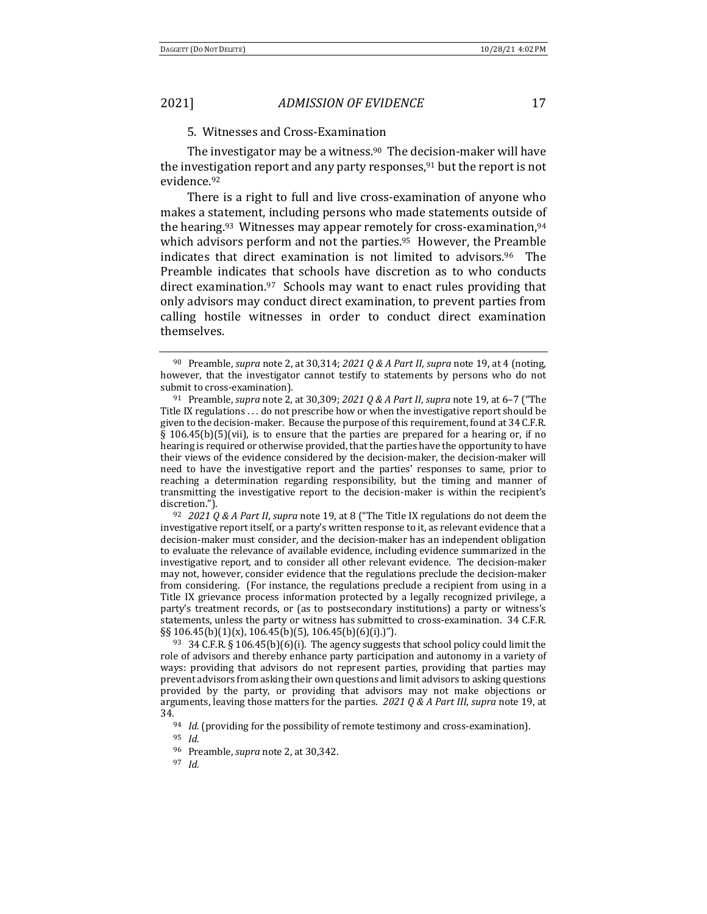## 5. Witnesses and Cross-Examination

The investigator may be a witness.<sup>90</sup> The decision-maker will have the investigation report and any party responses, $91$  but the report is not evidence.92

There is a right to full and live cross-examination of anyone who makes a statement, including persons who made statements outside of the hearing.<sup>93</sup> Witnesses may appear remotely for cross-examination,<sup>94</sup> which advisors perform and not the parties.<sup>95</sup> However, the Preamble indicates that direct examination is not limited to advisors.<sup>96</sup> The Preamble indicates that schools have discretion as to who conducts direct examination. $97$  Schools may want to enact rules providing that only advisors may conduct direct examination, to prevent parties from calling hostile witnesses in order to conduct direct examination themselves.

<sup>92</sup> *2021 Q & A Part II, supra* note 19, at 8 ("The Title IX regulations do not deem the investigative report itself, or a party's written response to it, as relevant evidence that a decision-maker must consider, and the decision-maker has an independent obligation to evaluate the relevance of available evidence, including evidence summarized in the investigative report, and to consider all other relevant evidence. The decision-maker may not, however, consider evidence that the regulations preclude the decision-maker from considering. (For instance, the regulations preclude a recipient from using in a Title IX grievance process information protected by a legally recognized privilege, a party's treatment records, or (as to postsecondary institutions) a party or witness's statements, unless the party or witness has submitted to cross-examination. 34 C.F.R.  $\S\S106.45(b)(1)(x)$ , 106.45(b)(5), 106.45(b)(6)(i).)").

<sup>93</sup> 34 C.F.R. § 106.45(b)(6)(i). The agency suggests that school policy could limit the role of advisors and thereby enhance party participation and autonomy in a variety of ways: providing that advisors do not represent parties, providing that parties may prevent advisors from asking their own questions and limit advisors to asking questions provided by the party, or providing that advisors may not make objections or arguments, leaving those matters for the parties. 2021 Q & A Part III, supra note 19, at 34.<br><sup>94</sup> *Id.* (providing for the possibility of remote testimony and cross-examination).

<sup>95</sup> *Id.*

<sup>97</sup> *Id.*

<sup>&</sup>lt;sup>90</sup> Preamble, *supra* note 2, at 30,314;  $20210 & A$  Part II, *supra* note 19, at 4 (noting, however, that the investigator cannot testify to statements by persons who do not submit to cross-examination).

<sup>91</sup> Preamble, *supra* note 2, at 30,309; 2021 Q & A Part II, *supra* note 19, at 6-7 ("The Title IX regulations  $\dots$  do not prescribe how or when the investigative report should be given to the decision-maker. Because the purpose of this requirement, found at 34 C.F.R. §  $106.45(b)(5)(vii)$ , is to ensure that the parties are prepared for a hearing or, if no hearing is required or otherwise provided, that the parties have the opportunity to have their views of the evidence considered by the decision-maker, the decision-maker will need to have the investigative report and the parties' responses to same, prior to reaching a determination regarding responsibility, but the timing and manner of transmitting the investigative report to the decision-maker is within the recipient's discretion.").

<sup>&</sup>lt;sup>96</sup> Preamble, *supra* note 2, at 30,342.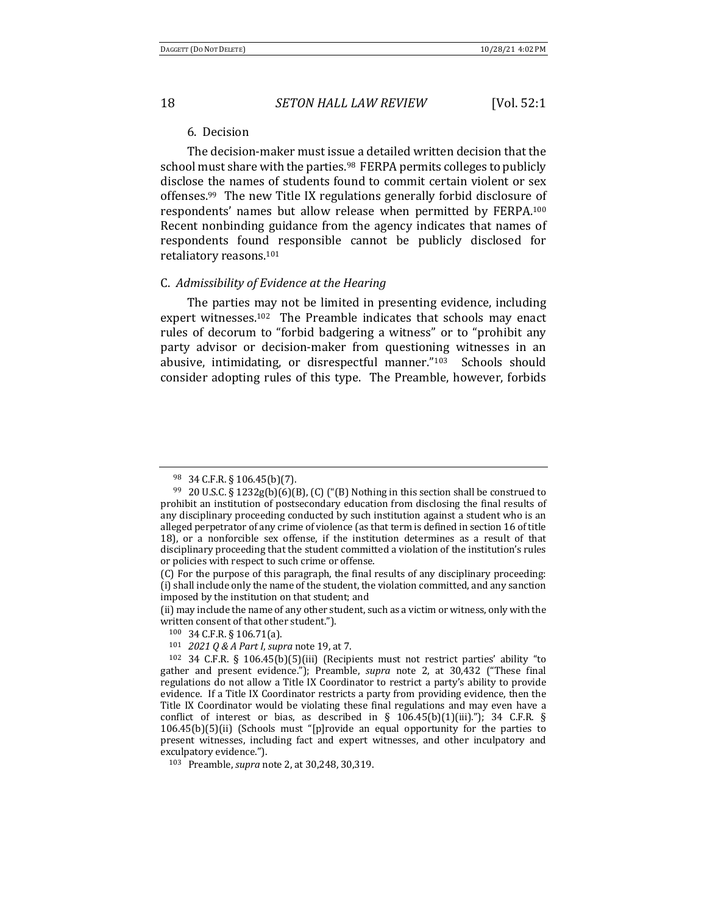#### 6. Decision

The decision-maker must issue a detailed written decision that the school must share with the parties.<sup>98</sup> FERPA permits colleges to publicly disclose the names of students found to commit certain violent or sex offenses.<sup>99</sup> The new Title IX regulations generally forbid disclosure of respondents' names but allow release when permitted by FERPA.<sup>100</sup> Recent nonbinding guidance from the agency indicates that names of respondents found responsible cannot be publicly disclosed for retaliatory reasons.<sup>101</sup>

#### C. *Admissibility of Evidence at the Hearing*

The parties may not be limited in presenting evidence, including expert witnesses.<sup>102</sup> The Preamble indicates that schools may enact rules of decorum to "forbid badgering a witness" or to "prohibit any party advisor or decision-maker from questioning witnesses in an abusive, intimidating, or disrespectful manner."103 Schools should consider adopting rules of this type. The Preamble, however, forbids

<sup>98 34</sup> C.F.R. § 106.45(b)(7).

<sup>&</sup>lt;sup>99</sup> 20 U.S.C. § 1232g(b)(6)(B), (C) ("(B) Nothing in this section shall be construed to prohibit an institution of postsecondary education from disclosing the final results of any disciplinary proceeding conducted by such institution against a student who is an alleged perpetrator of any crime of violence (as that term is defined in section 16 of title 18), or a nonforcible sex offense, if the institution determines as a result of that disciplinary proceeding that the student committed a violation of the institution's rules or policies with respect to such crime or offense.

<sup>(</sup>C) For the purpose of this paragraph, the final results of any disciplinary proceeding: (i) shall include only the name of the student, the violation committed, and any sanction imposed by the institution on that student; and

<sup>(</sup>ii) may include the name of any other student, such as a victim or witness, only with the written consent of that other student.").

<sup>100 34</sup> C.F.R. § 106.71(a).

<sup>101</sup> *2021 Q & A Part I, supra* note 19, at 7.

 $102$  34 C.F.R. § 106.45(b)(5)(iii) (Recipients must not restrict parties' ability "to gather and present evidence."); Preamble, *supra* note 2, at 30,432 ("These final regulations do not allow a Title IX Coordinator to restrict a party's ability to provide evidence. If a Title IX Coordinator restricts a party from providing evidence, then the Title IX Coordinator would be violating these final regulations and may even have a conflict of interest or bias, as described in §  $106.45(b)(1)(iii)$ ."); 34 C.F.R. §  $106.45(b)(5)(ii)$  (Schools must "[p]rovide an equal opportunity for the parties to present witnesses, including fact and expert witnesses, and other inculpatory and exculpatory evidence.").

<sup>103</sup> Preamble, *supra* note 2, at 30,248, 30,319.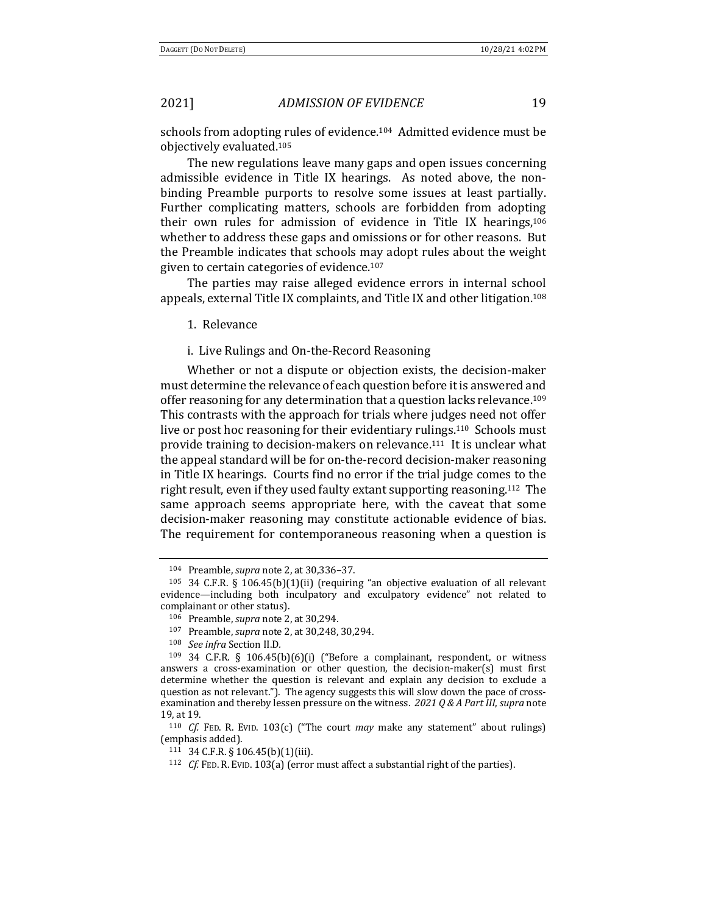schools from adopting rules of evidence.<sup>104</sup> Admitted evidence must be objectively evaluated.<sup>105</sup>

The new regulations leave many gaps and open issues concerning admissible evidence in Title IX hearings. As noted above, the nonbinding Preamble purports to resolve some issues at least partially. Further complicating matters, schools are forbidden from adopting their own rules for admission of evidence in Title IX hearings, $106$ whether to address these gaps and omissions or for other reasons. But the Preamble indicates that schools may adopt rules about the weight given to certain categories of evidence.<sup>107</sup>

The parties may raise alleged evidence errors in internal school appeals, external Title IX complaints, and Title IX and other litigation.<sup>108</sup>

1. Relevance

i. Live Rulings and On-the-Record Reasoning

Whether or not a dispute or objection exists, the decision-maker must determine the relevance of each question before it is answered and offer reasoning for any determination that a question lacks relevance.<sup>109</sup> This contrasts with the approach for trials where judges need not offer live or post hoc reasoning for their evidentiary rulings.<sup>110</sup> Schools must provide training to decision-makers on relevance.<sup>111</sup> It is unclear what the appeal standard will be for on-the-record decision-maker reasoning in Title IX hearings. Courts find no error if the trial judge comes to the right result, even if they used faulty extant supporting reasoning.<sup>112</sup> The same approach seems appropriate here, with the caveat that some decision-maker reasoning may constitute actionable evidence of bias. The requirement for contemporaneous reasoning when a question is

<sup>104</sup> Preamble, *supra* note 2, at 30,336-37.

<sup>&</sup>lt;sup>105</sup> 34 C.F.R. § 106.45(b)(1)(ii) (requiring "an objective evaluation of all relevant evidence—including both inculpatory and exculpatory evidence" not related to complainant or other status).

<sup>106</sup> Preamble, *supra* note 2, at 30,294.

<sup>107</sup> Preamble, *supra* note 2, at 30,248, 30,294.

<sup>108</sup> *See infra* Section II.D*.*

 $109$  34 C.F.R. § 106.45(b)(6)(i) ("Before a complainant, respondent, or witness answers a cross-examination or other question, the decision-maker(s) must first determine whether the question is relevant and explain any decision to exclude a question as not relevant."). The agency suggests this will slow down the pace of crossexamination and thereby lessen pressure on the witness. 2021 Q & A Part III, supra note 19, at 19.

<sup>&</sup>lt;sup>110</sup> *Cf.* FED. R. EVID.  $103(c)$  ("The court *may* make any statement" about rulings) (emphasis added).

<sup>111 34</sup> C.F.R. § 106.45(b)(1)(iii).

<sup>&</sup>lt;sup>112</sup> *Cf.* FED. R. EVID. 103(a) (error must affect a substantial right of the parties).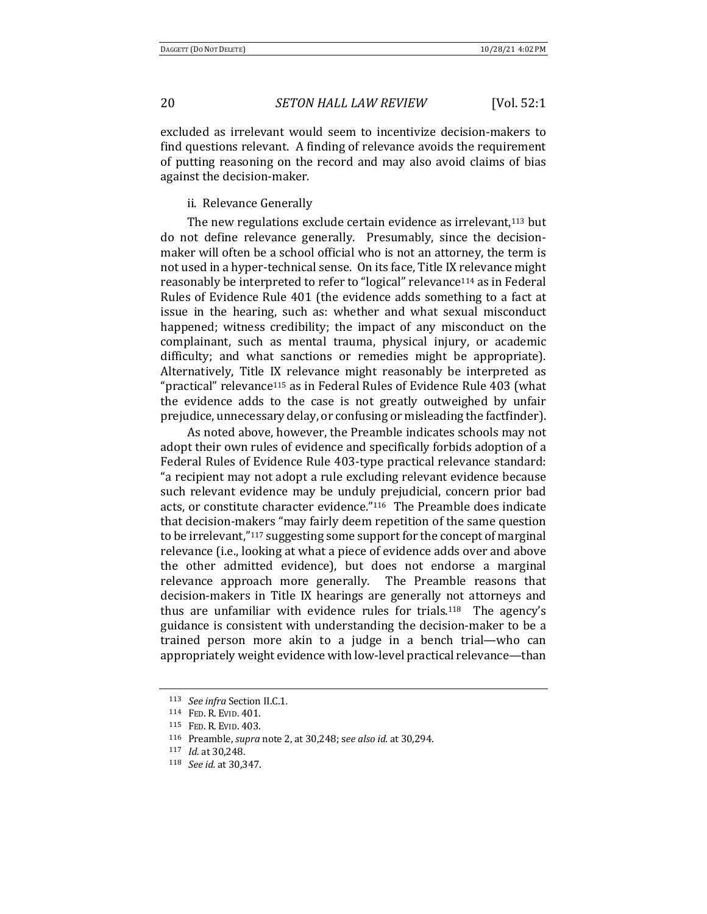excluded as irrelevant would seem to incentivize decision-makers to find questions relevant. A finding of relevance avoids the requirement of putting reasoning on the record and may also avoid claims of bias against the decision-maker.

ii. Relevance Generally

The new regulations exclude certain evidence as irrelevant,<sup>113</sup> but do not define relevance generally. Presumably, since the decisionmaker will often be a school official who is not an attorney, the term is not used in a hyper-technical sense. On its face, Title IX relevance might reasonably be interpreted to refer to "logical" relevance<sup>114</sup> as in Federal Rules of Evidence Rule 401 (the evidence adds something to a fact at issue in the hearing, such as: whether and what sexual misconduct happened; witness credibility; the impact of any misconduct on the complainant, such as mental trauma, physical injury, or academic difficulty; and what sanctions or remedies might be appropriate). Alternatively, Title IX relevance might reasonably be interpreted as "practical" relevance<sup>115</sup> as in Federal Rules of Evidence Rule  $403$  (what the evidence adds to the case is not greatly outweighed by unfair prejudice, unnecessary delay, or confusing or misleading the factfinder).

As noted above, however, the Preamble indicates schools may not adopt their own rules of evidence and specifically forbids adoption of a Federal Rules of Evidence Rule 403-type practical relevance standard: "a recipient may not adopt a rule excluding relevant evidence because such relevant evidence may be unduly prejudicial, concern prior bad acts, or constitute character evidence."<sup>116</sup> The Preamble does indicate that decision-makers "may fairly deem repetition of the same question to be irrelevant,"<sup>117</sup> suggesting some support for the concept of marginal relevance (i.e., looking at what a piece of evidence adds over and above the other admitted evidence), but does not endorse a marginal relevance approach more generally. The Preamble reasons that decision-makers in Title IX hearings are generally not attorneys and thus are unfamiliar with evidence rules for trials.<sup>118</sup> The agency's guidance is consistent with understanding the decision-maker to be a trained person more akin to a judge in a bench trial—who can appropriately weight evidence with low-level practical relevance—than

<sup>113</sup> *See infra* Section II.C.1.

<sup>114</sup> FED. R. EVID. 401.

<sup>115</sup> FED. R. EVID. 403.

<sup>116</sup> Preamble, *supra* note 2, at 30,248; see also *id.* at 30,294.

<sup>&</sup>lt;sup>117</sup> *Id.* at 30,248.

<sup>118</sup> *See id.* at 30,347.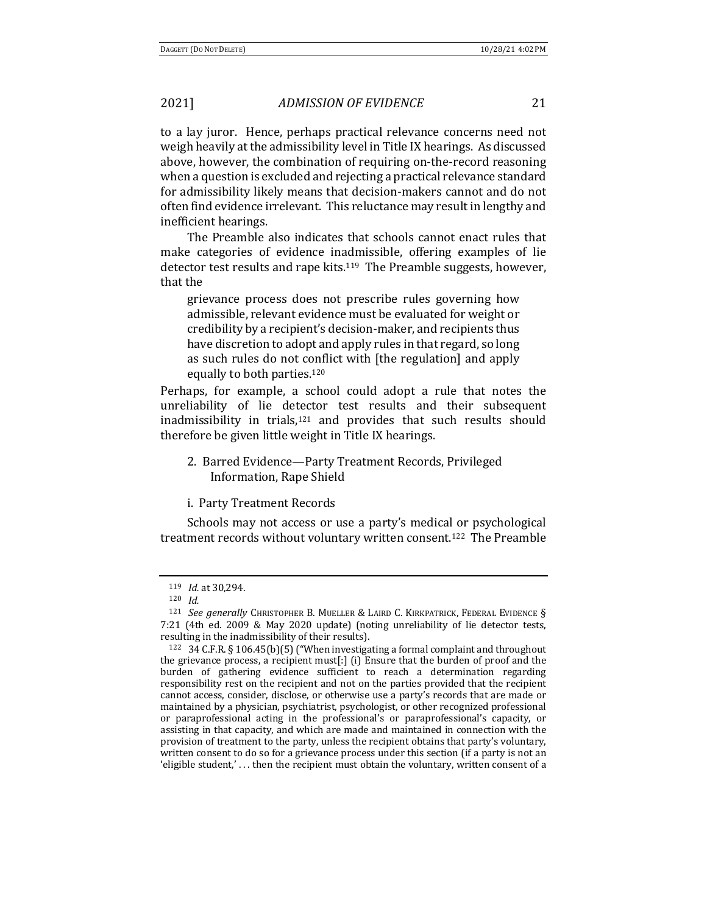to a lay juror. Hence, perhaps practical relevance concerns need not weigh heavily at the admissibility level in Title IX hearings. As discussed above, however, the combination of requiring on-the-record reasoning when a question is excluded and rejecting a practical relevance standard for admissibility likely means that decision-makers cannot and do not often find evidence irrelevant. This reluctance may result in lengthy and inefficient hearings.

The Preamble also indicates that schools cannot enact rules that make categories of evidence inadmissible, offering examples of lie detector test results and rape kits.<sup>119</sup> The Preamble suggests, however, that the

grievance process does not prescribe rules governing how admissible, relevant evidence must be evaluated for weight or credibility by a recipient's decision-maker, and recipients thus have discretion to adopt and apply rules in that regard, so long as such rules do not conflict with [the regulation] and apply equally to both parties.<sup>120</sup>

Perhaps, for example, a school could adopt a rule that notes the unreliability of lie detector test results and their subsequent inadmissibility in trials, $121$  and provides that such results should therefore be given little weight in Title IX hearings.

2. Barred Evidence-Party Treatment Records, Privileged Information, Rape Shield

i. Party Treatment Records

Schools may not access or use a party's medical or psychological treatment records without voluntary written consent.<sup>122</sup> The Preamble

<sup>119</sup> *Id.* at 30,294.

<sup>120</sup> *Id.*

<sup>&</sup>lt;sup>121</sup> *See generally* CHRISTOPHER B. MUELLER & LAIRD C. KIRKPATRICK, FEDERAL EVIDENCE § 7:21 (4th ed. 2009 & May 2020 update) (noting unreliability of lie detector tests, resulting in the inadmissibility of their results).

 $122$  34 C.F.R. § 106.45(b)(5) ("When investigating a formal complaint and throughout the grievance process, a recipient  $must[:]$  (i) Ensure that the burden of proof and the burden of gathering evidence sufficient to reach a determination regarding responsibility rest on the recipient and not on the parties provided that the recipient cannot access, consider, disclose, or otherwise use a party's records that are made or maintained by a physician, psychiatrist, psychologist, or other recognized professional or paraprofessional acting in the professional's or paraprofessional's capacity, or assisting in that capacity, and which are made and maintained in connection with the provision of treatment to the party, unless the recipient obtains that party's voluntary, written consent to do so for a grievance process under this section (if a party is not an 'eligible student,'... then the recipient must obtain the voluntary, written consent of a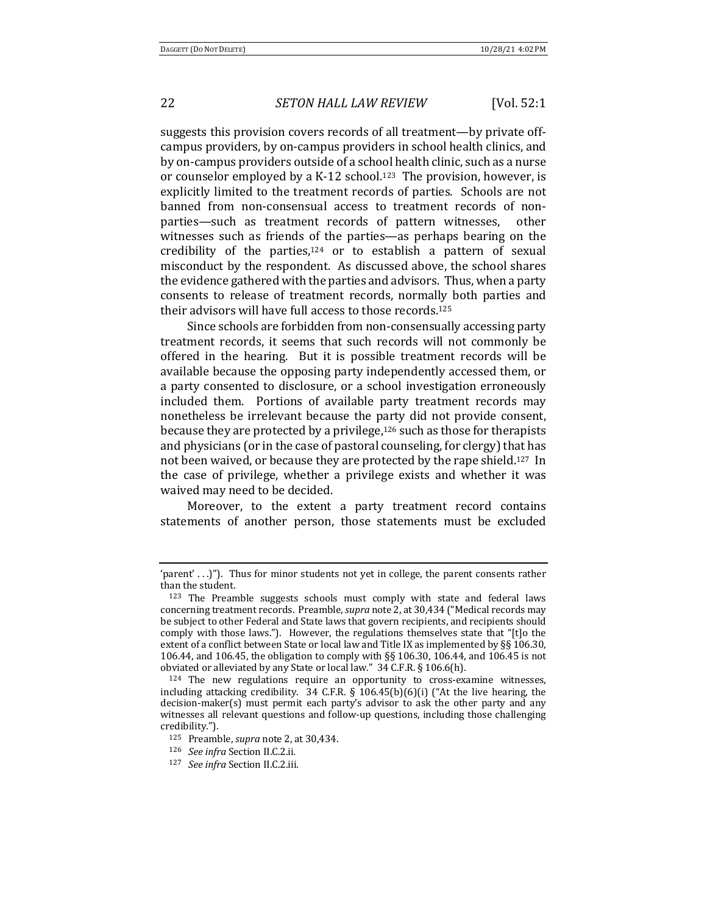suggests this provision covers records of all treatment—by private offcampus providers, by on-campus providers in school health clinics, and by on-campus providers outside of a school health clinic, such as a nurse or counselor employed by a K-12 school.<sup>123</sup> The provision, however, is explicitly limited to the treatment records of parties. Schools are not banned from non-consensual access to treatment records of nonparties—such as treatment records of pattern witnesses, other witnesses such as friends of the parties—as perhaps bearing on the credibility of the parties, $124$  or to establish a pattern of sexual misconduct by the respondent. As discussed above, the school shares the evidence gathered with the parties and advisors. Thus, when a party consents to release of treatment records, normally both parties and their advisors will have full access to those records.<sup>125</sup>

Since schools are forbidden from non-consensually accessing party treatment records, it seems that such records will not commonly be offered in the hearing. But it is possible treatment records will be available because the opposing party independently accessed them, or a party consented to disclosure, or a school investigation erroneously included them. Portions of available party treatment records may nonetheless be irrelevant because the party did not provide consent, because they are protected by a privilege, $126$  such as those for therapists and physicians (or in the case of pastoral counseling, for clergy) that has not been waived, or because they are protected by the rape shield.<sup>127</sup> In the case of privilege, whether a privilege exists and whether it was waived may need to be decided.

Moreover, to the extent a party treatment record contains statements of another person, those statements must be excluded

<sup>&#</sup>x27;parent' . . .)"). Thus for minor students not yet in college, the parent consents rather than the student.

<sup>123</sup> The Preamble suggests schools must comply with state and federal laws concerning treatment records. Preamble, *supra* note 2, at 30,434 ("Medical records may be subject to other Federal and State laws that govern recipients, and recipients should comply with those laws."). However, the regulations themselves state that "[t]o the extent of a conflict between State or local law and Title IX as implemented by  $\S$ § 106.30, 106.44, and 106.45, the obligation to comply with §§ 106.30, 106.44, and 106.45 is not obviated or alleviated by any State or local law."  $34$  C.F.R. § 106.6(h).

 $124$  The new regulations require an opportunity to cross-examine witnesses, including attacking credibility.  $34$  C.F.R. § 106.45(b)(6)(i) ("At the live hearing, the  $decision\text{-}maker(s) must permit each party's advisor to ask the other party and any$ witnesses all relevant questions and follow-up questions, including those challenging credibility.").

<sup>125</sup> Preamble, *supra* note 2, at 30,434.

<sup>126</sup> *See infra* Section II.C.2.ii.

<sup>127</sup> *See infra* Section II.C.2.iii*.*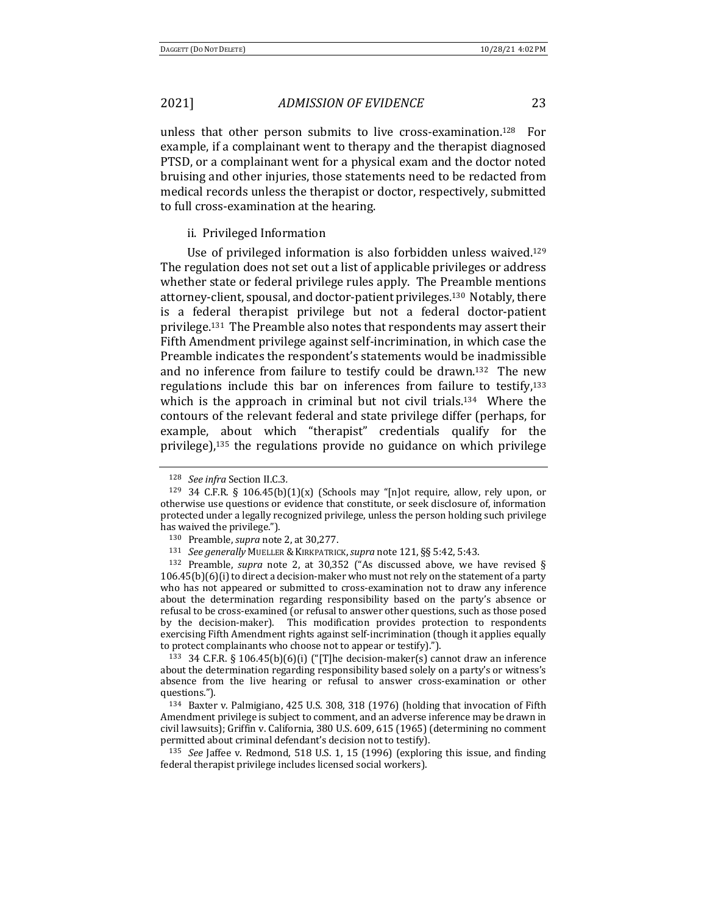unless that other person submits to live cross-examination.<sup>128</sup> For example, if a complainant went to therapy and the therapist diagnosed PTSD, or a complainant went for a physical exam and the doctor noted bruising and other injuries, those statements need to be redacted from medical records unless the therapist or doctor, respectively, submitted to full cross-examination at the hearing.

#### ii. Privileged Information

Use of privileged information is also forbidden unless waived.<sup>129</sup> The regulation does not set out a list of applicable privileges or address whether state or federal privilege rules apply. The Preamble mentions attorney-client, spousal, and doctor-patient privileges.<sup>130</sup> Notably, there is a federal therapist privilege but not a federal doctor-patient privilege.<sup>131</sup> The Preamble also notes that respondents may assert their Fifth Amendment privilege against self-incrimination, in which case the Preamble indicates the respondent's statements would be inadmissible and no inference from failure to testify could be drawn.<sup>132</sup> The new regulations include this bar on inferences from failure to testify, $133$ which is the approach in criminal but not civil trials.<sup>134</sup> Where the contours of the relevant federal and state privilege differ (perhaps, for example, about which "therapist" credentials qualify for the privilege), $135$  the regulations provide no guidance on which privilege

<sup>128</sup> *See infra* Section II.C.3*.*

<sup>&</sup>lt;sup>129</sup> 34 C.F.R. § 106.45(b)(1)(x) (Schools may "[n]ot require, allow, rely upon, or otherwise use questions or evidence that constitute, or seek disclosure of, information protected under a legally recognized privilege, unless the person holding such privilege has waived the privilege.").

<sup>130</sup> Preamble, *supra* note 2, at 30,277.

<sup>131</sup> *See generally MUELLER & KIRKPATRICK, supra note* 121, §§ 5:42, 5:43.

<sup>&</sup>lt;sup>132</sup> Preamble, *supra* note 2, at 30,352 ("As discussed above, we have revised §  $106.45(b)(6)(i)$  to direct a decision-maker who must not rely on the statement of a party who has not appeared or submitted to cross-examination not to draw any inference about the determination regarding responsibility based on the party's absence or refusal to be cross-examined (or refusal to answer other questions, such as those posed by the decision-maker). This modification provides protection to respondents exercising Fifth Amendment rights against self-incrimination (though it applies equally to protect complainants who choose not to appear or testify).").

<sup>&</sup>lt;sup>133</sup> 34 C.F.R. § 106.45(b)(6)(i) ("[T]he decision-maker(s) cannot draw an inference about the determination regarding responsibility based solely on a party's or witness's absence from the live hearing or refusal to answer cross-examination or other questions.").

<sup>&</sup>lt;sup>134</sup> Baxter v. Palmigiano, 425 U.S. 308, 318 (1976) (holding that invocation of Fifth Amendment privilege is subject to comment, and an adverse inference may be drawn in civil lawsuits); Griffin v. California, 380 U.S. 609, 615 (1965) (determining no comment permitted about criminal defendant's decision not to testify).

<sup>&</sup>lt;sup>135</sup> *See* Jaffee v. Redmond, 518 U.S. 1, 15 (1996) (exploring this issue, and finding federal therapist privilege includes licensed social workers).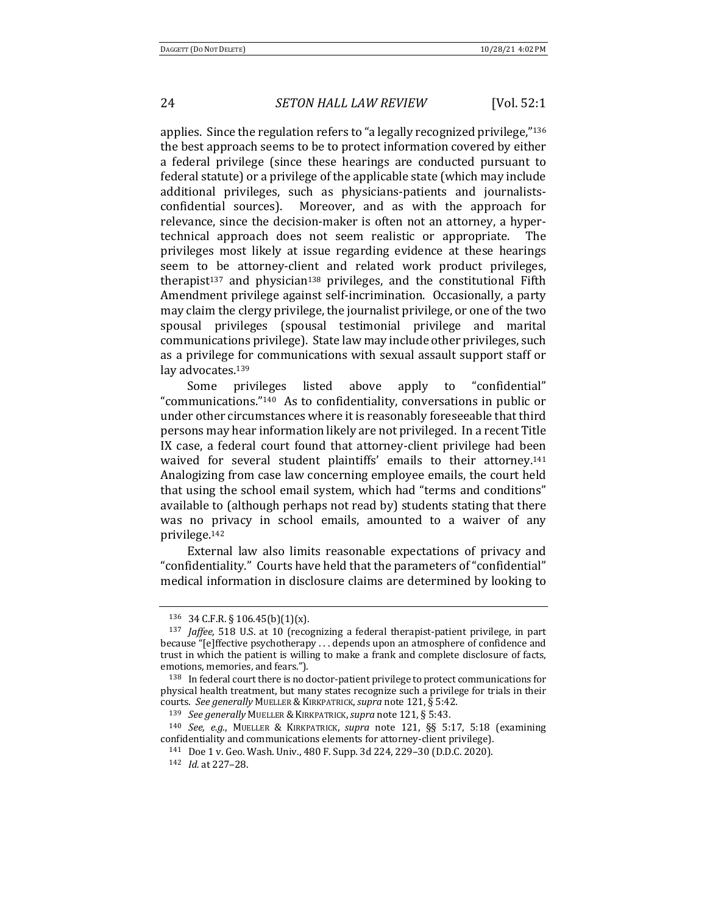applies. Since the regulation refers to "a legally recognized privilege,"<sup>136</sup> the best approach seems to be to protect information covered by either a federal privilege (since these hearings are conducted pursuant to federal statute) or a privilege of the applicable state (which may include additional privileges, such as physicians-patients and journalistsconfidential sources). Moreover, and as with the approach for relevance, since the decision-maker is often not an attorney, a hypertechnical approach does not seem realistic or appropriate. The privileges most likely at issue regarding evidence at these hearings seem to be attorney-client and related work product privileges, therapist<sup>137</sup> and physician<sup>138</sup> privileges, and the constitutional Fifth Amendment privilege against self-incrimination. Occasionally, a party may claim the clergy privilege, the journalist privilege, or one of the two spousal privileges (spousal testimonial privilege and marital communications privilege). State law may include other privileges, such as a privilege for communications with sexual assault support staff or lay advocates.<sup>139</sup>

Some privileges listed above apply to "confidential" "communications." $140$  As to confidentiality, conversations in public or under other circumstances where it is reasonably foreseeable that third persons may hear information likely are not privileged. In a recent Title IX case, a federal court found that attorney-client privilege had been waived for several student plaintiffs' emails to their attorney.<sup>141</sup> Analogizing from case law concerning employee emails, the court held that using the school email system, which had "terms and conditions" available to (although perhaps not read by) students stating that there was no privacy in school emails, amounted to a waiver of any privilege.142

External law also limits reasonable expectations of privacy and "confidentiality." Courts have held that the parameters of "confidential" medical information in disclosure claims are determined by looking to

<sup>136 34</sup> C.F.R. § 106.45(b)(1)(x).

<sup>&</sup>lt;sup>137</sup> *Jaffee*, 518 U.S. at 10 (recognizing a federal therapist-patient privilege, in part because "[e]ffective psychotherapy ... depends upon an atmosphere of confidence and trust in which the patient is willing to make a frank and complete disclosure of facts, emotions, memories, and fears.").

<sup>138</sup> In federal court there is no doctor-patient privilege to protect communications for physical health treatment, but many states recognize such a privilege for trials in their courts. See generally MUELLER & KIRKPATRICK, supra note 121, § 5:42.

<sup>&</sup>lt;sup>139</sup> *See generally* MUELLER & KIRKPATRICK, supra note 121, § 5:43.

<sup>140</sup> *See, e.g.*, MUELLER & KIRKPATRICK, *supra*  note 121, §§ 5:17, 5:18 (examining confidentiality and communications elements for attorney-client privilege).

<sup>141</sup> Doe 1 v. Geo. Wash. Univ., 480 F. Supp. 3d 224, 229–30 (D.D.C. 2020).

<sup>142</sup> *Id.* at 227-28.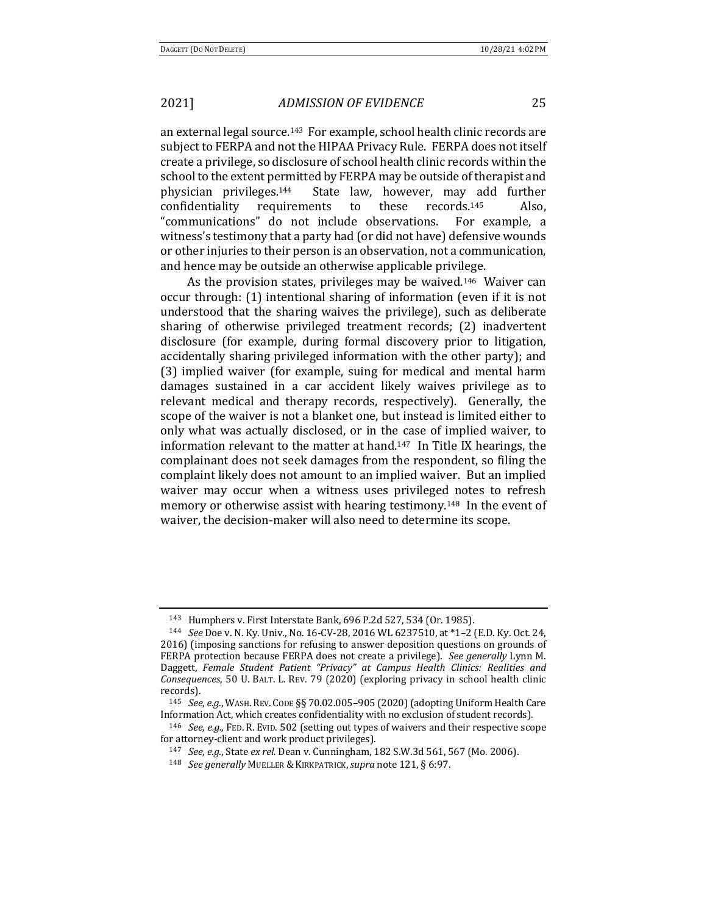an external legal source.<sup>143</sup> For example, school health clinic records are subject to FERPA and not the HIPAA Privacy Rule. FERPA does not itself create a privilege, so disclosure of school health clinic records within the school to the extent permitted by FERPA may be outside of therapist and physician privileges.144 State law, however, may add further confidentiality requirements to these records.<sup>145</sup> Also, "communications" do not include observations. For example, a witness's testimony that a party had (or did not have) defensive wounds or other injuries to their person is an observation, not a communication, and hence may be outside an otherwise applicable privilege.

As the provision states, privileges may be waived.<sup>146</sup> Waiver can occur through: (1) intentional sharing of information (even if it is not understood that the sharing waives the privilege), such as deliberate sharing of otherwise privileged treatment records; (2) inadvertent disclosure (for example, during formal discovery prior to litigation, accidentally sharing privileged information with the other party); and (3) implied waiver (for example, suing for medical and mental harm damages sustained in a car accident likely waives privilege as to relevant medical and therapy records, respectively). Generally, the scope of the waiver is not a blanket one, but instead is limited either to only what was actually disclosed, or in the case of implied waiver, to information relevant to the matter at hand.<sup>147</sup> In Title IX hearings, the complainant does not seek damages from the respondent, so filing the complaint likely does not amount to an implied waiver. But an implied waiver may occur when a witness uses privileged notes to refresh memory or otherwise assist with hearing testimony.<sup>148</sup> In the event of waiver, the decision-maker will also need to determine its scope.

<sup>143</sup> Humphers v. First Interstate Bank, 696 P.2d 527, 534 (Or. 1985).

<sup>144</sup> *See* Doe v. N. Ky. Univ., No. 16-CV-28, 2016 WL 6237510, at \*1–2 (E.D. Ky. Oct. 24, 2016) (imposing sanctions for refusing to answer deposition questions on grounds of FERPA protection because FERPA does not create a privilege). See generally Lynn M. Daggett, Female Student Patient "Privacy" at Campus Health Clinics: Realities and *Consequences*, 50 U. BALT. L. REV. 79 (2020) (exploring privacy in school health clinic records).

<sup>&</sup>lt;sup>145</sup> *See, e.g.*, WASH. REV. CODE §§ 70.02.005-905 (2020) (adopting Uniform Health Care Information Act, which creates confidentiality with no exclusion of student records).

<sup>&</sup>lt;sup>146</sup> *See, e.g.*, FED. R. EVID. 502 (setting out types of waivers and their respective scope for attorney-client and work product privileges).

<sup>147</sup> *See, e.g.*, State ex rel. Dean v. Cunningham, 182 S.W.3d 561, 567 (Mo. 2006).

<sup>148</sup> *See generally* MUELLER & KIRKPATRICK, *supra* note 121, § 6:97.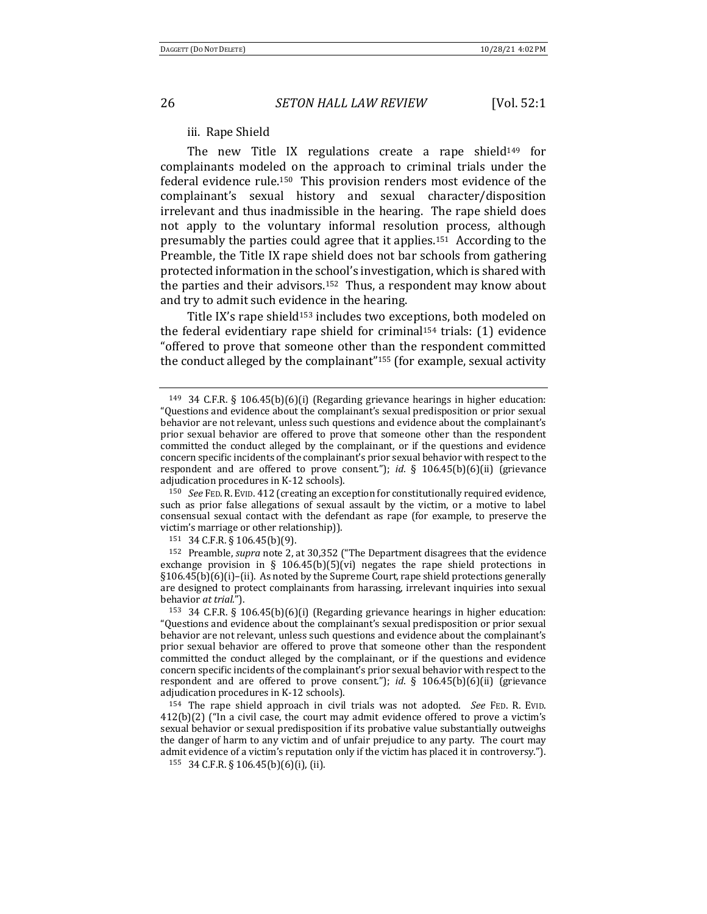iii. Rape Shield

The new Title IX regulations create a rape shield<sup>149</sup> for complainants modeled on the approach to criminal trials under the federal evidence rule.<sup>150</sup> This provision renders most evidence of the complainant's sexual history and sexual character/disposition irrelevant and thus inadmissible in the hearing. The rape shield does not apply to the voluntary informal resolution process, although presumably the parties could agree that it applies.<sup>151</sup> According to the Preamble, the Title IX rape shield does not bar schools from gathering protected information in the school's investigation, which is shared with the parties and their advisors.<sup>152</sup> Thus, a respondent may know about and try to admit such evidence in the hearing.

Title IX's rape shield<sup>153</sup> includes two exceptions, both modeled on the federal evidentiary rape shield for criminal<sup>154</sup> trials:  $(1)$  evidence "offered to prove that someone other than the respondent committed the conduct alleged by the complainant"<sup>155</sup> (for example, sexual activity

<sup>150</sup> *See* FED. R. EVID. 412 (creating an exception for constitutionally required evidence, such as prior false allegations of sexual assault by the victim, or a motive to label consensual sexual contact with the defendant as rape (for example, to preserve the victim's marriage or other relationship)).

<sup>151</sup> 34 C.F.R. § 106.45(b)(9).

<sup>152</sup> Preamble, *supra* note 2, at 30,352 ("The Department disagrees that the evidence exchange provision in § 106.45(b)(5)(vi) negates the rape shield protections in  $§106.45(b)(6)(i)–(ii)$ . As noted by the Supreme Court, rape shield protections generally are designed to protect complainants from harassing, irrelevant inquiries into sexual behavior *at trial*.").

<sup>153</sup> 34 C.F.R. § 106.45(b)(6)(i) (Regarding grievance hearings in higher education: "Questions and evidence about the complainant's sexual predisposition or prior sexual behavior are not relevant, unless such questions and evidence about the complainant's prior sexual behavior are offered to prove that someone other than the respondent committed the conduct alleged by the complainant, or if the questions and evidence concern specific incidents of the complainant's prior sexual behavior with respect to the respondent and are offered to prove consent."); *id*.  $\S$  106.45(b)(6)(ii) (grievance adjudication procedures in K-12 schools).

<sup>154</sup> The rape shield approach in civil trials was not adopted. *See* FED. R. EVID.  $412(b)(2)$  ("In a civil case, the court may admit evidence offered to prove a victim's sexual behavior or sexual predisposition if its probative value substantially outweighs the danger of harm to any victim and of unfair prejudice to any party. The court may admit evidence of a victim's reputation only if the victim has placed it in controversy."). 155 34 C.F.R. § 106.45(b)(6)(i), (ii).

<sup>&</sup>lt;sup>149</sup> 34 C.F.R. § 106.45(b)(6)(i) (Regarding grievance hearings in higher education: "Questions and evidence about the complainant's sexual predisposition or prior sexual behavior are not relevant, unless such questions and evidence about the complainant's prior sexual behavior are offered to prove that someone other than the respondent committed the conduct alleged by the complainant, or if the questions and evidence concern specific incidents of the complainant's prior sexual behavior with respect to the respondent and are offered to prove consent."); *id*. § 106.45(b)(6)(ii) (grievance adjudication procedures in K-12 schools).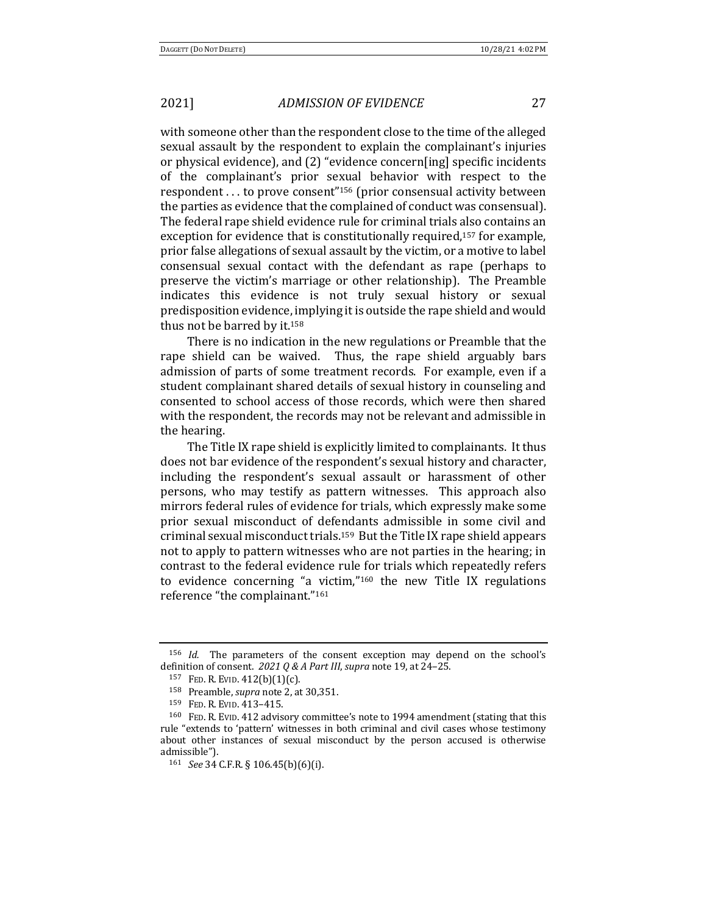with someone other than the respondent close to the time of the alleged sexual assault by the respondent to explain the complainant's injuries or physical evidence), and (2) "evidence concern[ing] specific incidents of the complainant's prior sexual behavior with respect to the respondent ... to prove consent"<sup>156</sup> (prior consensual activity between the parties as evidence that the complained of conduct was consensual). The federal rape shield evidence rule for criminal trials also contains an exception for evidence that is constitutionally required,<sup>157</sup> for example, prior false allegations of sexual assault by the victim, or a motive to label consensual sexual contact with the defendant as rape (perhaps to preserve the victim's marriage or other relationship). The Preamble indicates this evidence is not truly sexual history or sexual predisposition evidence, implying it is outside the rape shield and would thus not be barred by it.<sup>158</sup>

There is no indication in the new regulations or Preamble that the rape shield can be waived. Thus, the rape shield arguably bars admission of parts of some treatment records. For example, even if a student complainant shared details of sexual history in counseling and consented to school access of those records, which were then shared with the respondent, the records may not be relevant and admissible in the hearing.

The Title IX rape shield is explicitly limited to complainants. It thus does not bar evidence of the respondent's sexual history and character, including the respondent's sexual assault or harassment of other persons, who may testify as pattern witnesses. This approach also mirrors federal rules of evidence for trials, which expressly make some prior sexual misconduct of defendants admissible in some civil and criminal sexual misconduct trials.<sup>159</sup> But the Title IX rape shield appears not to apply to pattern witnesses who are not parties in the hearing; in contrast to the federal evidence rule for trials which repeatedly refers to evidence concerning "a victim," $160$  the new Title IX regulations reference "the complainant."161

<sup>&</sup>lt;sup>156</sup> *Id.* The parameters of the consent exception may depend on the school's definition of consent. 2021 Q & A Part III, supra note 19, at 24-25.

<sup>157</sup> FED. R. EVID. 412(b)(1)(c).

<sup>&</sup>lt;sup>158</sup> Preamble, *supra* note 2, at 30,351.

<sup>159</sup> FED. R. EVID. 413-415.

<sup>&</sup>lt;sup>160</sup> FED. R. EVID. 412 advisory committee's note to 1994 amendment (stating that this rule "extends to 'pattern' witnesses in both criminal and civil cases whose testimony about other instances of sexual misconduct by the person accused is otherwise admissible").

<sup>161</sup> *See* 34 C.F.R. § 106.45(b)(6)(i).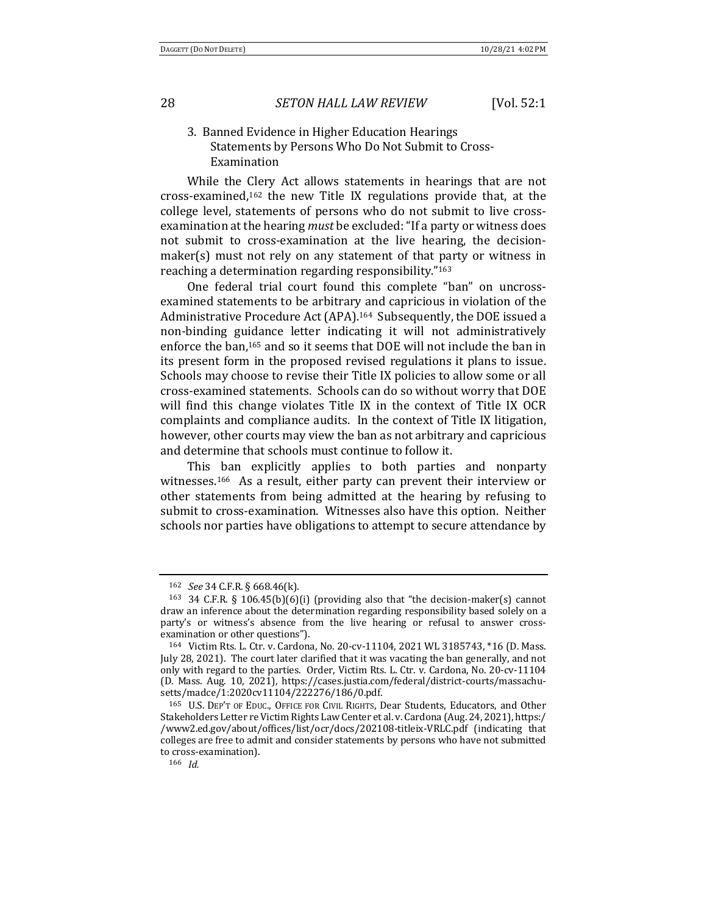## 3. Banned Evidence in Higher Education Hearings Statements by Persons Who Do Not Submit to Cross-Examination

While the Clery Act allows statements in hearings that are not cross-examined, $162$  the new Title IX regulations provide that, at the college level, statements of persons who do not submit to live crossexamination at the hearing *must* be excluded: "If a party or witness does not submit to cross-examination at the live hearing, the decisionmaker(s) must not rely on any statement of that party or witness in reaching a determination regarding responsibility."<sup>163</sup>

One federal trial court found this complete "ban" on uncrossexamined statements to be arbitrary and capricious in violation of the Administrative Procedure Act (APA).<sup>164</sup> Subsequently, the DOE issued a non-binding guidance letter indicating it will not administratively enforce the ban,<sup>165</sup> and so it seems that DOE will not include the ban in its present form in the proposed revised regulations it plans to issue. Schools may choose to revise their Title IX policies to allow some or all cross-examined statements. Schools can do so without worry that DOE will find this change violates Title IX in the context of Title IX OCR complaints and compliance audits. In the context of Title IX litigation, however, other courts may view the ban as not arbitrary and capricious and determine that schools must continue to follow it.

This ban explicitly applies to both parties and nonparty witnesses.<sup>166</sup> As a result, either party can prevent their interview or other statements from being admitted at the hearing by refusing to submit to cross-examination. Witnesses also have this option. Neither schools nor parties have obligations to attempt to secure attendance by

<sup>162</sup> *See* 34 C.F.R. § 668.46(k).

<sup>&</sup>lt;sup>163</sup> 34 C.F.R. § 106.45(b)(6)(i) (providing also that "the decision-maker(s) cannot draw an inference about the determination regarding responsibility based solely on a party's or witness's absence from the live hearing or refusal to answer crossexamination or other questions").

<sup>164</sup> Victim Rts. L. Ctr. v. Cardona, No. 20-cv-11104, 2021 WL 3185743, \*16 (D. Mass. July 28, 2021). The court later clarified that it was vacating the ban generally, and not only with regard to the parties. Order, Victim Rts. L. Ctr. v. Cardona, No. 20-cv-11104 (D. Mass. Aug. 10, 2021), https://cases.justia.com/federal/district-courts/massachusetts/madce/1:2020cv11104/222276/186/0.pdf.

<sup>&</sup>lt;sup>165</sup> U.S. DEP'T OF EDUC., OFFICE FOR CIVIL RIGHTS, Dear Students, Educators, and Other Stakeholders Letter re Victim Rights Law Center et al. v. Cardona (Aug. 24, 2021), https:/ /www2.ed.gov/about/offices/list/ocr/docs/202108-titleix-VRLC.pdf (indicating that colleges are free to admit and consider statements by persons who have not submitted to cross-examination).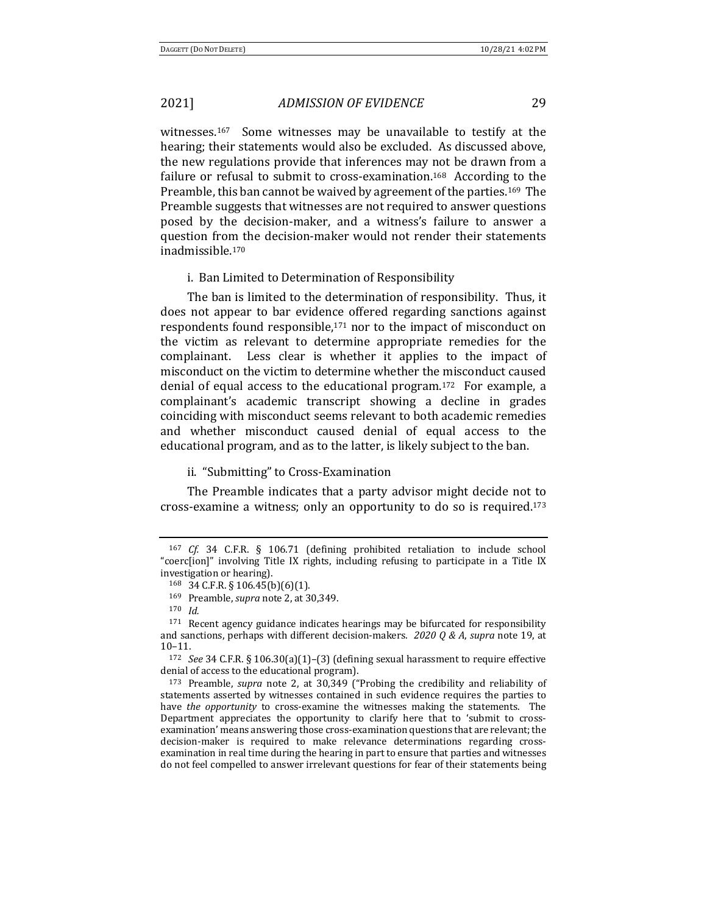witnesses.<sup>167</sup> Some witnesses may be unavailable to testify at the hearing; their statements would also be excluded. As discussed above, the new regulations provide that inferences may not be drawn from a failure or refusal to submit to cross-examination.<sup>168</sup> According to the Preamble, this ban cannot be waived by agreement of the parties.<sup>169</sup> The Preamble suggests that witnesses are not required to answer questions posed by the decision-maker, and a witness's failure to answer a question from the decision-maker would not render their statements inadmissible.170

#### i. Ban Limited to Determination of Responsibility

The ban is limited to the determination of responsibility. Thus, it does not appear to bar evidence offered regarding sanctions against respondents found responsible, $171$  nor to the impact of misconduct on the victim as relevant to determine appropriate remedies for the complainant. Less clear is whether it applies to the impact of misconduct on the victim to determine whether the misconduct caused denial of equal access to the educational program.<sup>172</sup> For example, a complainant's academic transcript showing a decline in grades coinciding with misconduct seems relevant to both academic remedies and whether misconduct caused denial of equal access to the educational program, and as to the latter, is likely subject to the ban.

### ii. "Submitting" to Cross-Examination

The Preamble indicates that a party advisor might decide not to cross-examine a witness; only an opportunity to do so is required.<sup>173</sup>

<sup>&</sup>lt;sup>167</sup> *Cf.* 34 C.F.R. § 106.71 (defining prohibited retaliation to include school "coerc[ion]" involving Title IX rights, including refusing to participate in a Title IX investigation or hearing).

 $168$  34 C.F.R. § 106.45(b)(6)(1).

<sup>169</sup> Preamble, *supra* note 2, at 30,349.

<sup>170</sup> *Id.*

 $^{171}\,$  Recent agency guidance indicates hearings may be bifurcated for responsibility and sanctions, perhaps with different decision-makers.  $2020 Q \& A$ , supra note 19, at 10–11.

<sup>&</sup>lt;sup>172</sup> *See* 34 C.F.R. § 106.30(a)(1)-(3) (defining sexual harassment to require effective denial of access to the educational program).

<sup>&</sup>lt;sup>173</sup> Preamble, *supra* note 2, at 30,349 ("Probing the credibility and reliability of statements asserted by witnesses contained in such evidence requires the parties to have *the opportunity* to cross-examine the witnesses making the statements. The Department appreciates the opportunity to clarify here that to 'submit to crossexamination' means answering those cross-examination questions that are relevant; the decision-maker is required to make relevance determinations regarding crossexamination in real time during the hearing in part to ensure that parties and witnesses do not feel compelled to answer irrelevant questions for fear of their statements being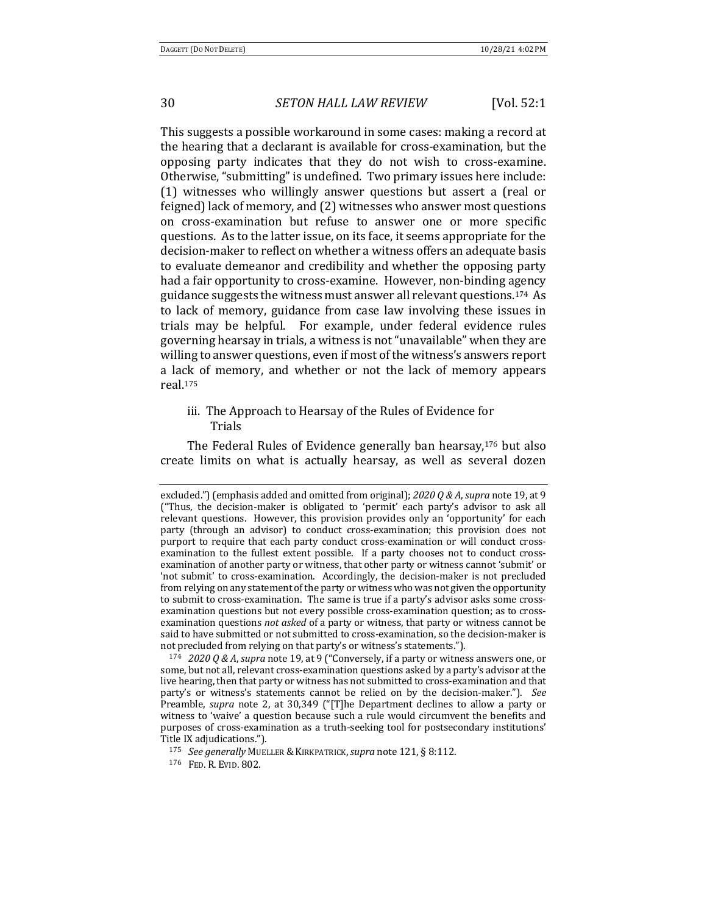This suggests a possible workaround in some cases: making a record at the hearing that a declarant is available for cross-examination, but the opposing party indicates that they do not wish to cross-examine. Otherwise, "submitting" is undefined. Two primary issues here include:  $(1)$  witnesses who willingly answer questions but assert a (real or feigned) lack of memory, and (2) witnesses who answer most questions on cross-examination but refuse to answer one or more specific questions. As to the latter issue, on its face, it seems appropriate for the decision-maker to reflect on whether a witness offers an adequate basis to evaluate demeanor and credibility and whether the opposing party had a fair opportunity to cross-examine. However, non-binding agency guidance suggests the witness must answer all relevant questions.<sup>174</sup> As to lack of memory, guidance from case law involving these issues in trials may be helpful. For example, under federal evidence rules governing hearsay in trials, a witness is not "unavailable" when they are willing to answer questions, even if most of the witness's answers report a lack of memory, and whether or not the lack of memory appears real.175

## iii. The Approach to Hearsay of the Rules of Evidence for Trials

The Federal Rules of Evidence generally ban hearsay, $176$  but also create limits on what is actually hearsay, as well as several dozen

<sup>174</sup> *2020 Q & A, supra* note 19, at 9 ("Conversely, if a party or witness answers one, or some, but not all, relevant cross-examination questions asked by a party's advisor at the live hearing, then that party or witness has not submitted to cross-examination and that party's or witness's statements cannot be relied on by the decision-maker."). See Preamble, *supra* note 2, at 30,349 ("[T]he Department declines to allow a party or witness to 'waive' a question because such a rule would circumvent the benefits and purposes of cross-examination as a truth-seeking tool for postsecondary institutions' Title IX adjudications.").

<sup>176</sup> FED. R. EVID. 802.

excluded.") (emphasis added and omitted from original);  $2020 Q & A$ , *supra* note 19, at 9 ("Thus, the decision-maker is obligated to 'permit' each party's advisor to ask all relevant questions. However, this provision provides only an 'opportunity' for each party (through an advisor) to conduct cross-examination; this provision does not purport to require that each party conduct cross-examination or will conduct crossexamination to the fullest extent possible. If a party chooses not to conduct crossexamination of another party or witness, that other party or witness cannot 'submit' or 'not submit' to cross-examination. Accordingly, the decision-maker is not precluded from relying on any statement of the party or witness who was not given the opportunity to submit to cross-examination. The same is true if a party's advisor asks some crossexamination questions but not every possible cross-examination question; as to crossexamination questions *not asked* of a party or witness, that party or witness cannot be said to have submitted or not submitted to cross-examination, so the decision-maker is not precluded from relying on that party's or witness's statements.").

<sup>175</sup> *See generally* MUELLER &KIRKPATRICK,*supra* note 121, § 8:112.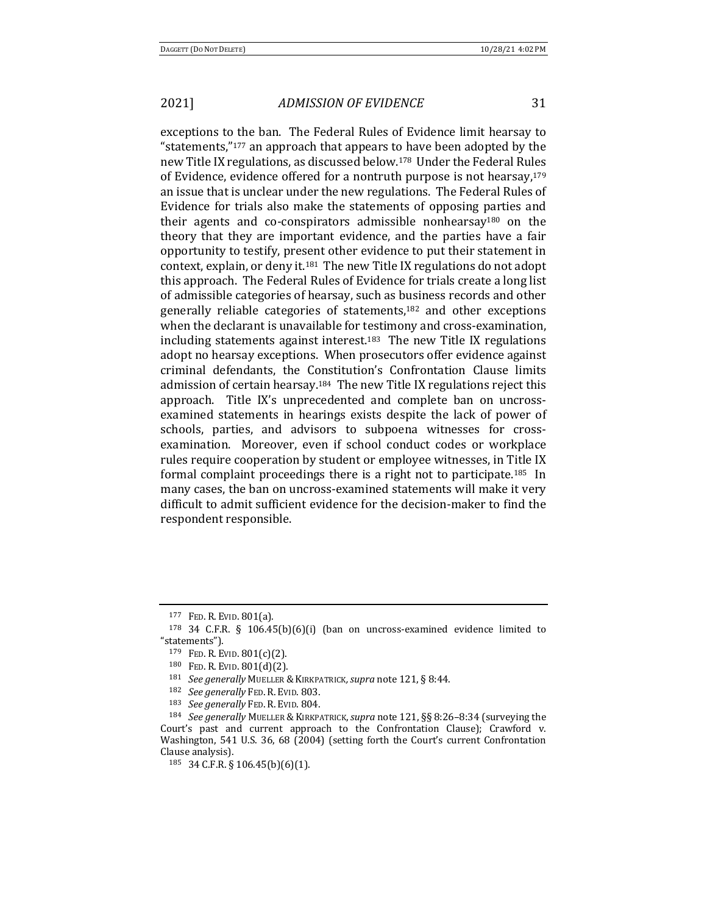exceptions to the ban. The Federal Rules of Evidence limit hearsay to "statements,"<sup>177</sup> an approach that appears to have been adopted by the new Title IX regulations, as discussed below.<sup>178</sup> Under the Federal Rules of Evidence, evidence offered for a nontruth purpose is not hearsay, $179$ an issue that is unclear under the new regulations. The Federal Rules of Evidence for trials also make the statements of opposing parties and their agents and co-conspirators admissible nonhearsay<sup>180</sup> on the theory that they are important evidence, and the parties have a fair opportunity to testify, present other evidence to put their statement in context, explain, or deny it.<sup>181</sup> The new Title IX regulations do not adopt this approach. The Federal Rules of Evidence for trials create a long list of admissible categories of hearsay, such as business records and other generally reliable categories of statements,<sup>182</sup> and other exceptions when the declarant is unavailable for testimony and cross-examination, including statements against interest.<sup>183</sup> The new Title IX regulations adopt no hearsay exceptions. When prosecutors offer evidence against criminal defendants, the Constitution's Confrontation Clause limits admission of certain hearsay.<sup>184</sup> The new Title IX regulations reject this approach. Title IX's unprecedented and complete ban on uncrossexamined statements in hearings exists despite the lack of power of schools, parties, and advisors to subpoena witnesses for crossexamination. Moreover, even if school conduct codes or workplace rules require cooperation by student or employee witnesses, in Title IX formal complaint proceedings there is a right not to participate.<sup>185</sup> In many cases, the ban on uncross-examined statements will make it very difficult to admit sufficient evidence for the decision-maker to find the respondent responsible.

<sup>177</sup> FED. R. EVID. 801(a).

<sup>&</sup>lt;sup>178</sup> 34 C.F.R. § 106.45(b)(6)(i) (ban on uncross-examined evidence limited to "statements").

<sup>179</sup> FED. R. EVID. 801(c)(2).

<sup>180</sup> FED. R. EVID. 801(d)(2).

<sup>181</sup> *See generally* MUELLER & KIRKPATRICK, supra note 121, § 8:44.

<sup>&</sup>lt;sup>182</sup> *See generally* FED. R. EVID. 803.

<sup>183</sup> *See generally* FED. R. EVID. 804.

<sup>&</sup>lt;sup>184</sup> *See generally* MUELLER & KIRKPATRICK, supra note 121, §§ 8:26-8:34 (surveying the Court's past and current approach to the Confrontation Clause); Crawford v. Washington, 541 U.S. 36, 68 (2004) (setting forth the Court's current Confrontation Clause analysis).

<sup>185</sup> 34 C.F.R. § 106.45(b)(6)(1).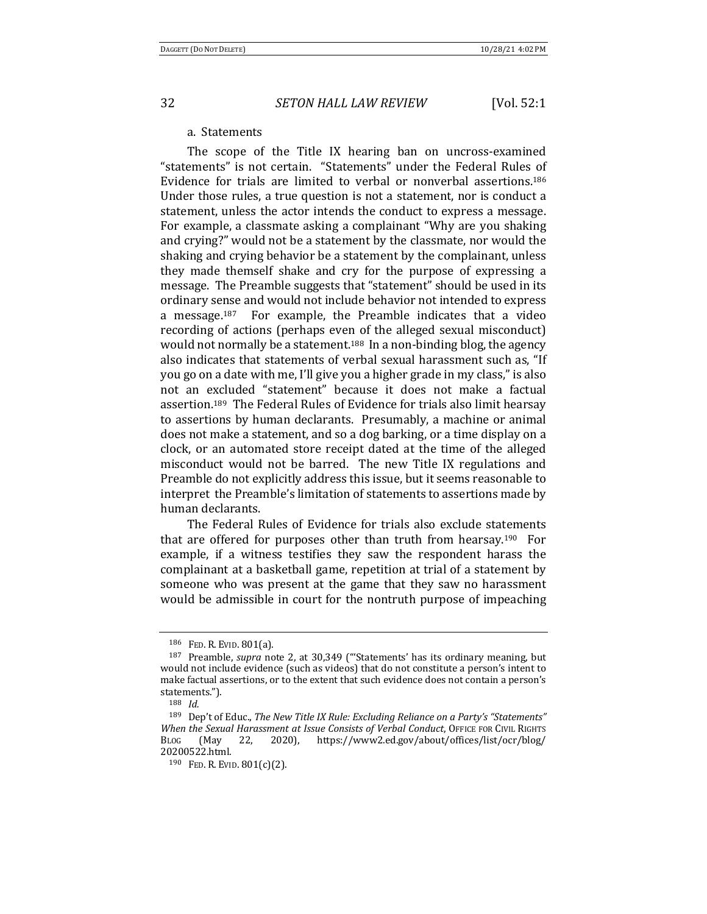#### a. Statements

The scope of the Title IX hearing ban on uncross-examined "statements" is not certain. "Statements" under the Federal Rules of Evidence for trials are limited to verbal or nonverbal assertions.<sup>186</sup> Under those rules, a true question is not a statement, nor is conduct a statement, unless the actor intends the conduct to express a message. For example, a classmate asking a complainant "Why are you shaking and crying?" would not be a statement by the classmate, nor would the shaking and crying behavior be a statement by the complainant, unless they made themself shake and cry for the purpose of expressing a message. The Preamble suggests that "statement" should be used in its ordinary sense and would not include behavior not intended to express a message.<sup>187</sup> For example, the Preamble indicates that a video recording of actions (perhaps even of the alleged sexual misconduct) would not normally be a statement.<sup>188</sup> In a non-binding blog, the agency also indicates that statements of verbal sexual harassment such as, "If you go on a date with me, I'll give you a higher grade in my class," is also not an excluded "statement" because it does not make a factual assertion.<sup>189</sup> The Federal Rules of Evidence for trials also limit hearsay to assertions by human declarants. Presumably, a machine or animal does not make a statement, and so a dog barking, or a time display on a clock, or an automated store receipt dated at the time of the alleged misconduct would not be barred. The new Title IX regulations and Preamble do not explicitly address this issue, but it seems reasonable to interpret the Preamble's limitation of statements to assertions made by human declarants.

The Federal Rules of Evidence for trials also exclude statements that are offered for purposes other than truth from hearsay.<sup>190</sup> For example, if a witness testifies they saw the respondent harass the complainant at a basketball game, repetition at trial of a statement by someone who was present at the game that they saw no harassment would be admissible in court for the nontruth purpose of impeaching

<sup>186</sup> FED. R. EVID. 801(a).

<sup>&</sup>lt;sup>187</sup> Preamble, *supra* note 2, at 30,349 ("Statements' has its ordinary meaning, but would not include evidence (such as videos) that do not constitute a person's intent to make factual assertions, or to the extent that such evidence does not contain a person's statements.").

<sup>188</sup> *Id.*

<sup>&</sup>lt;sup>189</sup> Dep't of Educ., *The New Title IX Rule: Excluding Reliance on a Party's "Statements" When the Sexual Harassment at Issue Consists of Verbal Conduct*, OFFICE FOR CIVIL RIGHTS BLOG (May 22, 2020), https://www2.ed.gov/about/offices/list/ocr/blog/ 20200522.html.

 $190$  FED. R. EVID.  $801(c)(2)$ .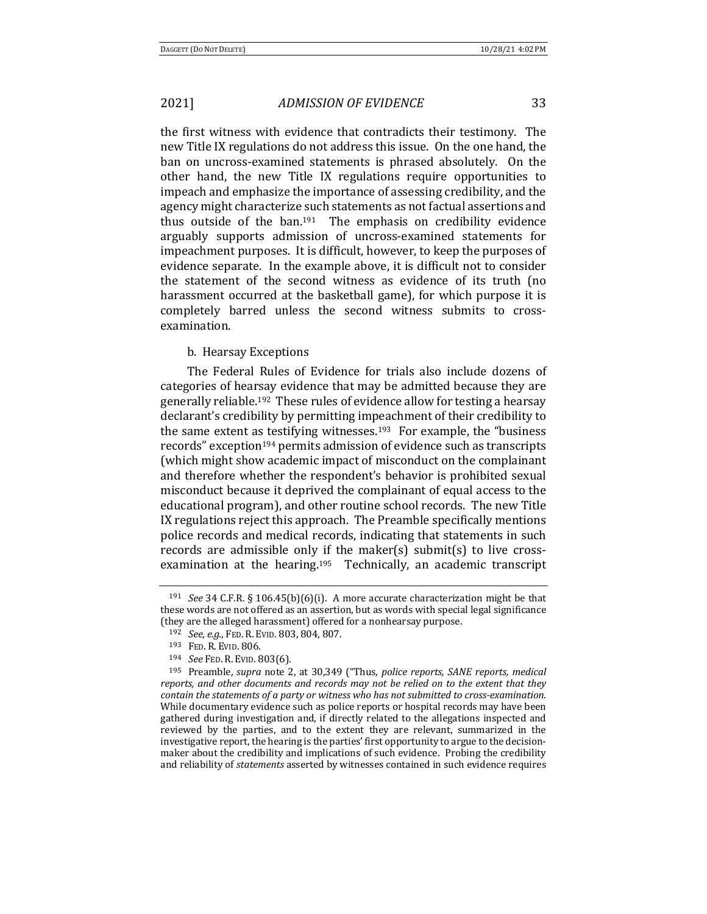the first witness with evidence that contradicts their testimony. The new Title IX regulations do not address this issue. On the one hand, the ban on uncross-examined statements is phrased absolutely. On the other hand, the new Title IX regulations require opportunities to impeach and emphasize the importance of assessing credibility, and the agency might characterize such statements as not factual assertions and thus outside of the  $ban.191$  The emphasis on credibility evidence arguably supports admission of uncross-examined statements for impeachment purposes. It is difficult, however, to keep the purposes of evidence separate. In the example above, it is difficult not to consider the statement of the second witness as evidence of its truth (no harassment occurred at the basketball game), for which purpose it is completely barred unless the second witness submits to crossexamination. 

### b. Hearsay Exceptions

The Federal Rules of Evidence for trials also include dozens of categories of hearsay evidence that may be admitted because they are generally reliable.<sup>192</sup> These rules of evidence allow for testing a hearsay declarant's credibility by permitting impeachment of their credibility to the same extent as testifying witnesses.<sup>193</sup> For example, the "business" records" exception<sup>194</sup> permits admission of evidence such as transcripts (which might show academic impact of misconduct on the complainant and therefore whether the respondent's behavior is prohibited sexual misconduct because it deprived the complainant of equal access to the educational program), and other routine school records. The new Title IX regulations reject this approach. The Preamble specifically mentions police records and medical records, indicating that statements in such records are admissible only if the maker(s) submit(s) to live crossexamination at the hearing.<sup>195</sup> Technically, an academic transcript

<sup>&</sup>lt;sup>191</sup> *See* 34 C.F.R. § 106.45(b)(6)(i). A more accurate characterization might be that these words are not offered as an assertion, but as words with special legal significance (they are the alleged harassment) offered for a nonhearsay purpose.

<sup>192</sup> *See, e.g.*, FED. R. EVID. 803, 804, 807.

<sup>193</sup> FED. R. EVID. 806.

<sup>194</sup> *See* FED. R. EVID. 803(6).

<sup>195</sup> Preamble, *supra* note 2, at 30,349 ("Thus, *police reports, SANE reports, medical* reports, and other documents and records may not be relied on to the extent that they *contain the statements of a party or witness who has not submitted to cross-examination.* While documentary evidence such as police reports or hospital records may have been gathered during investigation and, if directly related to the allegations inspected and reviewed by the parties, and to the extent they are relevant, summarized in the investigative report, the hearing is the parties' first opportunity to argue to the decisionmaker about the credibility and implications of such evidence. Probing the credibility and reliability of *statements* asserted by witnesses contained in such evidence requires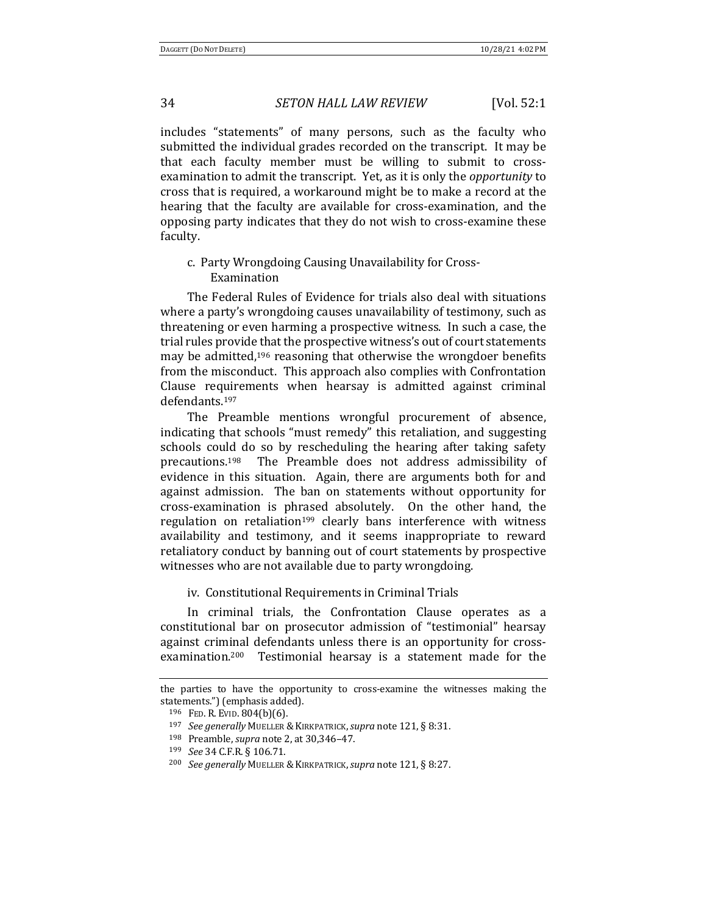includes "statements" of many persons, such as the faculty who submitted the individual grades recorded on the transcript. It may be that each faculty member must be willing to submit to crossexamination to admit the transcript. Yet, as it is only the *opportunity* to cross that is required, a workaround might be to make a record at the hearing that the faculty are available for cross-examination, and the opposing party indicates that they do not wish to cross-examine these faculty. 

c. Party Wrongdoing Causing Unavailability for Cross-Examination 

The Federal Rules of Evidence for trials also deal with situations where a party's wrongdoing causes unavailability of testimony, such as threatening or even harming a prospective witness. In such a case, the trial rules provide that the prospective witness's out of court statements may be admitted, $196$  reasoning that otherwise the wrongdoer benefits from the misconduct. This approach also complies with Confrontation Clause requirements when hearsay is admitted against criminal defendants.197

The Preamble mentions wrongful procurement of absence, indicating that schools "must remedy" this retaliation, and suggesting schools could do so by rescheduling the hearing after taking safety precautions.<sup>198</sup> The Preamble does not address admissibility of evidence in this situation. Again, there are arguments both for and against admission. The ban on statements without opportunity for cross-examination is phrased absolutely. On the other hand, the regulation on retaliation<sup>199</sup> clearly bans interference with witness availability and testimony, and it seems inappropriate to reward retaliatory conduct by banning out of court statements by prospective witnesses who are not available due to party wrongdoing.

iv. Constitutional Requirements in Criminal Trials

In criminal trials, the Confrontation Clause operates as a constitutional bar on prosecutor admission of "testimonial" hearsay against criminal defendants unless there is an opportunity for crossexamination.<sup>200</sup> Testimonial hearsay is a statement made for the

the parties to have the opportunity to cross-examine the witnesses making the statements.") (emphasis added).

<sup>196</sup> FED. R. EVID.  $804(b)(6)$ .

<sup>197</sup> *See generally* MUELLER & KIRKPATRICK, *supra* note 121, § 8:31.

<sup>198</sup> Preamble, *supra* note 2, at 30,346-47.

<sup>199</sup> *See* 34 C.F.R. § 106.71.

<sup>200</sup> *See generally* MUELLER &KIRKPATRICK,*supra* note 121, § 8:27.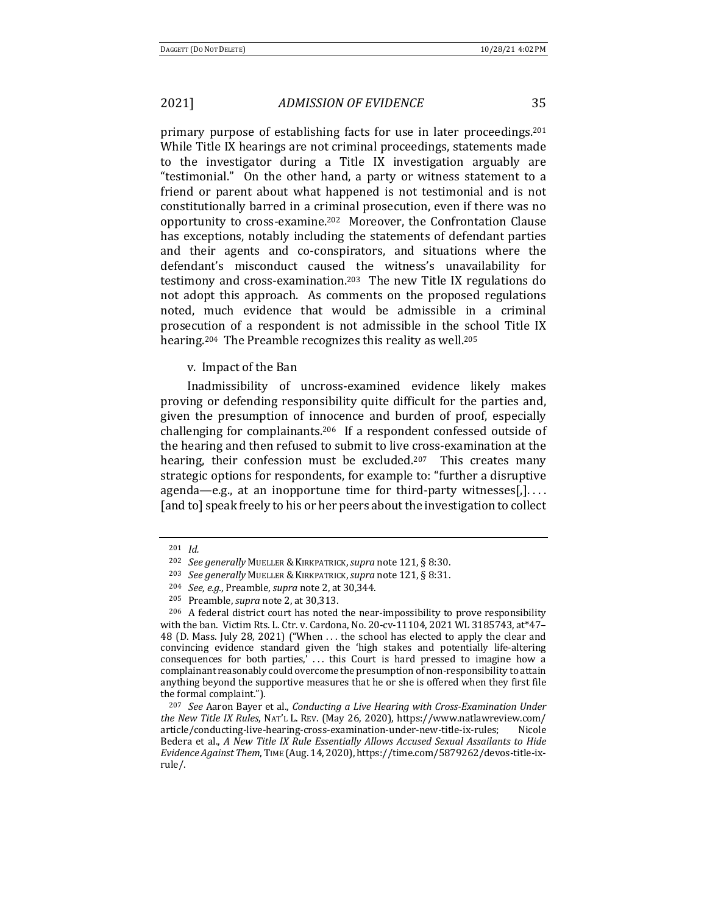primary purpose of establishing facts for use in later proceedings.<sup>201</sup> While Title IX hearings are not criminal proceedings, statements made to the investigator during a Title IX investigation arguably are "testimonial." On the other hand, a party or witness statement to a friend or parent about what happened is not testimonial and is not constitutionally barred in a criminal prosecution, even if there was no opportunity to cross-examine.<sup>202</sup> Moreover, the Confrontation Clause has exceptions, notably including the statements of defendant parties and their agents and co-conspirators, and situations where the defendant's misconduct caused the witness's unavailability for testimony and cross-examination.<sup>203</sup> The new Title IX regulations do not adopt this approach. As comments on the proposed regulations noted, much evidence that would be admissible in a criminal prosecution of a respondent is not admissible in the school Title IX hearing.<sup>204</sup> The Preamble recognizes this reality as well.<sup>205</sup>

#### v. Impact of the Ban

Inadmissibility of uncross-examined evidence likely makes proving or defending responsibility quite difficult for the parties and, given the presumption of innocence and burden of proof, especially challenging for complainants.<sup>206</sup> If a respondent confessed outside of the hearing and then refused to submit to live cross-examination at the hearing, their confession must be excluded.<sup>207</sup> This creates many strategic options for respondents, for example to: "further a disruptive agenda—e.g., at an inopportune time for third-party witnesses[,].... [and to] speak freely to his or her peers about the investigation to collect

<sup>201</sup> *Id.*

<sup>202</sup> *See generally* MUELLER &KIRKPATRICK,*supra* note 121, § 8:30.

<sup>203</sup> *See generally* MUELLER &KIRKPATRICK,*supra* note 121, § 8:31.

<sup>204</sup> *See, e.g.*, Preamble, *supra* note 2, at 30,344.

<sup>&</sup>lt;sup>205</sup> Preamble, *supra* note 2, at 30,313.

 $206$  A federal district court has noted the near-impossibility to prove responsibility with the ban. Victim Rts. L. Ctr. v. Cardona, No. 20-cv-11104, 2021 WL 3185743,  $at*47-$ 48 (D. Mass. July 28, 2021) ("When ... the school has elected to apply the clear and convincing evidence standard given the 'high stakes and potentially life-altering consequences for both parties,' ... this Court is hard pressed to imagine how a complainant reasonably could overcome the presumption of non-responsibility to attain anything beyond the supportive measures that he or she is offered when they first file the formal complaint.").

<sup>&</sup>lt;sup>207</sup> *See* Aaron Bayer et al., *Conducting a Live Hearing with Cross-Examination Under the New Title IX Rules*, NAT'L L. REV. (May 26, 2020), https://www.natlawreview.com/ article/conducting-live-hearing-cross-examination-under-new-title-ix-rules; Nicole Bedera et al., *A New Title IX Rule Essentially Allows Accused Sexual Assailants to Hide Evidence Against Them*, TIME (Aug. 14, 2020), https://time.com/5879262/devos-title-ixrule/.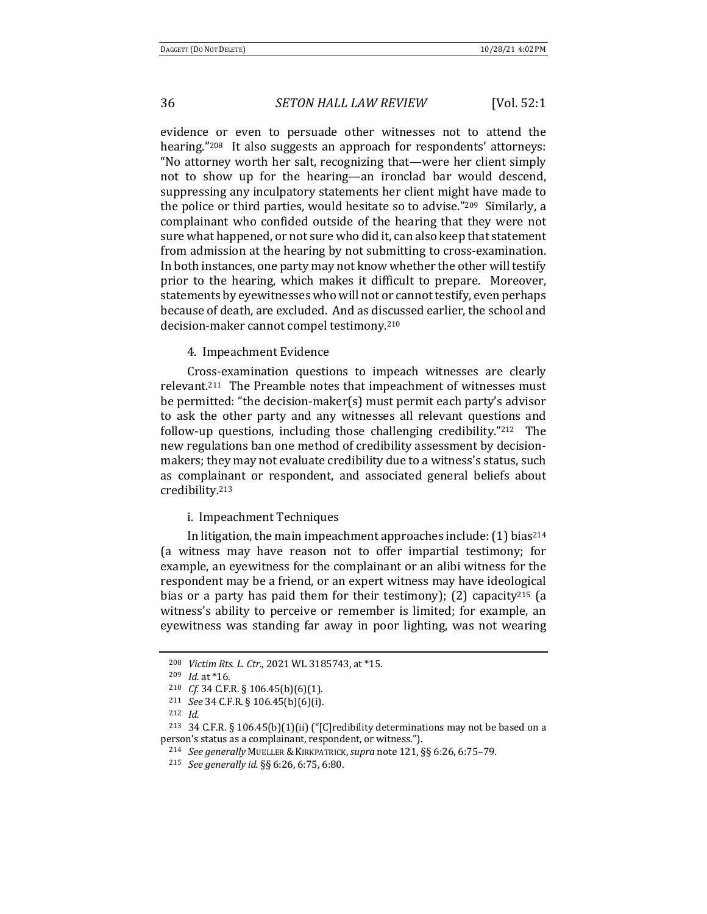evidence or even to persuade other witnesses not to attend the hearing."<sup>208</sup> It also suggests an approach for respondents' attorneys: "No attorney worth her salt, recognizing that—were her client simply not to show up for the hearing—an ironclad bar would descend, suppressing any inculpatory statements her client might have made to the police or third parties, would hesitate so to advise." $209$  Similarly, a complainant who confided outside of the hearing that they were not sure what happened, or not sure who did it, can also keep that statement from admission at the hearing by not submitting to cross-examination. In both instances, one party may not know whether the other will testify prior to the hearing, which makes it difficult to prepare. Moreover, statements by eyewitnesses who will not or cannot testify, even perhaps because of death, are excluded. And as discussed earlier, the school and decision-maker cannot compel testimony.<sup>210</sup>

4. Impeachment Evidence

Cross-examination questions to impeach witnesses are clearly relevant.<sup>211</sup> The Preamble notes that impeachment of witnesses must be permitted: "the decision-maker(s) must permit each party's advisor to ask the other party and any witnesses all relevant questions and follow-up questions, including those challenging credibility." $212$  The new regulations ban one method of credibility assessment by decisionmakers; they may not evaluate credibility due to a witness's status, such as complainant or respondent, and associated general beliefs about credibility.213

#### i. Impeachment Techniques

In litigation, the main impeachment approaches include:  $(1)$  bias<sup>214</sup> (a witness may have reason not to offer impartial testimony; for example, an eyewitness for the complainant or an alibi witness for the respondent may be a friend, or an expert witness may have ideological bias or a party has paid them for their testimony); (2) capacity<sup>215</sup> (a witness's ability to perceive or remember is limited; for example, an eyewitness was standing far away in poor lighting, was not wearing

<sup>212</sup> *Id.*

<sup>&</sup>lt;sup>208</sup> *Victim Rts. L. Ctr.*, 2021 WL 3185743, at \*15.

<sup>209</sup> *Id.* at \*16.

<sup>&</sup>lt;sup>210</sup> *Cf.* 34 C.F.R. § 106.45(b)(6)(1).

<sup>211</sup> *See* 34 C.F.R. § 106.45(b)(6)(i).

<sup>&</sup>lt;sup>213</sup> 34 C.F.R. § 106.45(b)(1)(ii) ("[C]redibility determinations may not be based on a person's status as a complainant, respondent, or witness.").

<sup>&</sup>lt;sup>214</sup> *See generally* MUELLER & KIRKPATRICK, *supra* note 121, §§ 6:26, 6:75-79.

<sup>215</sup> *See generally id.* §§ 6:26, 6:75, 6:80.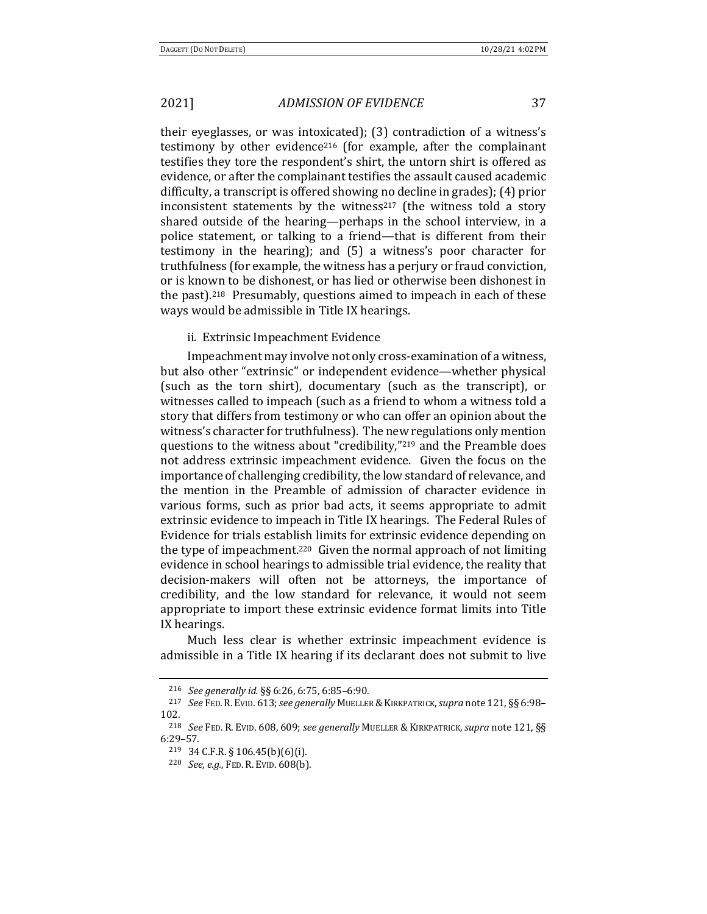their eyeglasses, or was intoxicated);  $(3)$  contradiction of a witness's testimony by other evidence<sup>216</sup> (for example, after the complainant testifies they tore the respondent's shirt, the untorn shirt is offered as evidence, or after the complainant testifies the assault caused academic difficulty, a transcript is offered showing no decline in grades); (4) prior inconsistent statements by the witness<sup>217</sup> (the witness told a story shared outside of the hearing—perhaps in the school interview, in a police statement, or talking to a friend—that is different from their testimony in the hearing); and  $(5)$  a witness's poor character for truthfulness (for example, the witness has a perjury or fraud conviction, or is known to be dishonest, or has lied or otherwise been dishonest in the past).<sup>218</sup> Presumably, questions aimed to impeach in each of these ways would be admissible in Title IX hearings.

ii. Extrinsic Impeachment Evidence

Impeachment may involve not only cross-examination of a witness, but also other "extrinsic" or independent evidence—whether physical (such as the torn shirt), documentary (such as the transcript), or witnesses called to impeach (such as a friend to whom a witness told a story that differs from testimony or who can offer an opinion about the witness's character for truthfulness). The new regulations only mention questions to the witness about "credibility," $^{219}$  and the Preamble does not address extrinsic impeachment evidence. Given the focus on the importance of challenging credibility, the low standard of relevance, and the mention in the Preamble of admission of character evidence in various forms, such as prior bad acts, it seems appropriate to admit extrinsic evidence to impeach in Title IX hearings. The Federal Rules of Evidence for trials establish limits for extrinsic evidence depending on the type of impeachment.<sup>220</sup> Given the normal approach of not limiting evidence in school hearings to admissible trial evidence, the reality that decision-makers will often not be attorneys, the importance of credibility, and the low standard for relevance, it would not seem appropriate to import these extrinsic evidence format limits into Title IX hearings.

Much less clear is whether extrinsic impeachment evidence is admissible in a Title IX hearing if its declarant does not submit to live

<sup>216</sup> *See generally id.* §§ 6:26, 6:75, 6:85-6:90.

<sup>&</sup>lt;sup>217</sup> See FED. R. EVID. 613; see generally MUELLER & KIRKPATRICK, supra note 121, §§ 6:98-102.

<sup>&</sup>lt;sup>218</sup> See FED. R. EVID. 608, 609; see generally MUELLER & KIRKPATRICK, supra note 121, §§ 6:29–57.

 $219$  34 C.F.R. § 106.45(b)(6)(i).

<sup>220</sup> *See, e.g.*, FED. R. EVID. 608(b).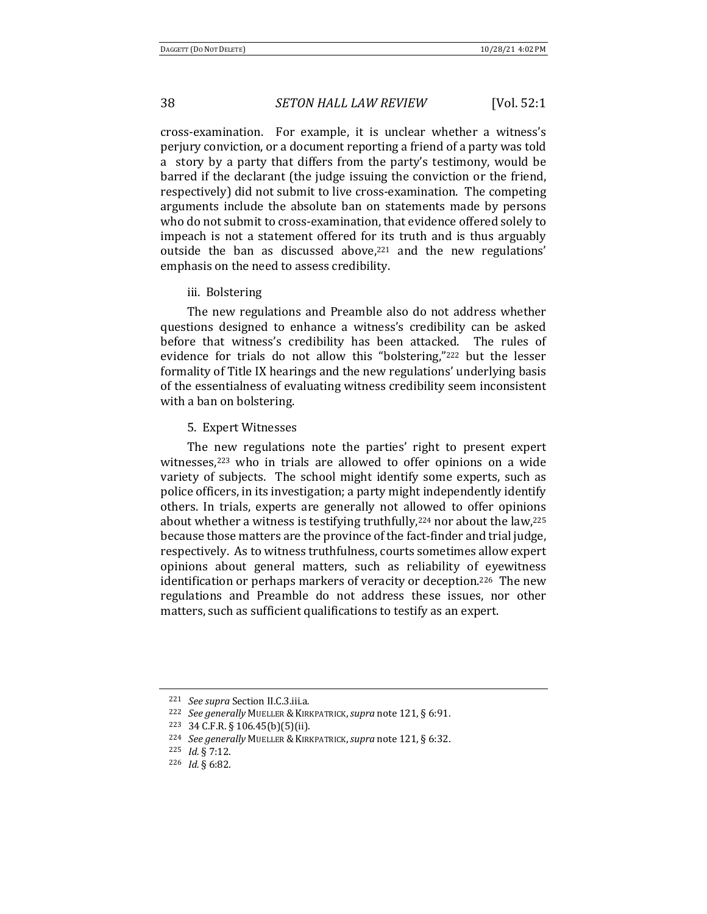cross-examination. For example, it is unclear whether a witness's perjury conviction, or a document reporting a friend of a party was told a story by a party that differs from the party's testimony, would be barred if the declarant (the judge issuing the conviction or the friend, respectively) did not submit to live cross-examination. The competing arguments include the absolute ban on statements made by persons who do not submit to cross-examination, that evidence offered solely to impeach is not a statement offered for its truth and is thus arguably outside the ban as discussed above, $221$  and the new regulations' emphasis on the need to assess credibility.

iii. Bolstering

The new regulations and Preamble also do not address whether questions designed to enhance a witness's credibility can be asked before that witness's credibility has been attacked. The rules of evidence for trials do not allow this "bolstering,"<sup>222</sup> but the lesser formality of Title IX hearings and the new regulations' underlying basis of the essentialness of evaluating witness credibility seem inconsistent with a ban on bolstering.

5. Expert Witnesses

The new regulations note the parties' right to present expert witnesses, $223$  who in trials are allowed to offer opinions on a wide variety of subjects. The school might identify some experts, such as police officers, in its investigation; a party might independently identify others. In trials, experts are generally not allowed to offer opinions about whether a witness is testifying truthfully,<sup>224</sup> nor about the law,<sup>225</sup> because those matters are the province of the fact-finder and trial judge, respectively. As to witness truthfulness, courts sometimes allow expert opinions about general matters, such as reliability of eyewitness identification or perhaps markers of veracity or deception.<sup>226</sup> The new regulations and Preamble do not address these issues, nor other matters, such as sufficient qualifications to testify as an expert.

<sup>221</sup> *See supra* Section II.C.3.iii.a*.*

<sup>&</sup>lt;sup>222</sup> *See generally MUELLER & KIRKPATRICK, supra note* 121, § 6:91.

<sup>223</sup> 34 C.F.R. § 106.45(b)(5)(ii).

<sup>&</sup>lt;sup>224</sup> *See generally MUELLER & KIRKPATRICK, supra note* 121, § 6:32.

<sup>225</sup> *Id.* § 7:12.

<sup>226</sup> *Id.* § 6:82.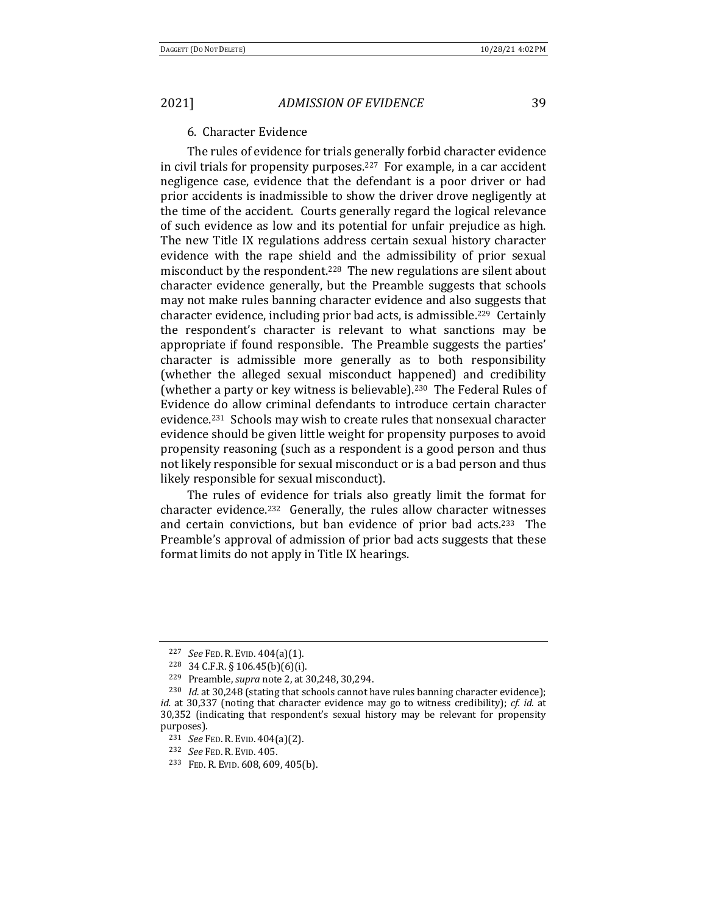### 6. Character Evidence

The rules of evidence for trials generally forbid character evidence in civil trials for propensity purposes.<sup>227</sup> For example, in a car accident negligence case, evidence that the defendant is a poor driver or had prior accidents is inadmissible to show the driver drove negligently at the time of the accident. Courts generally regard the logical relevance of such evidence as low and its potential for unfair prejudice as high. The new Title IX regulations address certain sexual history character evidence with the rape shield and the admissibility of prior sexual misconduct by the respondent.<sup>228</sup> The new regulations are silent about character evidence generally, but the Preamble suggests that schools may not make rules banning character evidence and also suggests that character evidence, including prior bad acts, is admissible.<sup>229</sup> Certainly the respondent's character is relevant to what sanctions may be appropriate if found responsible. The Preamble suggests the parties' character is admissible more generally as to both responsibility (whether the alleged sexual misconduct happened) and credibility (whether a party or key witness is believable).<sup>230</sup> The Federal Rules of Evidence do allow criminal defendants to introduce certain character evidence.<sup>231</sup> Schools may wish to create rules that nonsexual character evidence should be given little weight for propensity purposes to avoid propensity reasoning (such as a respondent is a good person and thus not likely responsible for sexual misconduct or is a bad person and thus likely responsible for sexual misconduct).

The rules of evidence for trials also greatly limit the format for character evidence.<sup>232</sup> Generally, the rules allow character witnesses and certain convictions, but ban evidence of prior bad acts.<sup>233</sup> The Preamble's approval of admission of prior bad acts suggests that these format limits do not apply in Title IX hearings.

<sup>227</sup> *See* FED. R. EVID. 404(a)(1).

<sup>228</sup> 34 C.F.R. § 106.45(b)(6)(i).

<sup>229</sup> Preamble, *supra* note 2, at 30,248, 30,294.

 $230$  *Id.* at 30,248 (stating that schools cannot have rules banning character evidence); *id.* at 30,337 (noting that character evidence may go to witness credibility); *cf. id.* at 30,352 (indicating that respondent's sexual history may be relevant for propensity purposes).

<sup>231</sup> *See* FED. R. EVID. 404(a)(2).

<sup>232</sup> *See* FED. R. EVID. 405.

<sup>&</sup>lt;sup>233</sup> FED. R. EVID. 608, 609, 405(b).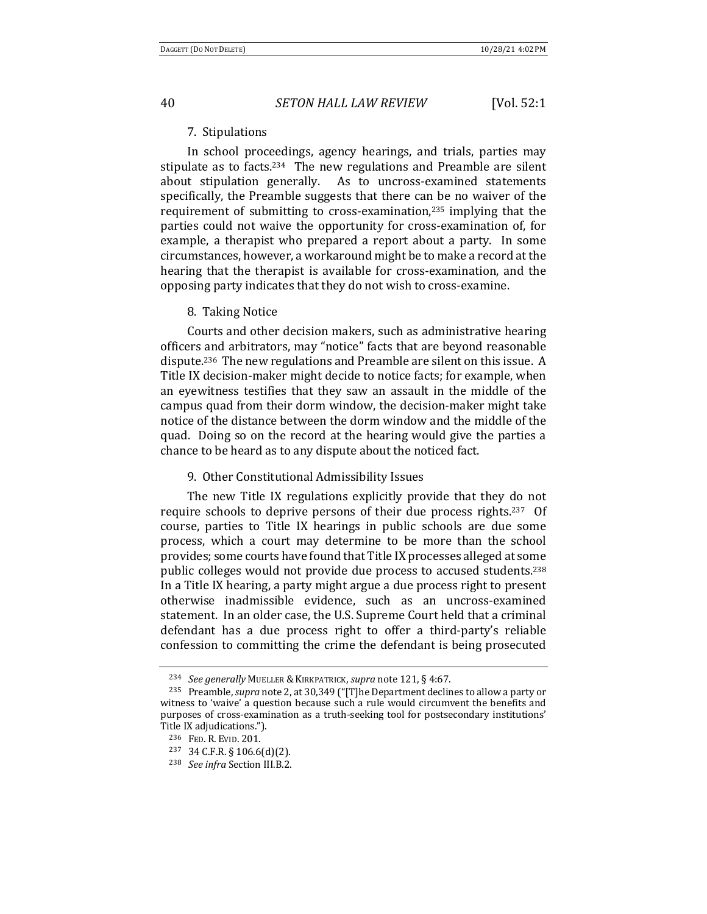#### 7. Stipulations

In school proceedings, agency hearings, and trials, parties may stipulate as to facts.<sup>234</sup> The new regulations and Preamble are silent about stipulation generally. As to uncross-examined statements specifically, the Preamble suggests that there can be no waiver of the requirement of submitting to cross-examination, $235$  implying that the parties could not waive the opportunity for cross-examination of, for example, a therapist who prepared a report about a party. In some circumstances, however, a workaround might be to make a record at the hearing that the therapist is available for cross-examination, and the opposing party indicates that they do not wish to cross-examine.

#### 8. Taking Notice

Courts and other decision makers, such as administrative hearing officers and arbitrators, may "notice" facts that are beyond reasonable dispute.<sup>236</sup> The new regulations and Preamble are silent on this issue. A Title IX decision-maker might decide to notice facts; for example, when an eyewitness testifies that they saw an assault in the middle of the campus quad from their dorm window, the decision-maker might take notice of the distance between the dorm window and the middle of the quad. Doing so on the record at the hearing would give the parties a chance to be heard as to any dispute about the noticed fact.

#### 9. Other Constitutional Admissibility Issues

The new Title IX regulations explicitly provide that they do not require schools to deprive persons of their due process rights.<sup>237</sup> Of course, parties to Title IX hearings in public schools are due some process, which a court may determine to be more than the school provides; some courts have found that Title IX processes alleged at some public colleges would not provide due process to accused students.<sup>238</sup> In a Title IX hearing, a party might argue a due process right to present otherwise inadmissible evidence, such as an uncross-examined statement. In an older case, the U.S. Supreme Court held that a criminal defendant has a due process right to offer a third-party's reliable confession to committing the crime the defendant is being prosecuted

<sup>&</sup>lt;sup>234</sup> *See generally MUELLER & KIRKPATRICK, supra note* 121, § 4:67.

<sup>&</sup>lt;sup>235</sup> Preamble, *supra* note 2, at 30,349 ("[T]he Department declines to allow a party or witness to 'waive' a question because such a rule would circumvent the benefits and purposes of cross-examination as a truth-seeking tool for postsecondary institutions' Title IX adjudications.").

<sup>236</sup> FED. R. EVID. 201.

 $237$  34 C.F.R. § 106.6(d)(2).

<sup>238</sup> *See infra* Section III.B.2.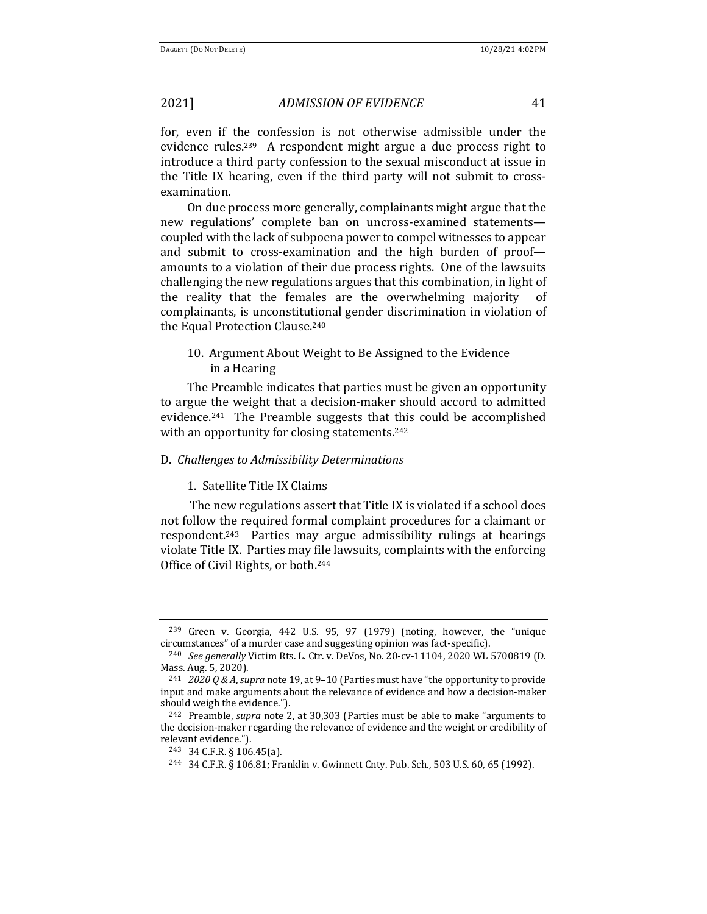for, even if the confession is not otherwise admissible under the evidence rules.<sup>239</sup> A respondent might argue a due process right to introduce a third party confession to the sexual misconduct at issue in the Title IX hearing, even if the third party will not submit to crossexamination. 

On due process more generally, complainants might argue that the new regulations' complete ban on uncross-examined statementscoupled with the lack of subpoena power to compel witnesses to appear and submit to cross-examination and the high burden of proof amounts to a violation of their due process rights. One of the lawsuits challenging the new regulations argues that this combination, in light of the reality that the females are the overwhelming majority of complainants, is unconstitutional gender discrimination in violation of the Equal Protection Clause.<sup>240</sup>

## 10. Argument About Weight to Be Assigned to the Evidence in a Hearing

The Preamble indicates that parties must be given an opportunity to argue the weight that a decision-maker should accord to admitted evidence.<sup>241</sup> The Preamble suggests that this could be accomplished with an opportunity for closing statements.<sup>242</sup>

#### D. *Challenges to Admissibility Determinations*

#### 1. Satellite Title IX Claims

The new regulations assert that Title IX is violated if a school does not follow the required formal complaint procedures for a claimant or respondent.<sup>243</sup> Parties may argue admissibility rulings at hearings violate Title IX. Parties may file lawsuits, complaints with the enforcing Office of Civil Rights, or both.<sup>244</sup>

 $239$  Green v. Georgia, 442 U.S. 95, 97 (1979) (noting, however, the "unique circumstances" of a murder case and suggesting opinion was fact-specific).

<sup>&</sup>lt;sup>240</sup> *See generally* Victim Rts. L. Ctr. v. DeVos, No. 20-cv-11104, 2020 WL 5700819 (D. Mass. Aug. 5, 2020).

<sup>&</sup>lt;sup>241</sup> *2020 Q & A, supra* note 19, at 9-10 (Parties must have "the opportunity to provide input and make arguments about the relevance of evidence and how a decision-maker should weigh the evidence.").

<sup>&</sup>lt;sup>242</sup> Preamble, *supra* note 2, at 30,303 (Parties must be able to make "arguments to the decision-maker regarding the relevance of evidence and the weight or credibility of relevant evidence.").

 $243$  34 C.F.R. § 106.45(a).

<sup>244 34</sup> C.F.R. § 106.81; Franklin v. Gwinnett Cnty. Pub. Sch., 503 U.S. 60, 65 (1992).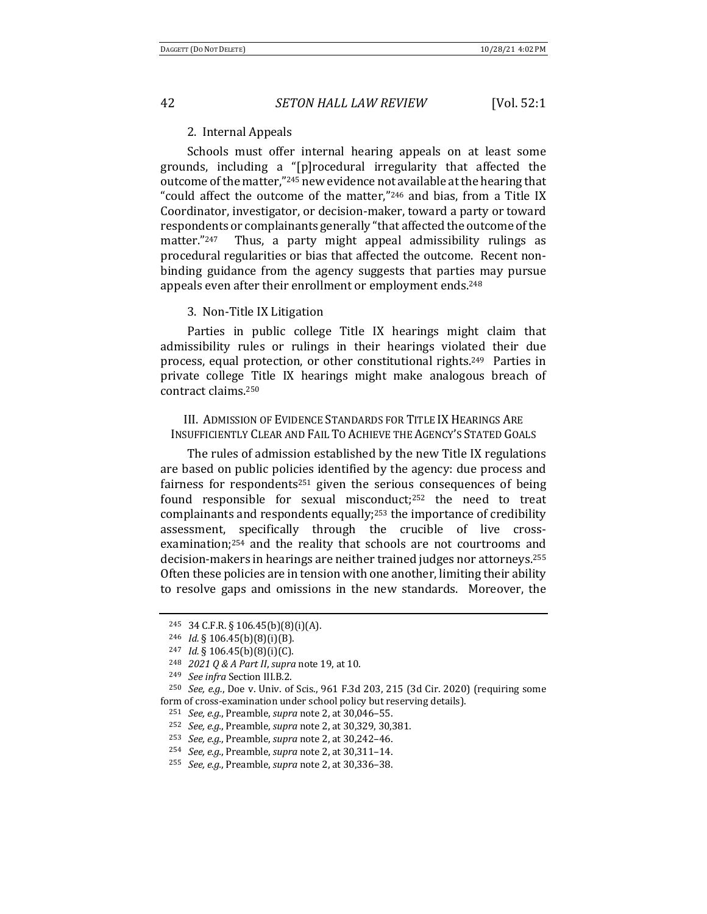#### 2. Internal Appeals

Schools must offer internal hearing appeals on at least some grounds, including a "[p]rocedural irregularity that affected the outcome of the matter,"<sup>245</sup> new evidence not available at the hearing that "could affect the outcome of the matter," $246$  and bias, from a Title IX Coordinator, investigator, or decision-maker, toward a party or toward respondents or complainants generally "that affected the outcome of the matter." $247$  Thus, a party might appeal admissibility rulings as procedural regularities or bias that affected the outcome. Recent nonbinding guidance from the agency suggests that parties may pursue appeals even after their enrollment or employment ends.<sup>248</sup>

#### 3. Non-Title IX Litigation

Parties in public college Title IX hearings might claim that admissibility rules or rulings in their hearings violated their due process, equal protection, or other constitutional rights.<sup>249</sup> Parties in private college Title IX hearings might make analogous breach of contract claims.250

## III. ADMISSION OF EVIDENCE STANDARDS FOR TITLE IX HEARINGS ARE INSUFFICIENTLY CLEAR AND FAIL TO ACHIEVE THE AGENCY'S STATED GOALS

The rules of admission established by the new Title IX regulations are based on public policies identified by the agency: due process and fairness for respondents<sup>251</sup> given the serious consequences of being found responsible for sexual misconduct;<sup>252</sup> the need to treat complainants and respondents equally;<sup>253</sup> the importance of credibility assessment, specifically through the crucible of live crossexamination; $254$  and the reality that schools are not courtrooms and decision-makers in hearings are neither trained judges nor attorneys.<sup>255</sup> Often these policies are in tension with one another, limiting their ability to resolve gaps and omissions in the new standards. Moreover, the

<sup>245</sup> 34 C.F.R. § 106.45(b)(8)(i)(A).

<sup>&</sup>lt;sup>246</sup> *Id.* § 106.45(b)(8)(i)(B).

<sup>247</sup> *Id.* § 106.45(b)(8)(i)(C).

<sup>248</sup> *2021 Q & A Part II, supra* note 19, at 10.

<sup>249</sup> *See infra* Section III.B.2.

 $250$  *See, e.g.*, Doe v. Univ. of Scis., 961 F.3d 203, 215 (3d Cir. 2020) (requiring some form of cross-examination under school policy but reserving details).

<sup>251</sup> *See, e.g.*, Preamble, *supra* note 2, at 30,046–55.

<sup>&</sup>lt;sup>252</sup> *See, e.g.*, Preamble, *supra* note 2, at 30,329, 30,381.

<sup>&</sup>lt;sup>253</sup> *See, e.g.*, Preamble, *supra* note 2, at 30,242-46.

<sup>254</sup> *See, e.g.*, Preamble, *supra* note 2, at 30,311-14.

<sup>255</sup> *See, e.g.*, Preamble, *supra* note 2, at 30,336–38.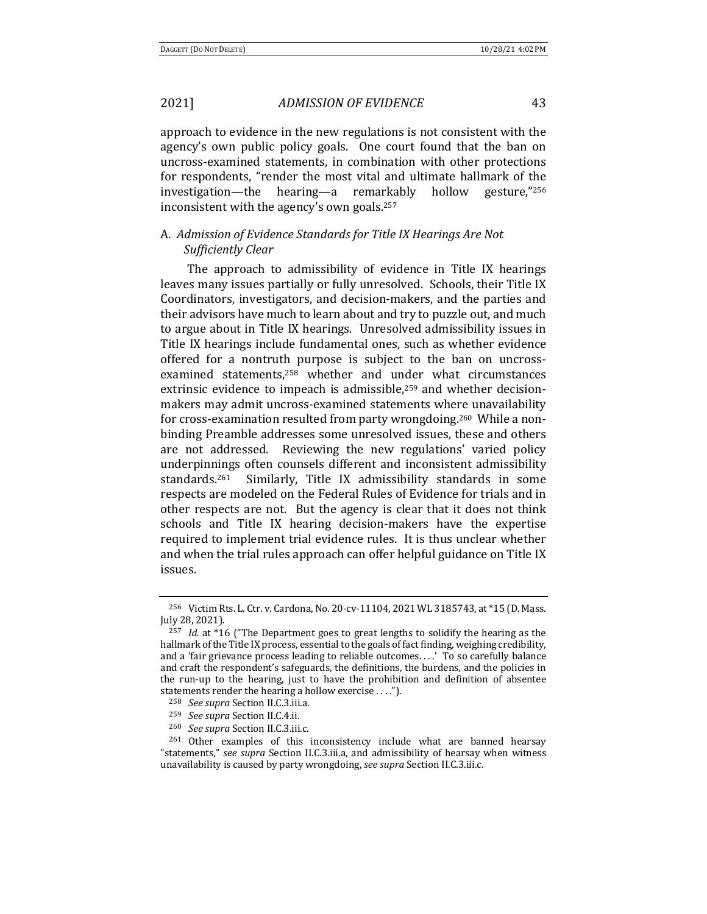approach to evidence in the new regulations is not consistent with the agency's own public policy goals. One court found that the ban on uncross-examined statements, in combination with other protections for respondents, "render the most vital and ultimate hallmark of the investigation—the hearing—a remarkably hollow gesture," $256$ inconsistent with the agency's own goals.<sup>257</sup>

## A. Admission of Evidence Standards for Title IX Hearings Are Not *Sufficiently Clear*

The approach to admissibility of evidence in Title IX hearings leaves many issues partially or fully unresolved. Schools, their Title IX Coordinators, investigators, and decision-makers, and the parties and their advisors have much to learn about and try to puzzle out, and much to argue about in Title IX hearings. Unresolved admissibility issues in Title IX hearings include fundamental ones, such as whether evidence offered for a nontruth purpose is subject to the ban on uncrossexamined statements,<sup>258</sup> whether and under what circumstances extrinsic evidence to impeach is admissible,<sup>259</sup> and whether decisionmakers may admit uncross-examined statements where unavailability for cross-examination resulted from party wrongdoing.<sup>260</sup> While a nonbinding Preamble addresses some unresolved issues, these and others are not addressed. Reviewing the new regulations' varied policy underpinnings often counsels different and inconsistent admissibility standards.<sup>261</sup> Similarly, Title IX admissibility standards in some respects are modeled on the Federal Rules of Evidence for trials and in other respects are not. But the agency is clear that it does not think schools and Title IX hearing decision-makers have the expertise required to implement trial evidence rules. It is thus unclear whether and when the trial rules approach can offer helpful guidance on Title IX issues. 

<sup>&</sup>lt;sup>256</sup> Victim Rts. L. Ctr. v. Cardona, No. 20-cv-11104, 2021 WL 3185743, at \*15 (D. Mass. July 28, 2021).

<sup>&</sup>lt;sup>257</sup> *Id.* at  $*16$  ("The Department goes to great lengths to solidify the hearing as the hallmark of the Title IX process, essential to the goals of fact finding, weighing credibility, and a 'fair grievance process leading to reliable outcomes....' To so carefully balance and craft the respondent's safeguards, the definitions, the burdens, and the policies in the run-up to the hearing, just to have the prohibition and definition of absentee statements render the hearing a hollow exercise  $\dots$ .").

<sup>258</sup> *See supra* Section II.C.3.iii.a.

<sup>259</sup> *See supra* Section II.C.4.ii.

<sup>260</sup> *See supra* Section II.C.3.iii.c.

<sup>&</sup>lt;sup>261</sup> Other examples of this inconsistency include what are banned hearsay "statements," *see supra* Section II.C.3.iii.a, and admissibility of hearsay when witness unavailability is caused by party wrongdoing, *see supra* Section II.C.3.iii.c.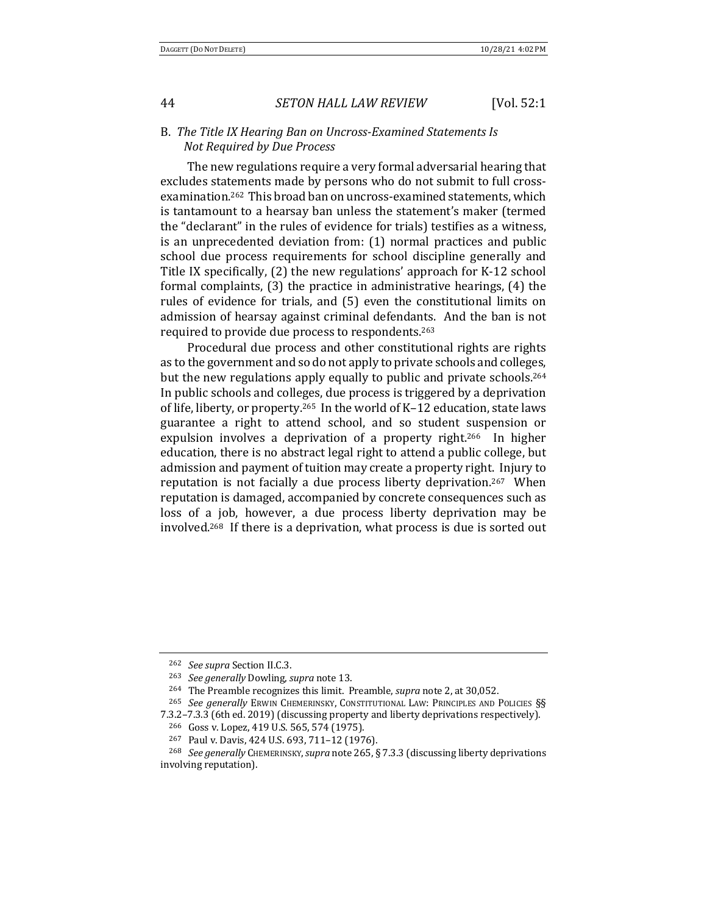### B. The Title IX Hearing Ban on Uncross-Examined Statements Is *Not Required by Due Process*

The new regulations require a very formal adversarial hearing that excludes statements made by persons who do not submit to full crossexamination.<sup>262</sup> This broad ban on uncross-examined statements, which is tantamount to a hearsay ban unless the statement's maker (termed the "declarant" in the rules of evidence for trials) testifies as a witness, is an unprecedented deviation from:  $(1)$  normal practices and public school due process requirements for school discipline generally and Title IX specifically,  $(2)$  the new regulations' approach for K-12 school formal complaints,  $(3)$  the practice in administrative hearings,  $(4)$  the rules of evidence for trials, and (5) even the constitutional limits on admission of hearsay against criminal defendants. And the ban is not required to provide due process to respondents.<sup>263</sup>

Procedural due process and other constitutional rights are rights as to the government and so do not apply to private schools and colleges, but the new regulations apply equally to public and private schools.<sup>264</sup> In public schools and colleges, due process is triggered by a deprivation of life, liberty, or property.<sup>265</sup> In the world of K–12 education, state laws guarantee a right to attend school, and so student suspension or expulsion involves a deprivation of a property right.<sup>266</sup> In higher education, there is no abstract legal right to attend a public college, but admission and payment of tuition may create a property right. Injury to reputation is not facially a due process liberty deprivation.<sup>267</sup> When reputation is damaged, accompanied by concrete consequences such as loss of a job, however, a due process liberty deprivation may be involved.<sup>268</sup> If there is a deprivation, what process is due is sorted out

<sup>262</sup> *See supra* Section II.C.3.

<sup>&</sup>lt;sup>263</sup> *See generally Dowling, supra note 13.* 

<sup>&</sup>lt;sup>264</sup> The Preamble recognizes this limit. Preamble, *supra* note 2, at 30,052.

<sup>&</sup>lt;sup>265</sup> *See generally* ERWIN CHEMERINSKY, CONSTITUTIONAL LAW: PRINCIPLES AND POLICIES §§

<sup>7.3.2-7.3.3 (6</sup>th ed. 2019) (discussing property and liberty deprivations respectively).

<sup>&</sup>lt;sup>266</sup> Goss v. Lopez, 419 U.S. 565, 574 (1975).

<sup>&</sup>lt;sup>267</sup> Paul v. Davis, 424 U.S. 693, 711-12 (1976).

<sup>&</sup>lt;sup>268</sup> *See generally* CHEMERINSKY, *supra* note 265, § 7.3.3 (discussing liberty deprivations involving reputation).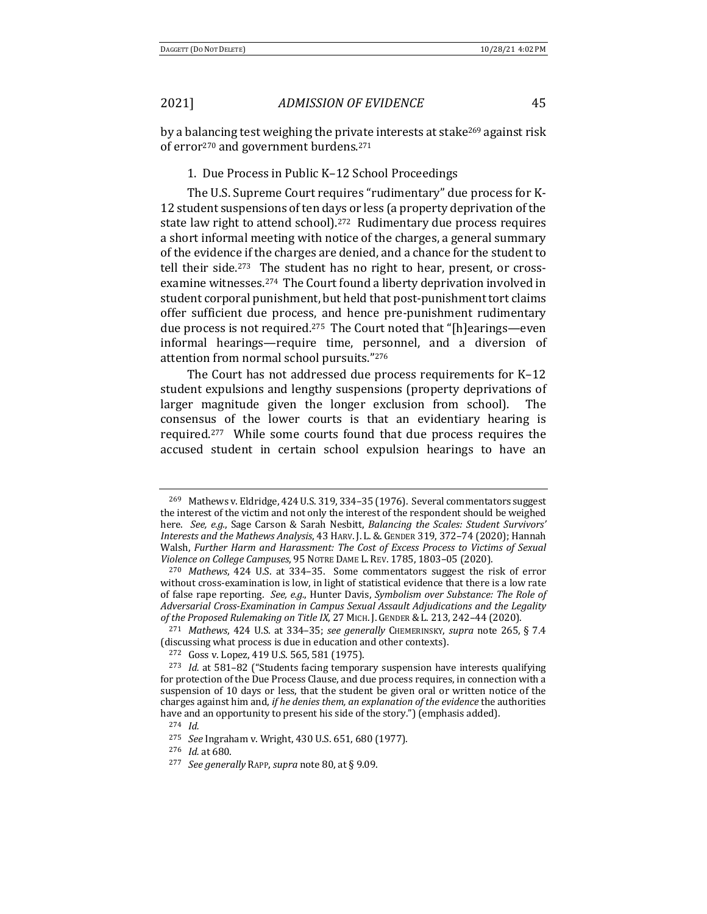by a balancing test weighing the private interests at stake<sup>269</sup> against risk of error<sup>270</sup> and government burdens.<sup>271</sup>

#### 1. Due Process in Public K-12 School Proceedings

The U.S. Supreme Court requires "rudimentary" due process for K-12 student suspensions of ten days or less (a property deprivation of the state law right to attend school).<sup>272</sup> Rudimentary due process requires a short informal meeting with notice of the charges, a general summary of the evidence if the charges are denied, and a chance for the student to tell their side.<sup>273</sup> The student has no right to hear, present, or crossexamine witnesses.<sup>274</sup> The Court found a liberty deprivation involved in student corporal punishment, but held that post-punishment tort claims offer sufficient due process, and hence pre-punishment rudimentary due process is not required.<sup>275</sup> The Court noted that "[h]earings—even informal hearings—require time, personnel, and a diversion of attention from normal school pursuits."276

The Court has not addressed due process requirements for  $K-12$ student expulsions and lengthy suspensions (property deprivations of larger magnitude given the longer exclusion from school). The consensus of the lower courts is that an evidentiary hearing is required.<sup>277</sup> While some courts found that due process requires the accused student in certain school expulsion hearings to have an

<sup>&</sup>lt;sup>269</sup> Mathews v. Eldridge, 424 U.S. 319, 334-35 (1976). Several commentators suggest the interest of the victim and not only the interest of the respondent should be weighed here. See, e.g., Sage Carson & Sarah Nesbitt, Balancing the Scales: Student Survivors' *Interests and the Mathews Analysis*, 43 HARV. J. L. &. GENDER 319, 372–74 (2020); Hannah Walsh, Further Harm and Harassment: The Cost of Excess Process to Victims of Sexual *Violence on College Campuses*, 95 NOTRE DAME L. REV. 1785, 1803-05 (2020).

<sup>&</sup>lt;sup>270</sup> Mathews, 424 U.S. at 334–35. Some commentators suggest the risk of error without cross-examination is low, in light of statistical evidence that there is a low rate of false rape reporting. See, e.g., Hunter Davis, *Symbolism* over Substance: The Role of Adversarial Cross-Examination in Campus Sexual Assault Adjudications and the Legality *of the Proposed Rulemaking on Title IX, 27 MICH. J. GENDER & L. 213, 242-44 (2020).* 

<sup>&</sup>lt;sup>271</sup> Mathews, 424 U.S. at 334–35; see generally CHEMERINSKY, *supra* note 265, § 7.4 (discussing what process is due in education and other contexts).

<sup>&</sup>lt;sup>272</sup> Goss v. Lopez, 419 U.S. 565, 581 (1975).

<sup>&</sup>lt;sup>273</sup> *Id.* at 581-82 ("Students facing temporary suspension have interests qualifying for protection of the Due Process Clause, and due process requires, in connection with a suspension of 10 days or less, that the student be given oral or written notice of the charges against him and, *if he denies them, an explanation of the evidence* the authorities have and an opportunity to present his side of the story.") (emphasis added).

<sup>274</sup> *Id.*

<sup>&</sup>lt;sup>275</sup> *See* Ingraham v. Wright, 430 U.S. 651, 680 (1977).

<sup>276</sup> *Id.* at 680.

<sup>&</sup>lt;sup>277</sup> *See generally* RAPP, *supra* note 80, at § 9.09.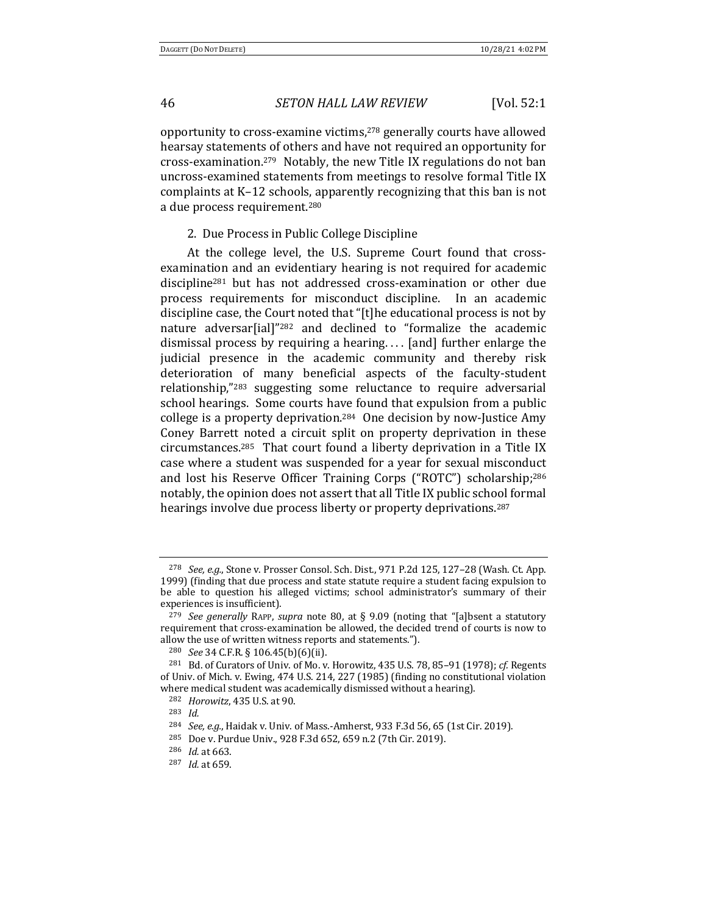opportunity to cross-examine victims,<sup>278</sup> generally courts have allowed hearsay statements of others and have not required an opportunity for cross-examination.<sup>279</sup> Notably, the new Title IX regulations do not ban uncross-examined statements from meetings to resolve formal Title IX complaints at K-12 schools, apparently recognizing that this ban is not a due process requirement.<sup>280</sup>

2. Due Process in Public College Discipline

At the college level, the U.S. Supreme Court found that crossexamination and an evidentiary hearing is not required for academic discipline<sup>281</sup> but has not addressed cross-examination or other due process requirements for misconduct discipline. In an academic discipline case, the Court noted that "[t]he educational process is not by nature adversar[ial]"<sup>282</sup> and declined to "formalize the academic dismissal process by requiring a hearing.... [and] further enlarge the judicial presence in the academic community and thereby risk deterioration of many beneficial aspects of the faculty-student relationship,"<sup>283</sup> suggesting some reluctance to require adversarial school hearings. Some courts have found that expulsion from a public college is a property deprivation.<sup>284</sup> One decision by now-Justice Amy Coney Barrett noted a circuit split on property deprivation in these circumstances.<sup>285</sup> That court found a liberty deprivation in a Title IX case where a student was suspended for a year for sexual misconduct and lost his Reserve Officer Training Corps ("ROTC") scholarship;<sup>286</sup> notably, the opinion does not assert that all Title IX public school formal hearings involve due process liberty or property deprivations.<sup>287</sup>

<sup>&</sup>lt;sup>278</sup> *See, e.g.*, Stone v. Prosser Consol. Sch. Dist., 971 P.2d 125, 127-28 (Wash. Ct. App. 1999) (finding that due process and state statute require a student facing expulsion to be able to question his alleged victims; school administrator's summary of their experiences is insufficient).

<sup>&</sup>lt;sup>279</sup> *See generally* RAPP, *supra* note 80, at § 9.09 (noting that "[a]bsent a statutory requirement that cross-examination be allowed, the decided trend of courts is now to allow the use of written witness reports and statements.").

<sup>280</sup> *See* 34 C.F.R. § 106.45(b)(6)(ii).

<sup>&</sup>lt;sup>281</sup> Bd. of Curators of Univ. of Mo. v. Horowitz, 435 U.S. 78, 85-91 (1978); cf. Regents of Univ. of Mich. v. Ewing, 474 U.S. 214, 227 (1985) (finding no constitutional violation where medical student was academically dismissed without a hearing).

<sup>&</sup>lt;sup>282</sup> *Horowitz*, 435 U.S. at 90.

<sup>283</sup> *Id.*

<sup>&</sup>lt;sup>284</sup> *See, e.g.*, Haidak v. Univ. of Mass.-Amherst, 933 F.3d 56, 65 (1st Cir. 2019).

<sup>285</sup> Doe v. Purdue Univ., 928 F.3d 652, 659 n.2 (7th Cir. 2019).

<sup>&</sup>lt;sup>286</sup> *Id.* at 663.

<sup>287</sup> *Id.* at 659.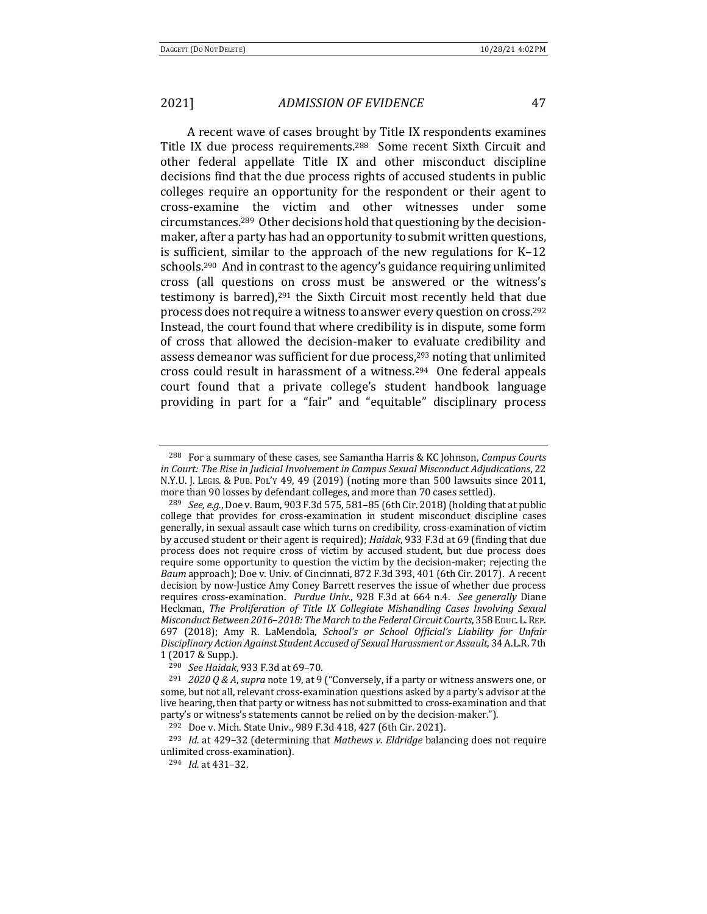A recent wave of cases brought by Title IX respondents examines Title IX due process requirements.<sup>288</sup> Some recent Sixth Circuit and other federal appellate Title IX and other misconduct discipline decisions find that the due process rights of accused students in public colleges require an opportunity for the respondent or their agent to cross-examine the victim and other witnesses under some circumstances.<sup>289</sup> Other decisions hold that questioning by the decisionmaker, after a party has had an opportunity to submit written questions, is sufficient, similar to the approach of the new regulations for  $K-12$ schools.<sup>290</sup> And in contrast to the agency's guidance requiring unlimited cross (all questions on cross must be answered or the witness's testimony is barred), $291$  the Sixth Circuit most recently held that due process does not require a witness to answer every question on cross.<sup>292</sup> Instead, the court found that where credibility is in dispute, some form of cross that allowed the decision-maker to evaluate credibility and assess demeanor was sufficient for due process,<sup>293</sup> noting that unlimited cross could result in harassment of a witness.<sup>294</sup> One federal appeals court found that a private college's student handbook language providing in part for a "fair" and "equitable" disciplinary process

<sup>&</sup>lt;sup>288</sup> For a summary of these cases, see Samantha Harris & KC Johnson, *Campus Courts in Court: The Rise in Judicial Involvement in Campus Sexual Misconduct Adjudications, 22* N.Y.U. J. Legis. & Pub. Pol'y 49, 49 (2019) (noting more than 500 lawsuits since 2011, more than 90 losses by defendant colleges, and more than 70 cases settled).

<sup>&</sup>lt;sup>289</sup> *See, e.g.*, Doe v. Baum, 903 F.3d 575, 581–85 (6th Cir. 2018) (holding that at public college that provides for cross-examination in student misconduct discipline cases generally, in sexual assault case which turns on credibility, cross-examination of victim by accused student or their agent is required); *Haidak*, 933 F.3d at 69 (finding that due process does not require cross of victim by accused student, but due process does require some opportunity to question the victim by the decision-maker; rejecting the *Baum* approach); Doe v. Univ. of Cincinnati, 872 F.3d 393, 401 (6th Cir. 2017). A recent decision by now-Justice Amy Coney Barrett reserves the issue of whether due process requires cross-examination. *Purdue Univ.*, 928 F.3d at 664 n.4. See generally Diane Heckman, The Proliferation of Title IX Collegiate Mishandling Cases Involving Sexual *Misconduct Between* 2016-2018: The March to the Federal Circuit Courts, 358 EDUC. L. REP. 697 (2018); Amy R. LaMendola, *School's or School Official's Liability for Unfair Disciplinary Action Against Student Accused of Sexual Harassment or Assault*, 34 A.L.R. 7th 1 (2017 & Supp.).

<sup>290</sup> *See Haidak*, 933 F.3d at 69–70.

<sup>&</sup>lt;sup>291</sup> *2020 Q & A*, *supra* note 19, at 9 ("Conversely, if a party or witness answers one, or some, but not all, relevant cross-examination questions asked by a party's advisor at the live hearing, then that party or witness has not submitted to cross-examination and that party's or witness's statements cannot be relied on by the decision-maker.").

<sup>292</sup> Doe v. Mich. State Univ., 989 F.3d 418, 427 (6th Cir. 2021).

<sup>&</sup>lt;sup>293</sup> *Id.* at 429-32 (determining that *Mathews v. Eldridge* balancing does not require unlimited cross-examination).

<sup>294</sup> *Id.* at 431-32.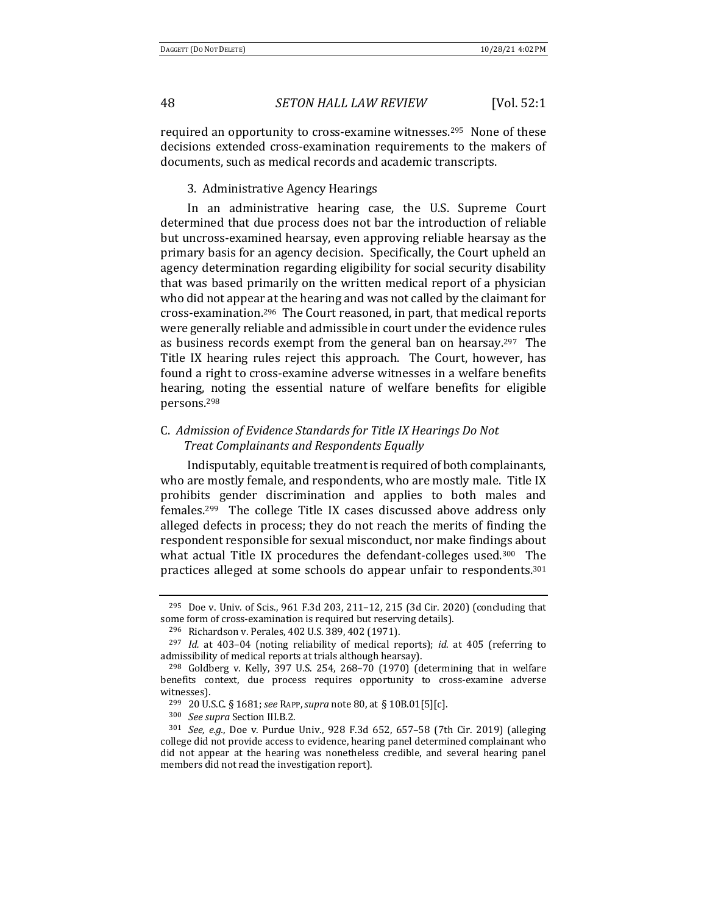required an opportunity to cross-examine witnesses.<sup>295</sup> None of these decisions extended cross-examination requirements to the makers of documents, such as medical records and academic transcripts.

3. Administrative Agency Hearings

In an administrative hearing case, the U.S. Supreme Court determined that due process does not bar the introduction of reliable but uncross-examined hearsay, even approving reliable hearsay as the primary basis for an agency decision. Specifically, the Court upheld an agency determination regarding eligibility for social security disability that was based primarily on the written medical report of a physician who did not appear at the hearing and was not called by the claimant for cross-examination.296 The Court reasoned, in part, that medical reports were generally reliable and admissible in court under the evidence rules as business records exempt from the general ban on hearsay.<sup>297</sup> The Title IX hearing rules reject this approach. The Court, however, has found a right to cross-examine adverse witnesses in a welfare benefits hearing, noting the essential nature of welfare benefits for eligible persons.298

## C. Admission of Evidence Standards for Title IX Hearings Do Not *Treat Complainants and Respondents Equally*

Indisputably, equitable treatment is required of both complainants, who are mostly female, and respondents, who are mostly male. Title IX prohibits gender discrimination and applies to both males and females.<sup>299</sup> The college Title IX cases discussed above address only alleged defects in process; they do not reach the merits of finding the respondent responsible for sexual misconduct, nor make findings about what actual Title IX procedures the defendant-colleges used.<sup>300</sup> The practices alleged at some schools do appear unfair to respondents.<sup>301</sup>

<sup>&</sup>lt;sup>295</sup> Doe v. Univ. of Scis., 961 F.3d 203, 211-12, 215 (3d Cir. 2020) (concluding that some form of cross-examination is required but reserving details).

<sup>&</sup>lt;sup>296</sup> Richardson v. Perales, 402 U.S. 389, 402 (1971).

<sup>&</sup>lt;sup>297</sup> *Id.* at 403-04 (noting reliability of medical reports); *id.* at 405 (referring to admissibility of medical reports at trials although hearsay).

 $298$  Goldberg v. Kelly, 397 U.S. 254, 268–70 (1970) (determining that in welfare benefits context, due process requires opportunity to cross-examine adverse witnesses).

<sup>299</sup> 20 U.S.C. § 1681; *see* RAPP,*supra* note 80, at § 10B.01[5][c].

<sup>&</sup>lt;sup>300</sup> *See supra* Section III.B.2.

<sup>&</sup>lt;sup>301</sup> *See, e.g.*, Doe v. Purdue Univ., 928 F.3d 652, 657-58 (7th Cir. 2019) (alleging college did not provide access to evidence, hearing panel determined complainant who did not appear at the hearing was nonetheless credible, and several hearing panel members did not read the investigation report).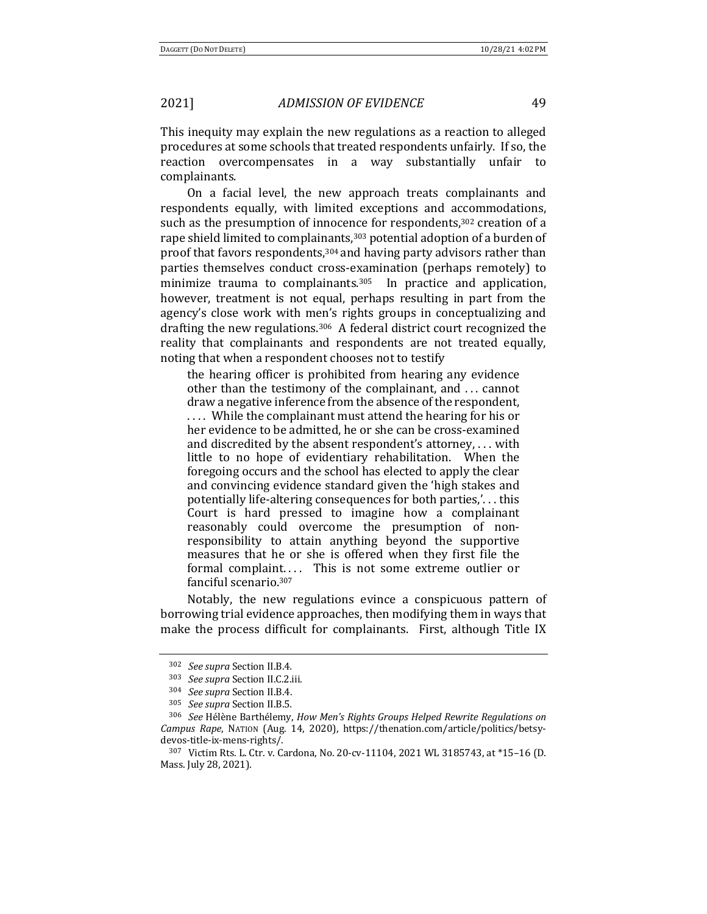This inequity may explain the new regulations as a reaction to alleged procedures at some schools that treated respondents unfairly. If so, the reaction overcompensates in a way substantially unfair to complainants. 

On a facial level, the new approach treats complainants and respondents equally, with limited exceptions and accommodations, such as the presumption of innocence for respondents,<sup>302</sup> creation of a rape shield limited to complainants,<sup>303</sup> potential adoption of a burden of proof that favors respondents, $304$  and having party advisors rather than parties themselves conduct cross-examination (perhaps remotely) to minimize trauma to complainants. $305$  In practice and application, however, treatment is not equal, perhaps resulting in part from the agency's close work with men's rights groups in conceptualizing and drafting the new regulations.<sup>306</sup> A federal district court recognized the reality that complainants and respondents are not treated equally, noting that when a respondent chooses not to testify

the hearing officer is prohibited from hearing any evidence other than the testimony of the complainant, and ... cannot draw a negative inference from the absence of the respondent, .... While the complainant must attend the hearing for his or her evidence to be admitted, he or she can be cross-examined and discredited by the absent respondent's attorney,  $\dots$  with little to no hope of evidentiary rehabilitation. When the foregoing occurs and the school has elected to apply the clear and convincing evidence standard given the 'high stakes and potentially life-altering consequences for both parties,'... this Court is hard pressed to imagine how a complainant reasonably could overcome the presumption of nonresponsibility to attain anything beyond the supportive measures that he or she is offered when they first file the formal complaint.... This is not some extreme outlier or fanciful scenario.<sup>307</sup>

Notably, the new regulations evince a conspicuous pattern of borrowing trial evidence approaches, then modifying them in ways that make the process difficult for complainants. First, although Title IX

<sup>302</sup> *See supra* Section II.B.4*.*

<sup>303</sup> *See supra* Section II.C.2.iii*.*

<sup>&</sup>lt;sup>304</sup> *See supra* Section II.B.4.

<sup>305</sup> *See supra* Section II.B.5*.*

<sup>&</sup>lt;sup>306</sup> *See* Hélène Barthélemy, *How Men's Rights Groups Helped Rewrite Regulations on Campus Rape*, NATION (Aug. 14, 2020), https://thenation.com/article/politics/betsydevos-title-ix-mens-rights/.

<sup>307</sup> Victim Rts. L. Ctr. v. Cardona, No. 20-cv-11104, 2021 WL 3185743, at \*15-16 (D. Mass. July 28, 2021).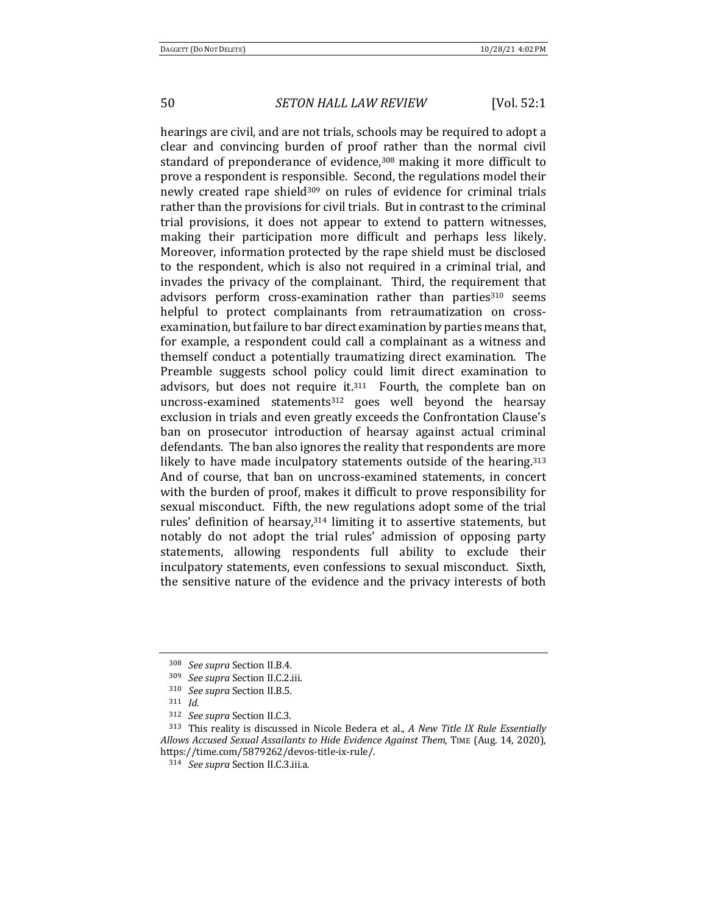hearings are civil, and are not trials, schools may be required to adopt a clear and convincing burden of proof rather than the normal civil standard of preponderance of evidence,<sup>308</sup> making it more difficult to prove a respondent is responsible. Second, the regulations model their newly created rape shield<sup>309</sup> on rules of evidence for criminal trials rather than the provisions for civil trials. But in contrast to the criminal trial provisions, it does not appear to extend to pattern witnesses, making their participation more difficult and perhaps less likely. Moreover, information protected by the rape shield must be disclosed to the respondent, which is also not required in a criminal trial, and invades the privacy of the complainant. Third, the requirement that advisors perform cross-examination rather than parties<sup>310</sup> seems helpful to protect complainants from retraumatization on crossexamination, but failure to bar direct examination by parties means that, for example, a respondent could call a complainant as a witness and themself conduct a potentially traumatizing direct examination. The Preamble suggests school policy could limit direct examination to advisors, but does not require it. $311$  Fourth, the complete ban on uncross-examined statements<sup>312</sup> goes well beyond the hearsay exclusion in trials and even greatly exceeds the Confrontation Clause's ban on prosecutor introduction of hearsay against actual criminal defendants. The ban also ignores the reality that respondents are more likely to have made inculpatory statements outside of the hearing.<sup>313</sup> And of course, that ban on uncross-examined statements, in concert with the burden of proof, makes it difficult to prove responsibility for sexual misconduct. Fifth, the new regulations adopt some of the trial rules' definition of hearsay, $314$  limiting it to assertive statements, but notably do not adopt the trial rules' admission of opposing party statements, allowing respondents full ability to exclude their inculpatory statements, even confessions to sexual misconduct. Sixth, the sensitive nature of the evidence and the privacy interests of both

<sup>308</sup> *See supra* Section II.B.4*.*

<sup>309</sup> *See supra* Section II.C.2.iii*.*

<sup>310</sup> *See supra* Section II.B.5*.*

<sup>311</sup> *Id.*

<sup>312</sup> *See supra* Section II.C.3*.*

<sup>&</sup>lt;sup>313</sup> This reality is discussed in Nicole Bedera et al., *A New Title IX Rule Essentially Allows Accused Sexual Assailants to Hide Evidence Against Them*, TIME (Aug. 14, 2020), https://time.com/5879262/devos-title-ix-rule/.

<sup>314</sup> *See supra* Section II.C.3.iii.a*.*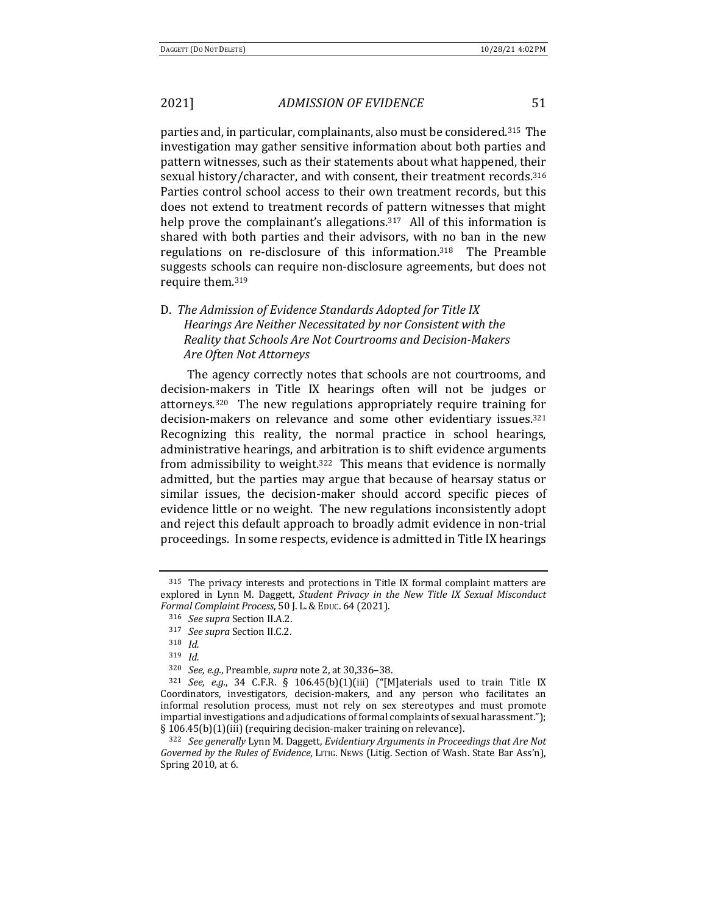parties and, in particular, complainants, also must be considered.<sup>315</sup> The investigation may gather sensitive information about both parties and pattern witnesses, such as their statements about what happened, their sexual history/character, and with consent, their treatment records.<sup>316</sup> Parties control school access to their own treatment records, but this does not extend to treatment records of pattern witnesses that might help prove the complainant's allegations.<sup>317</sup> All of this information is shared with both parties and their advisors, with no ban in the new regulations on re-disclosure of this information.<sup>318</sup> The Preamble suggests schools can require non-disclosure agreements, but does not require them.<sup>319</sup>

## D. The Admission of Evidence Standards Adopted for Title IX *Hearings Are Neither Necessitated by nor Consistent with the* **Reality that Schools Are Not Courtrooms and Decision-Makers** *Are Often Not Attorneys*

The agency correctly notes that schools are not courtrooms, and decision-makers in Title IX hearings often will not be judges or attorneys.<sup>320</sup> The new regulations appropriately require training for decision-makers on relevance and some other evidentiary issues.<sup>321</sup> Recognizing this reality, the normal practice in school hearings, administrative hearings, and arbitration is to shift evidence arguments from admissibility to weight.<sup>322</sup> This means that evidence is normally admitted, but the parties may argue that because of hearsay status or similar issues, the decision-maker should accord specific pieces of evidence little or no weight. The new regulations inconsistently adopt and reject this default approach to broadly admit evidence in non-trial proceedings. In some respects, evidence is admitted in Title IX hearings

 $315$  The privacy interests and protections in Title IX formal complaint matters are explored in Lynn M. Daggett, *Student Privacy in the New Title IX Sexual Misconduct Formal Complaint Process*, 50 J. L.&EDUC. 64 (2021).

<sup>316</sup> *See supra* Section II.A.2.

<sup>&</sup>lt;sup>317</sup> *See supra* Section II.C.2.

<sup>318</sup> *Id.*

<sup>319</sup> *Id.*

<sup>320</sup> *See, e.g.*, Preamble, *supra* note 2, at 30,336-38.

 $321$  *See, e.g.*, 34 C.F.R. § 106.45(b)(1)(iii) ("[M]aterials used to train Title IX Coordinators, investigators, decision-makers, and any person who facilitates an informal resolution process, must not rely on sex stereotypes and must promote impartial investigations and adjudications of formal complaints of sexual harassment."); § 106.45(b)(1)(iii) (requiring decision-maker training on relevance).

<sup>&</sup>lt;sup>322</sup> See generally Lynn M. Daggett, *Evidentiary Arguments in Proceedings that Are Not Governed by the Rules of Evidence*, LITIG. NEWS (Litig. Section of Wash. State Bar Ass'n), Spring 2010, at 6.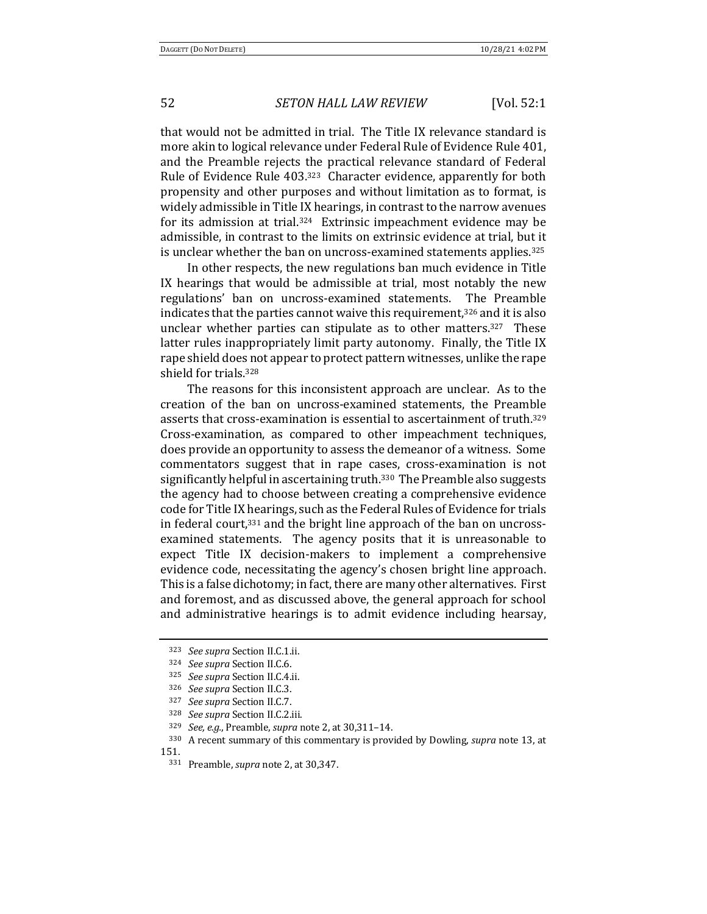that would not be admitted in trial. The Title IX relevance standard is more akin to logical relevance under Federal Rule of Evidence Rule 401, and the Preamble rejects the practical relevance standard of Federal Rule of Evidence Rule 403.<sup>323</sup> Character evidence, apparently for both propensity and other purposes and without limitation as to format, is widely admissible in Title IX hearings, in contrast to the narrow avenues for its admission at trial.<sup>324</sup> Extrinsic impeachment evidence may be admissible, in contrast to the limits on extrinsic evidence at trial, but it is unclear whether the ban on uncross-examined statements applies.<sup>325</sup>

In other respects, the new regulations ban much evidence in Title IX hearings that would be admissible at trial, most notably the new regulations' ban on uncross-examined statements. The Preamble indicates that the parties cannot waive this requirement, $326$  and it is also unclear whether parties can stipulate as to other matters.<sup>327</sup> These latter rules inappropriately limit party autonomy. Finally, the Title IX rape shield does not appear to protect pattern witnesses, unlike the rape shield for trials.<sup>328</sup>

The reasons for this inconsistent approach are unclear. As to the creation of the ban on uncross-examined statements, the Preamble asserts that cross-examination is essential to ascertainment of truth.<sup>329</sup> Cross-examination, as compared to other impeachment techniques, does provide an opportunity to assess the demeanor of a witness. Some commentators suggest that in rape cases, cross-examination is not significantly helpful in ascertaining truth.<sup>330</sup> The Preamble also suggests the agency had to choose between creating a comprehensive evidence code for Title IX hearings, such as the Federal Rules of Evidence for trials in federal court,  $331$  and the bright line approach of the ban on uncrossexamined statements. The agency posits that it is unreasonable to expect Title IX decision-makers to implement a comprehensive evidence code, necessitating the agency's chosen bright line approach. This is a false dichotomy; in fact, there are many other alternatives. First and foremost, and as discussed above, the general approach for school and administrative hearings is to admit evidence including hearsay,

<sup>323</sup> See supra Section II.C.1.ii.

<sup>&</sup>lt;sup>324</sup> *See supra* Section II.C.6.

<sup>325</sup> *See supra* Section II.C.4.ii.

<sup>&</sup>lt;sup>326</sup> *See supra* Section II.C.3.

<sup>327</sup> *See supra* Section II.C.7.

<sup>&</sup>lt;sup>328</sup> See supra Section II.C.2.iii.

<sup>329</sup> *See, e.g.*, Preamble, *supra* note 2, at 30,311-14.

<sup>&</sup>lt;sup>330</sup> A recent summary of this commentary is provided by Dowling, *supra* note 13, at 151.

<sup>331</sup> Preamble, *supra* note 2, at 30,347.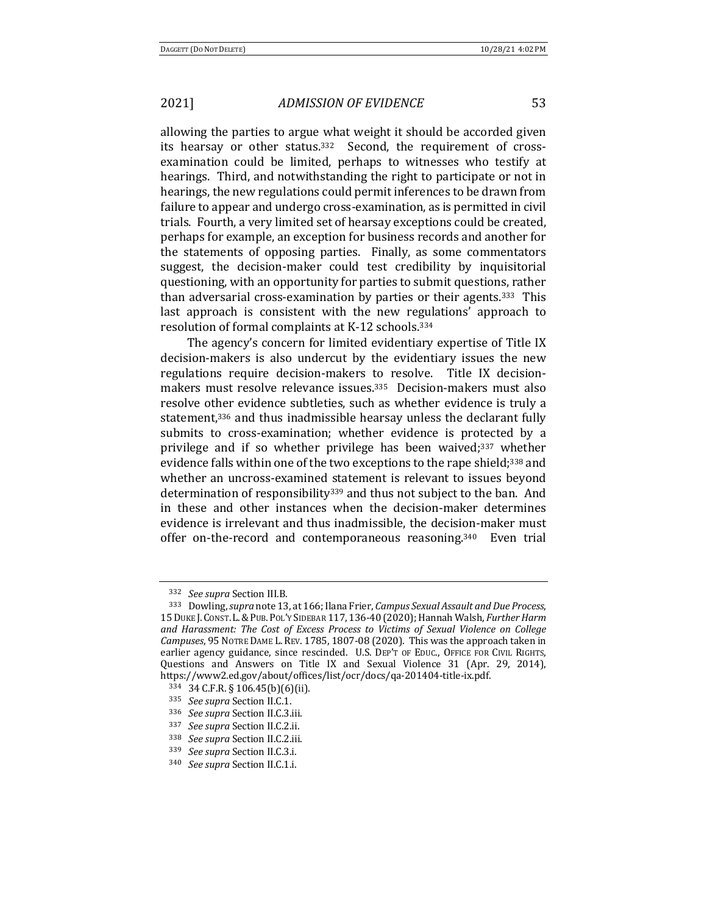allowing the parties to argue what weight it should be accorded given its hearsay or other status.<sup>332</sup> Second, the requirement of crossexamination could be limited, perhaps to witnesses who testify at hearings. Third, and notwithstanding the right to participate or not in hearings, the new regulations could permit inferences to be drawn from failure to appear and undergo cross-examination, as is permitted in civil trials. Fourth, a very limited set of hearsay exceptions could be created, perhaps for example, an exception for business records and another for the statements of opposing parties. Finally, as some commentators suggest, the decision-maker could test credibility by inquisitorial questioning, with an opportunity for parties to submit questions, rather than adversarial cross-examination by parties or their agents.<sup>333</sup> This last approach is consistent with the new regulations' approach to resolution of formal complaints at K-12 schools.<sup>334</sup>

The agency's concern for limited evidentiary expertise of Title IX decision-makers is also undercut by the evidentiary issues the new regulations require decision-makers to resolve. Title IX decisionmakers must resolve relevance issues.<sup>335</sup> Decision-makers must also resolve other evidence subtleties, such as whether evidence is truly a statement,<sup>336</sup> and thus inadmissible hearsay unless the declarant fully submits to cross-examination; whether evidence is protected by a privilege and if so whether privilege has been waived;<sup>337</sup> whether evidence falls within one of the two exceptions to the rape shield;<sup>338</sup> and whether an uncross-examined statement is relevant to issues beyond determination of responsibility<sup>339</sup> and thus not subject to the ban. And in these and other instances when the decision-maker determines evidence is irrelevant and thus inadmissible, the decision-maker must offer on-the-record and contemporaneous reasoning. $340$  Even trial

<sup>332</sup> *See supra* Section III.B.

<sup>333</sup> Dowling, *supra* note 13, at 166; Ilana Frier, *Campus Sexual Assault and Due Process*, 15 DUKE J. CONST. L. & PUB. POL'Y SIDEBAR 117, 136-40 (2020); Hannah Walsh, *Further Harm* and Harassment: The Cost of Excess Process to Victims of Sexual Violence on College *Campuses*, 95 NOTRE DAME L. REV. 1785, 1807-08 (2020). This was the approach taken in earlier agency guidance, since rescinded. U.S. DEP'T OF EDUC., OFFICE FOR CIVIL RIGHTS. Questions and Answers on Title IX and Sexual Violence 31 (Apr. 29, 2014), https://www2.ed.gov/about/offices/list/ocr/docs/qa-201404-title-ix.pdf.

<sup>334</sup> 34 C.F.R. § 106.45(b)(6)(ii).

<sup>&</sup>lt;sup>335</sup> *See supra* Section II.C.1.

<sup>336</sup> *See supra* Section II.C.3.iii.

<sup>&</sup>lt;sup>337</sup> *See supra* Section II.C.2.ii.

<sup>&</sup>lt;sup>338</sup> See supra Section II.C.2.iii.

<sup>&</sup>lt;sup>339</sup> *See supra* Section II.C.3.i.

<sup>340</sup> *See supra* Section II.C.1.i.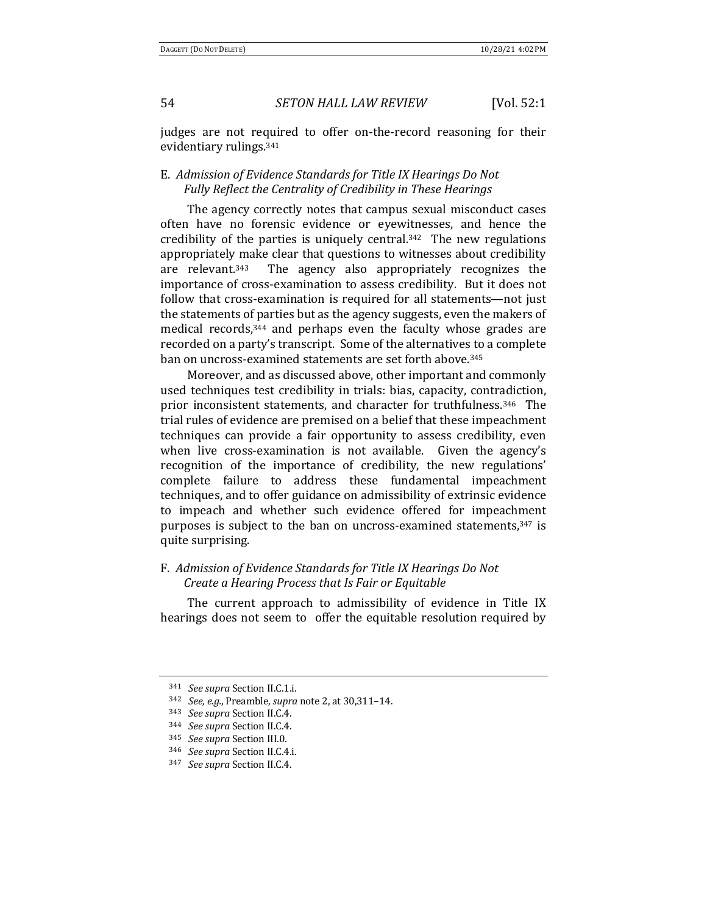judges are not required to offer on-the-record reasoning for their evidentiary rulings.<sup>341</sup>

## E. Admission of Evidence Standards for Title IX Hearings Do Not Fully Reflect the Centrality of Credibility in These Hearings

The agency correctly notes that campus sexual misconduct cases often have no forensic evidence or eyewitnesses, and hence the credibility of the parties is uniquely central.<sup>342</sup> The new regulations appropriately make clear that questions to witnesses about credibility are relevant.<sup>343</sup> The agency also appropriately recognizes the importance of cross-examination to assess credibility. But it does not follow that cross-examination is required for all statements—not just the statements of parties but as the agency suggests, even the makers of medical records, $344$  and perhaps even the faculty whose grades are recorded on a party's transcript. Some of the alternatives to a complete ban on uncross-examined statements are set forth above.<sup>345</sup>

Moreover, and as discussed above, other important and commonly used techniques test credibility in trials: bias, capacity, contradiction, prior inconsistent statements, and character for truthfulness.<sup>346</sup> The trial rules of evidence are premised on a belief that these impeachment techniques can provide a fair opportunity to assess credibility, even when live cross-examination is not available. Given the agency's recognition of the importance of credibility, the new regulations' complete failure to address these fundamental impeachment techniques, and to offer guidance on admissibility of extrinsic evidence to impeach and whether such evidence offered for impeachment purposes is subject to the ban on uncross-examined statements,<sup>347</sup> is quite surprising.

## F. Admission of Evidence Standards for Title IX Hearings Do Not *Create a Hearing Process that Is Fair or Equitable*

The current approach to admissibility of evidence in Title IX hearings does not seem to offer the equitable resolution required by

<sup>341</sup> *See supra* Section II.C.1.i.

<sup>342</sup> *See, e.g.*, Preamble, *supra* note 2, at 30,311–14.

<sup>343</sup> *See supra* Section II.C.4.

<sup>&</sup>lt;sup>344</sup> *See supra* Section II.C.4.

<sup>345</sup> *See supra* Section III.0.

<sup>&</sup>lt;sup>346</sup> *See supra* Section II.C.4.i.

<sup>347</sup> *See supra* Section II.C.4.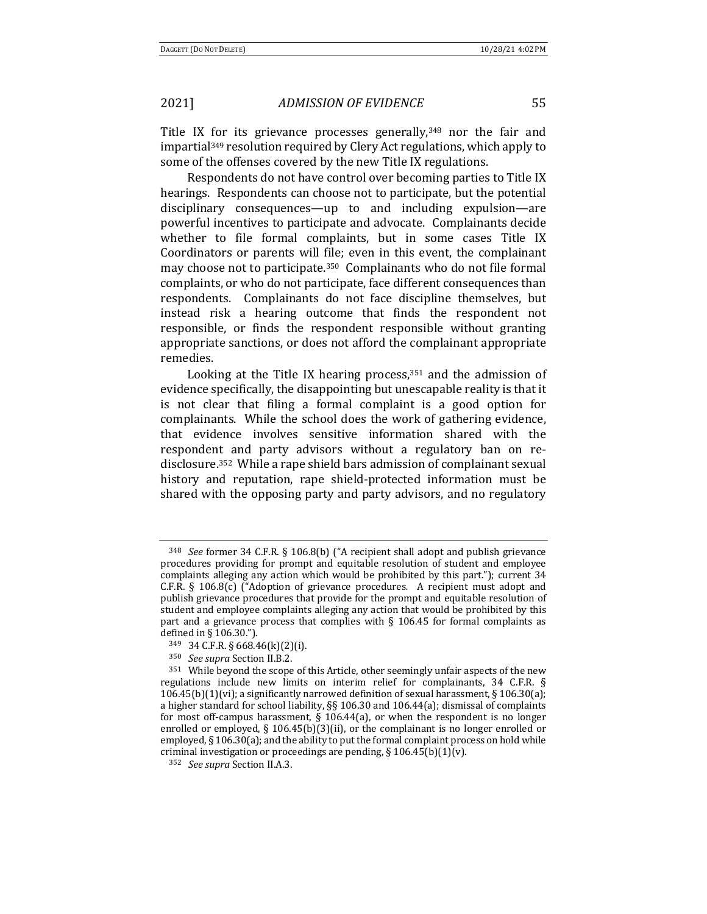Title IX for its grievance processes generally, $348$  nor the fair and impartial<sup>349</sup> resolution required by Clery Act regulations, which apply to some of the offenses covered by the new Title IX regulations.

Respondents do not have control over becoming parties to Title IX hearings. Respondents can choose not to participate, but the potential disciplinary consequences—up to and including expulsion—are powerful incentives to participate and advocate. Complainants decide whether to file formal complaints, but in some cases Title IX Coordinators or parents will file; even in this event, the complainant may choose not to participate.<sup>350</sup> Complainants who do not file formal complaints, or who do not participate, face different consequences than respondents. Complainants do not face discipline themselves, but instead risk a hearing outcome that finds the respondent not responsible, or finds the respondent responsible without granting appropriate sanctions, or does not afford the complainant appropriate remedies. 

Looking at the Title IX hearing process,  $351$  and the admission of evidence specifically, the disappointing but unescapable reality is that it is not clear that filing a formal complaint is a good option for complainants. While the school does the work of gathering evidence, that evidence involves sensitive information shared with the respondent and party advisors without a regulatory ban on redisclosure.<sup>352</sup> While a rape shield bars admission of complainant sexual history and reputation, rape shield-protected information must be shared with the opposing party and party advisors, and no regulatory

<sup>&</sup>lt;sup>348</sup> *See* former 34 C.F.R. § 106.8(b) ("A recipient shall adopt and publish grievance procedures providing for prompt and equitable resolution of student and employee complaints alleging any action which would be prohibited by this part."); current 34 C.F.R. § 106.8(c) ("Adoption of grievance procedures. A recipient must adopt and publish grievance procedures that provide for the prompt and equitable resolution of student and employee complaints alleging any action that would be prohibited by this part and a grievance process that complies with  $\S$  106.45 for formal complaints as defined in  $\S$  106.30.").

 $349$  34 C.F.R. § 668.46(k)(2)(i).

<sup>&</sup>lt;sup>350</sup> *See supra* Section II.B.2.

 $351$  While beyond the scope of this Article, other seemingly unfair aspects of the new regulations include new limits on interim relief for complainants,  $34$  C.F.R. §  $106.45(b)(1)(vi)$ ; a significantly narrowed definition of sexual harassment, § 106.30(a); a higher standard for school liability,  $\S$ § 106.30 and 106.44(a); dismissal of complaints for most off-campus harassment,  $\frac{6}{5}$  106.44(a), or when the respondent is no longer enrolled or employed,  $\S$  106.45(b)(3)(ii), or the complainant is no longer enrolled or employed,  $\S$  106.30(a); and the ability to put the formal complaint process on hold while criminal investigation or proceedings are pending, § 106.45(b)(1)(v).

<sup>&</sup>lt;sup>352</sup> *See supra* Section II.A.3.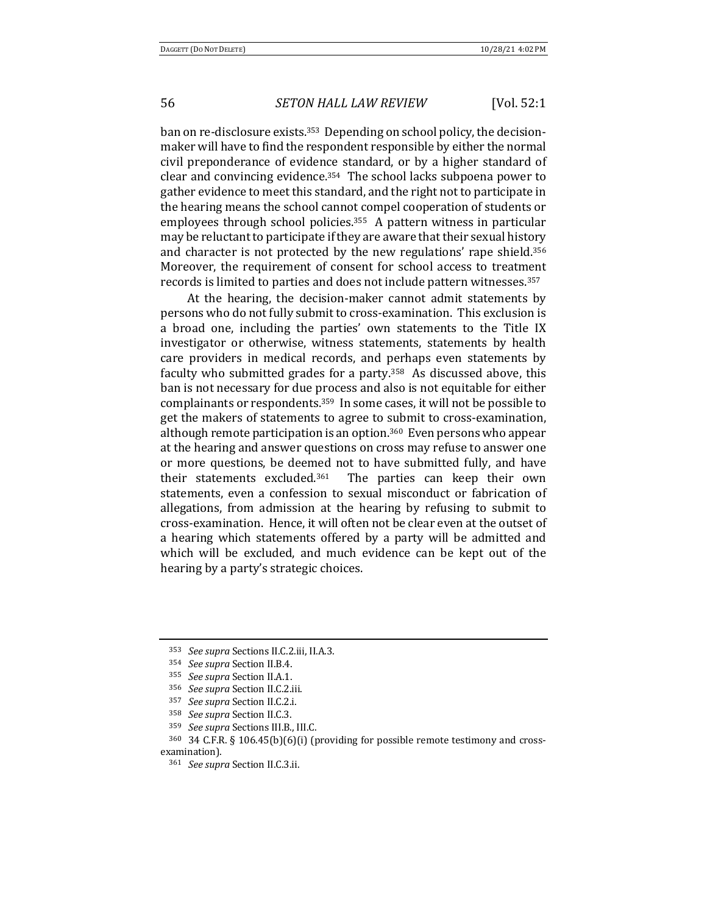ban on re-disclosure exists.<sup>353</sup> Depending on school policy, the decisionmaker will have to find the respondent responsible by either the normal civil preponderance of evidence standard, or by a higher standard of clear and convincing evidence.<sup>354</sup> The school lacks subpoena power to gather evidence to meet this standard, and the right not to participate in the hearing means the school cannot compel cooperation of students or employees through school policies.<sup>355</sup> A pattern witness in particular may be reluctant to participate if they are aware that their sexual history and character is not protected by the new regulations' rape shield.<sup>356</sup> Moreover, the requirement of consent for school access to treatment records is limited to parties and does not include pattern witnesses.<sup>357</sup>

At the hearing, the decision-maker cannot admit statements by persons who do not fully submit to cross-examination. This exclusion is a broad one, including the parties' own statements to the Title IX investigator or otherwise, witness statements, statements by health care providers in medical records, and perhaps even statements by faculty who submitted grades for a party.<sup>358</sup> As discussed above, this ban is not necessary for due process and also is not equitable for either complainants or respondents.<sup>359</sup> In some cases, it will not be possible to get the makers of statements to agree to submit to cross-examination, although remote participation is an option.<sup>360</sup> Even persons who appear at the hearing and answer questions on cross may refuse to answer one or more questions, be deemed not to have submitted fully, and have their statements excluded.<sup>361</sup> The parties can keep their own statements, even a confession to sexual misconduct or fabrication of allegations, from admission at the hearing by refusing to submit to cross-examination. Hence, it will often not be clear even at the outset of a hearing which statements offered by a party will be admitted and which will be excluded, and much evidence can be kept out of the hearing by a party's strategic choices.

<sup>&</sup>lt;sup>353</sup> See supra Sections II.C.2.iii, II.A.3.

<sup>&</sup>lt;sup>354</sup> *See supra* Section II.B.4.

<sup>355</sup> *See supra* Section II.A.1.

<sup>&</sup>lt;sup>356</sup> *See supra* Section II.C.2.iii.

<sup>&</sup>lt;sup>357</sup> *See supra* Section II.C.2.i.

<sup>&</sup>lt;sup>358</sup> See supra Section II.C.3.

<sup>359</sup> *See supra* Sections III.B., III.C.

 $360$  34 C.F.R. § 106.45(b)(6)(i) (providing for possible remote testimony and crossexamination).

<sup>&</sup>lt;sup>361</sup> *See supra* Section II.C.3.ii.